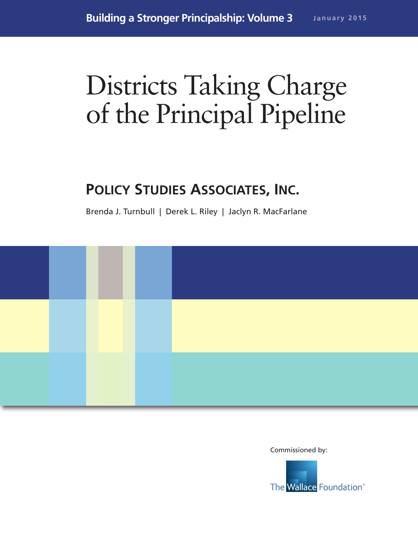# Districts Taking Charge of the Principal Pipeline

### **POLICY STUDIES ASSOCIATES, INC.**

Brenda J. Turnbull | Derek L. Riley | Jaclyn R. MacFarlane



Commissioned by:

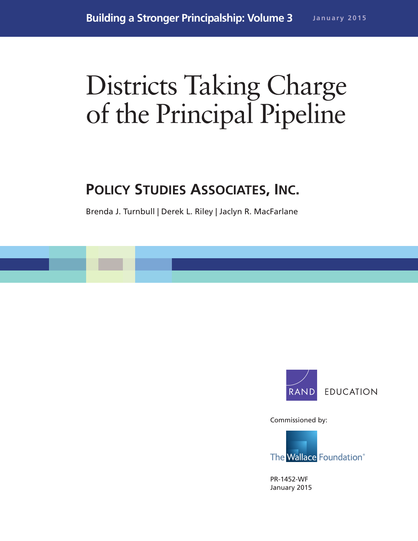## Districts Taking Charge of the Principal Pipeline

### **POLICY STUDIES ASSOCIATES, INC.**

Brenda J. Turnbull | Derek L. Riley | Jaclyn R. MacFarlane



Commissioned by:



PR-1452-WF January 2015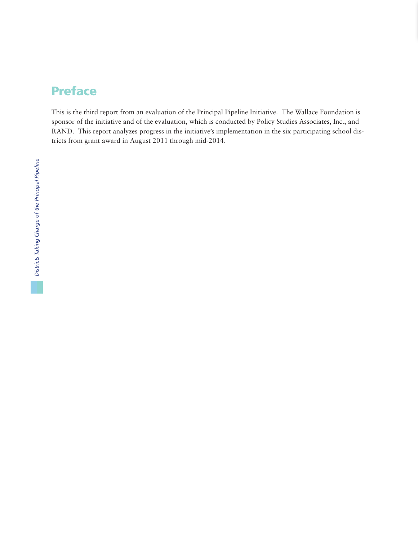### **Preface**

This is the third report from an evaluation of the Principal Pipeline Initiative. The Wallace Foundation is sponsor of the initiative and of the evaluation, which is conducted by Policy Studies Associates, Inc., and RAND. This report analyzes progress in the initiative's implementation in the six participating school districts from grant award in August 2011 through mid-2014.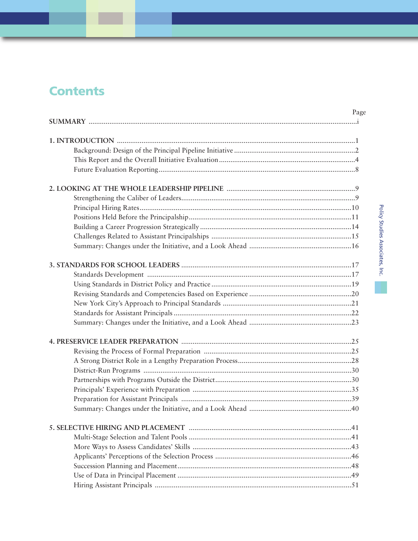### **Contents**

| Page |
|------|
|      |
|      |
|      |
|      |
|      |
|      |
|      |
|      |
|      |
|      |
|      |
|      |
|      |
|      |
|      |
|      |
|      |
|      |
|      |
|      |
|      |
|      |
|      |
|      |
|      |
|      |
|      |
|      |
|      |
|      |
|      |
|      |
|      |
|      |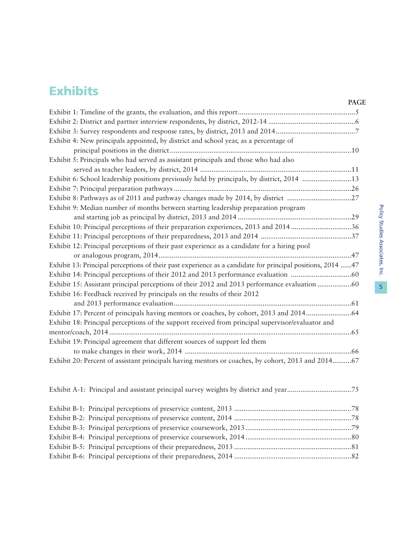### **Exhibits**

| Exhibit 6: School leadership positions previously held by principals, by district, 2014 13<br>Exhibit 8: Pathways as of 2011 and pathway changes made by 2014, by district 27<br>Exhibit 10: Principal perceptions of their preparation experiences, 2013 and 201436<br>Exhibit 13: Principal perceptions of their past experience as a candidate for principal positions, 2014 47<br>Exhibit 14: Principal perceptions of their 2012 and 2013 performance evaluation 60<br>Exhibit 15: Assistant principal perceptions of their 2012 and 2013 performance evaluation 60<br>Exhibit 17: Percent of principals having mentors or coaches, by cohort, 2013 and 201464<br>Exhibit 18: Principal perceptions of the support received from principal supervisor/evaluator and |                                                                                                   | <b>PAGE</b> |
|--------------------------------------------------------------------------------------------------------------------------------------------------------------------------------------------------------------------------------------------------------------------------------------------------------------------------------------------------------------------------------------------------------------------------------------------------------------------------------------------------------------------------------------------------------------------------------------------------------------------------------------------------------------------------------------------------------------------------------------------------------------------------|---------------------------------------------------------------------------------------------------|-------------|
|                                                                                                                                                                                                                                                                                                                                                                                                                                                                                                                                                                                                                                                                                                                                                                          |                                                                                                   |             |
|                                                                                                                                                                                                                                                                                                                                                                                                                                                                                                                                                                                                                                                                                                                                                                          |                                                                                                   |             |
|                                                                                                                                                                                                                                                                                                                                                                                                                                                                                                                                                                                                                                                                                                                                                                          |                                                                                                   |             |
|                                                                                                                                                                                                                                                                                                                                                                                                                                                                                                                                                                                                                                                                                                                                                                          | Exhibit 4: New principals appointed, by district and school year, as a percentage of              |             |
|                                                                                                                                                                                                                                                                                                                                                                                                                                                                                                                                                                                                                                                                                                                                                                          |                                                                                                   |             |
|                                                                                                                                                                                                                                                                                                                                                                                                                                                                                                                                                                                                                                                                                                                                                                          | Exhibit 5: Principals who had served as assistant principals and those who had also               |             |
|                                                                                                                                                                                                                                                                                                                                                                                                                                                                                                                                                                                                                                                                                                                                                                          |                                                                                                   |             |
|                                                                                                                                                                                                                                                                                                                                                                                                                                                                                                                                                                                                                                                                                                                                                                          |                                                                                                   |             |
|                                                                                                                                                                                                                                                                                                                                                                                                                                                                                                                                                                                                                                                                                                                                                                          |                                                                                                   |             |
|                                                                                                                                                                                                                                                                                                                                                                                                                                                                                                                                                                                                                                                                                                                                                                          |                                                                                                   |             |
|                                                                                                                                                                                                                                                                                                                                                                                                                                                                                                                                                                                                                                                                                                                                                                          | Exhibit 9: Median number of months between starting leadership preparation program                |             |
|                                                                                                                                                                                                                                                                                                                                                                                                                                                                                                                                                                                                                                                                                                                                                                          |                                                                                                   |             |
|                                                                                                                                                                                                                                                                                                                                                                                                                                                                                                                                                                                                                                                                                                                                                                          |                                                                                                   |             |
|                                                                                                                                                                                                                                                                                                                                                                                                                                                                                                                                                                                                                                                                                                                                                                          |                                                                                                   |             |
|                                                                                                                                                                                                                                                                                                                                                                                                                                                                                                                                                                                                                                                                                                                                                                          | Exhibit 12: Principal perceptions of their past experience as a candidate for a hiring pool       |             |
|                                                                                                                                                                                                                                                                                                                                                                                                                                                                                                                                                                                                                                                                                                                                                                          |                                                                                                   |             |
|                                                                                                                                                                                                                                                                                                                                                                                                                                                                                                                                                                                                                                                                                                                                                                          |                                                                                                   |             |
|                                                                                                                                                                                                                                                                                                                                                                                                                                                                                                                                                                                                                                                                                                                                                                          |                                                                                                   |             |
|                                                                                                                                                                                                                                                                                                                                                                                                                                                                                                                                                                                                                                                                                                                                                                          |                                                                                                   |             |
|                                                                                                                                                                                                                                                                                                                                                                                                                                                                                                                                                                                                                                                                                                                                                                          | Exhibit 16: Feedback received by principals on the results of their 2012                          |             |
|                                                                                                                                                                                                                                                                                                                                                                                                                                                                                                                                                                                                                                                                                                                                                                          |                                                                                                   |             |
|                                                                                                                                                                                                                                                                                                                                                                                                                                                                                                                                                                                                                                                                                                                                                                          |                                                                                                   |             |
|                                                                                                                                                                                                                                                                                                                                                                                                                                                                                                                                                                                                                                                                                                                                                                          |                                                                                                   |             |
|                                                                                                                                                                                                                                                                                                                                                                                                                                                                                                                                                                                                                                                                                                                                                                          |                                                                                                   |             |
|                                                                                                                                                                                                                                                                                                                                                                                                                                                                                                                                                                                                                                                                                                                                                                          | Exhibit 19: Principal agreement that different sources of support led them                        |             |
|                                                                                                                                                                                                                                                                                                                                                                                                                                                                                                                                                                                                                                                                                                                                                                          |                                                                                                   |             |
|                                                                                                                                                                                                                                                                                                                                                                                                                                                                                                                                                                                                                                                                                                                                                                          | Exhibit 20: Percent of assistant principals having mentors or coaches, by cohort, 2013 and 201467 |             |

5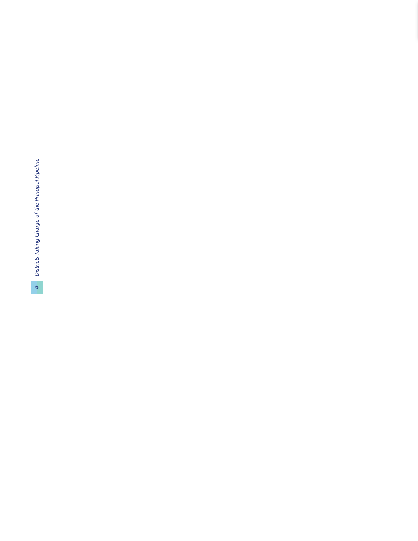*Districts Taking Charge of the Principal Pipeline* on Districts Taking Charge of the Principal Pipeline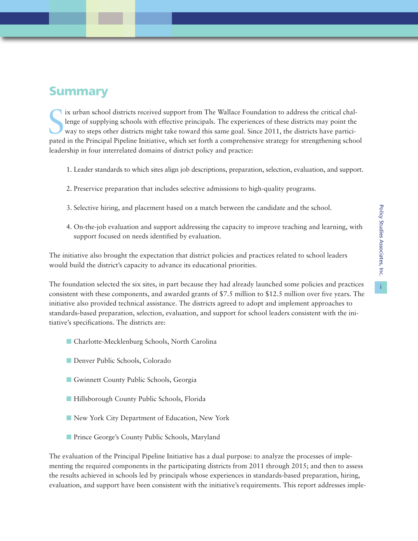### **Summary**

In the Wallace Foundation to address the critical challenge of supplying schools with effective principals. The experiences of these districts may point the way to steps other districts might take toward this same goal. Si ix urban school districts received support from The Wallace Foundation to address the critical challenge of supplying schools with effective principals. The experiences of these districts may point the way to steps other districts might take toward this same goal. Since 2011, the districts have particileadership in four interrelated domains of district policy and practice:

- 1. Leader standards to which sites align job descriptions, preparation, selection, evaluation, and support.
- 2. Preservice preparation that includes selective admissions to high-quality programs.
- 3. Selective hiring, and placement based on a match between the candidate and the school.
- 4. On-the-job evaluation and support addressing the capacity to improve teaching and learning, with support focused on needs identified by evaluation.

The initiative also brought the expectation that district policies and practices related to school leaders would build the district's capacity to advance its educational priorities.

The foundation selected the six sites, in part because they had already launched some policies and practices consistent with these components, and awarded grants of \$7.5 million to \$12.5 million over five years. The initiative also provided technical assistance. The districts agreed to adopt and implement approaches to standards-based preparation, selection, evaluation, and support for school leaders consistent with the initiative's specifications. The districts are:

- Charlotte-Mecklenburg Schools, North Carolina
- Denver Public Schools, Colorado
- Gwinnett County Public Schools, Georgia
- Hillsborough County Public Schools, Florida
- New York City Department of Education, New York
- Prince George's County Public Schools, Maryland

The evaluation of the Principal Pipeline Initiative has a dual purpose: to analyze the processes of implementing the required components in the participating districts from 2011 through 2015; and then to assess the results achieved in schools led by principals whose experiences in standards-based preparation, hiring, evaluation, and support have been consistent with the initiative's requirements. This report addresses imple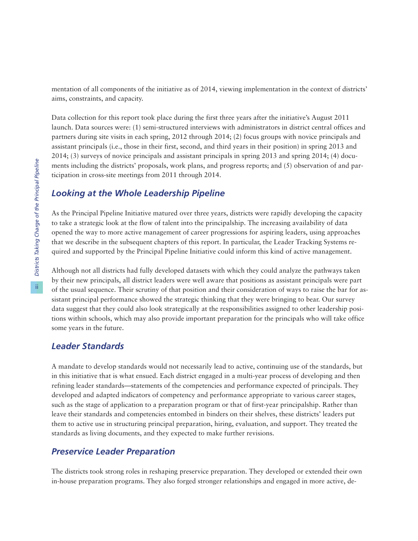mentation of all components of the initiative as of 2014, viewing implementation in the context of districts' aims, constraints, and capacity.

Data collection for this report took place during the first three years after the initiative's August 2011 launch. Data sources were: (1) semi-structured interviews with administrators in district central offices and partners during site visits in each spring, 2012 through 2014; (2) focus groups with novice principals and assistant principals (i.e., those in their first, second, and third years in their position) in spring 2013 and 2014; (3) surveys of novice principals and assistant principals in spring 2013 and spring 2014; (4) documents including the districts' proposals, work plans, and progress reports; and (5) observation of and participation in cross-site meetings from 2011 through 2014.

### *Looking at the Whole Leadership Pipeline*

As the Principal Pipeline Initiative matured over three years, districts were rapidly developing the capacity to take a strategic look at the flow of talent into the principalship. The increasing availability of data opened the way to more active management of career progressions for aspiring leaders, using approaches that we describe in the subsequent chapters of this report. In particular, the Leader Tracking Systems required and supported by the Principal Pipeline Initiative could inform this kind of active management.

Although not all districts had fully developed datasets with which they could analyze the pathways taken by their new principals, all district leaders were well aware that positions as assistant principals were part of the usual sequence. Their scrutiny of that position and their consideration of ways to raise the bar for assistant principal performance showed the strategic thinking that they were bringing to bear. Our survey data suggest that they could also look strategically at the responsibilities assigned to other leadership positions within schools, which may also provide important preparation for the principals who will take office some years in the future.

#### *Leader Standards*

A mandate to develop standards would not necessarily lead to active, continuing use of the standards, but in this initiative that is what ensued. Each district engaged in a multi-year process of developing and then refining leader standards—statements of the competencies and performance expected of principals. They developed and adapted indicators of competency and performance appropriate to various career stages, such as the stage of application to a preparation program or that of first-year principalship. Rather than leave their standards and competencies entombed in binders on their shelves, these districts' leaders put them to active use in structuring principal preparation, hiring, evaluation, and support. They treated the standards as living documents, and they expected to make further revisions.

### *Preservice Leader Preparation*

The districts took strong roles in reshaping preservice preparation. They developed or extended their own in-house preparation programs. They also forged stronger relationships and engaged in more active, de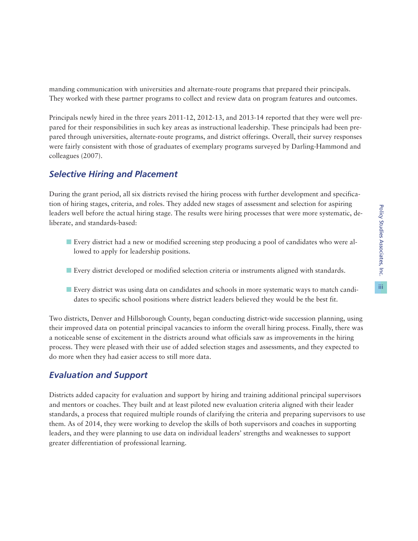manding communication with universities and alternate-route programs that prepared their principals. They worked with these partner programs to collect and review data on program features and outcomes.

Principals newly hired in the three years 2011-12, 2012-13, and 2013-14 reported that they were well prepared for their responsibilities in such key areas as instructional leadership. These principals had been prepared through universities, alternate-route programs, and district offerings. Overall, their survey responses were fairly consistent with those of graduates of exemplary programs surveyed by Darling-Hammond and colleagues (2007).

### *Selective Hiring and Placement*

During the grant period, all six districts revised the hiring process with further development and specification of hiring stages, criteria, and roles. They added new stages of assessment and selection for aspiring leaders well before the actual hiring stage. The results were hiring processes that were more systematic, deliberate, and standards-based:

- Every district had a new or modified screening step producing a pool of candidates who were allowed to apply for leadership positions.
- Every district developed or modified selection criteria or instruments aligned with standards.
- Every district was using data on candidates and schools in more systematic ways to match candidates to specific school positions where district leaders believed they would be the best fit.

Two districts, Denver and Hillsborough County, began conducting district-wide succession planning, using their improved data on potential principal vacancies to inform the overall hiring process. Finally, there was a noticeable sense of excitement in the districts around what officials saw as improvements in the hiring process. They were pleased with their use of added selection stages and assessments, and they expected to do more when they had easier access to still more data.

### *Evaluation and Support*

Districts added capacity for evaluation and support by hiring and training additional principal supervisors and mentors or coaches. They built and at least piloted new evaluation criteria aligned with their leader standards, a process that required multiple rounds of clarifying the criteria and preparing supervisors to use them. As of 2014, they were working to develop the skills of both supervisors and coaches in supporting leaders, and they were planning to use data on individual leaders' strengths and weaknesses to support greater differentiation of professional learning.

iii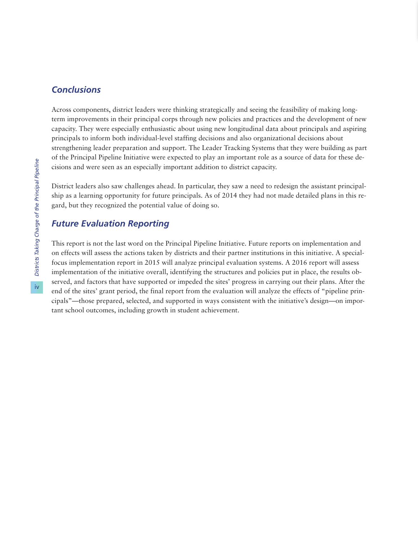### *Conclusions*

Across components, district leaders were thinking strategically and seeing the feasibility of making longterm improvements in their principal corps through new policies and practices and the development of new capacity. They were especially enthusiastic about using new longitudinal data about principals and aspiring principals to inform both individual-level staffing decisions and also organizational decisions about strengthening leader preparation and support. The Leader Tracking Systems that they were building as part of the Principal Pipeline Initiative were expected to play an important role as a source of data for these decisions and were seen as an especially important addition to district capacity.

District leaders also saw challenges ahead. In particular, they saw a need to redesign the assistant principalship as a learning opportunity for future principals. As of 2014 they had not made detailed plans in this regard, but they recognized the potential value of doing so.

### *Future Evaluation Reporting*

This report is not the last word on the Principal Pipeline Initiative. Future reports on implementation and on effects will assess the actions taken by districts and their partner institutions in this initiative. A specialfocus implementation report in 2015 will analyze principal evaluation systems. A 2016 report will assess implementation of the initiative overall, identifying the structures and policies put in place, the results observed, and factors that have supported or impeded the sites' progress in carrying out their plans. After the end of the sites' grant period, the final report from the evaluation will analyze the effects of "pipeline principals"—those prepared, selected, and supported in ways consistent with the initiative's design—on important school outcomes, including growth in student achievement.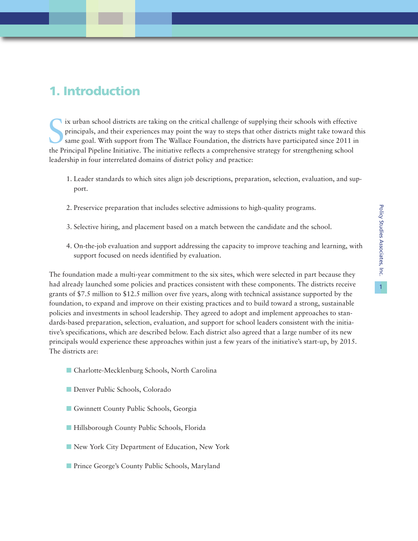### **1. Introduction**

In the Principals, and their experiences may point the way to steps that other districts might take toward same goal. With support from The Wallace Foundation, the districts have participated since 2011 the Principal Pipel ix urban school districts are taking on the critical challenge of supplying their schools with effective principals, and their experiences may point the way to steps that other districts might take toward this same goal. With support from The Wallace Foundation, the districts have participated since 2011 in leadership in four interrelated domains of district policy and practice:

- 1. Leader standards to which sites align job descriptions, preparation, selection, evaluation, and support.
- 2. Preservice preparation that includes selective admissions to high-quality programs.
- 3. Selective hiring, and placement based on a match between the candidate and the school.
- 4. On-the-job evaluation and support addressing the capacity to improve teaching and learning, with support focused on needs identified by evaluation.

The foundation made a multi-year commitment to the six sites, which were selected in part because they had already launched some policies and practices consistent with these components. The districts receive grants of \$7.5 million to \$12.5 million over five years, along with technical assistance supported by the foundation, to expand and improve on their existing practices and to build toward a strong, sustainable policies and investments in school leadership. They agreed to adopt and implement approaches to standards-based preparation, selection, evaluation, and support for school leaders consistent with the initiative's specifications, which are described below. Each district also agreed that a large number of its new principals would experience these approaches within just a few years of the initiative's start-up, by 2015. The districts are:

- Charlotte-Mecklenburg Schools, North Carolina
- Denver Public Schools, Colorado
- Gwinnett County Public Schools, Georgia
- Hillsborough County Public Schools, Florida
- New York City Department of Education, New York
- Prince George's County Public Schools, Maryland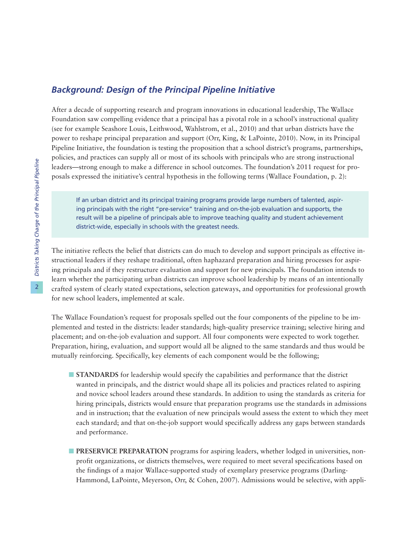### *Background: Design of the Principal Pipeline Initiative*

After a decade of supporting research and program innovations in educational leadership, The Wallace Foundation saw compelling evidence that a principal has a pivotal role in a school's instructional quality (see for example Seashore Louis, Leithwood, Wahlstrom, et al., 2010) and that urban districts have the power to reshape principal preparation and support (Orr, King, & LaPointe, 2010). Now, in its Principal Pipeline Initiative, the foundation is testing the proposition that a school district's programs, partnerships, policies, and practices can supply all or most of its schools with principals who are strong instructional leaders—strong enough to make a difference in school outcomes. The foundation's 2011 request for proposals expressed the initiative's central hypothesis in the following terms (Wallace Foundation, p. 2):

If an urban district and its principal training programs provide large numbers of talented, aspiring principals with the right "pre-service" training and on-the-job evaluation and supports, the result will be a pipeline of principals able to improve teaching quality and student achievement district-wide, especially in schools with the greatest needs.

The initiative reflects the belief that districts can do much to develop and support principals as effective instructional leaders if they reshape traditional, often haphazard preparation and hiring processes for aspiring principals and if they restructure evaluation and support for new principals. The foundation intends to learn whether the participating urban districts can improve school leadership by means of an intentionally crafted system of clearly stated expectations, selection gateways, and opportunities for professional growth for new school leaders, implemented at scale.

The Wallace Foundation's request for proposals spelled out the four components of the pipeline to be implemented and tested in the districts: leader standards; high-quality preservice training; selective hiring and placement; and on-the-job evaluation and support. All four components were expected to work together. Preparation, hiring, evaluation, and support would all be aligned to the same standards and thus would be mutually reinforcing. Specifically, key elements of each component would be the following;

- **STANDARDS** for leadership would specify the capabilities and performance that the district wanted in principals, and the district would shape all its policies and practices related to aspiring and novice school leaders around these standards. In addition to using the standards as criteria for hiring principals, districts would ensure that preparation programs use the standards in admissions and in instruction; that the evaluation of new principals would assess the extent to which they meet each standard; and that on-the-job support would specifically address any gaps between standards and performance.
- **PRESERVICE PREPARATION** programs for aspiring leaders, whether lodged in universities, nonprofit organizations, or districts themselves, were required to meet several specifications based on the findings of a major Wallace-supported study of exemplary preservice programs (Darling-Hammond, LaPointe, Meyerson, Orr, & Cohen, 2007). Admissions would be selective, with appli-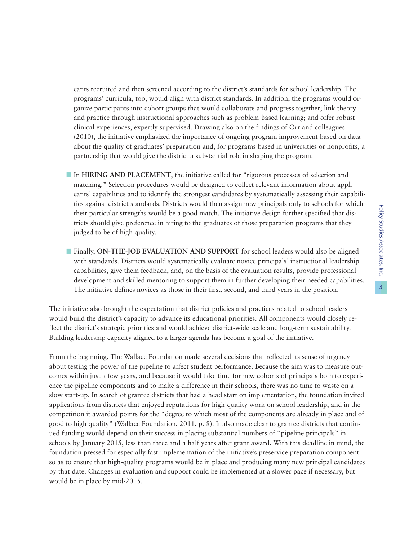cants recruited and then screened according to the district's standards for school leadership. The programs' curricula, too, would align with district standards. In addition, the programs would organize participants into cohort groups that would collaborate and progress together; link theory and practice through instructional approaches such as problem-based learning; and offer robust clinical experiences, expertly supervised. Drawing also on the findings of Orr and colleagues (2010), the initiative emphasized the importance of ongoing program improvement based on data about the quality of graduates' preparation and, for programs based in universities or nonprofits, a partnership that would give the district a substantial role in shaping the program.

- In **HIRING AND PLACEMENT**, the initiative called for "rigorous processes of selection and matching." Selection procedures would be designed to collect relevant information about applicants' capabilities and to identify the strongest candidates by systematically assessing their capabilities against district standards. Districts would then assign new principals only to schools for which their particular strengths would be a good match. The initiative design further specified that districts should give preference in hiring to the graduates of those preparation programs that they judged to be of high quality.
- Finally, **ON-THE-JOB EVALUATION AND SUPPORT** for school leaders would also be aligned with standards. Districts would systematically evaluate novice principals' instructional leadership capabilities, give them feedback, and, on the basis of the evaluation results, provide professional development and skilled mentoring to support them in further developing their needed capabilities. The initiative defines novices as those in their first, second, and third years in the position.

The initiative also brought the expectation that district policies and practices related to school leaders would build the district's capacity to advance its educational priorities. All components would closely reflect the district's strategic priorities and would achieve district-wide scale and long-term sustainability. Building leadership capacity aligned to a larger agenda has become a goal of the initiative.

From the beginning, The Wallace Foundation made several decisions that reflected its sense of urgency about testing the power of the pipeline to affect student performance. Because the aim was to measure outcomes within just a few years, and because it would take time for new cohorts of principals both to experience the pipeline components and to make a difference in their schools, there was no time to waste on a slow start-up. In search of grantee districts that had a head start on implementation, the foundation invited applications from districts that enjoyed reputations for high-quality work on school leadership, and in the competition it awarded points for the "degree to which most of the components are already in place and of good to high quality" (Wallace Foundation, 2011, p. 8). It also made clear to grantee districts that continued funding would depend on their success in placing substantial numbers of "pipeline principals" in schools by January 2015, less than three and a half years after grant award. With this deadline in mind, the foundation pressed for especially fast implementation of the initiative's preservice preparation component so as to ensure that high-quality programs would be in place and producing many new principal candidates by that date. Changes in evaluation and support could be implemented at a slower pace if necessary, but would be in place by mid-2015.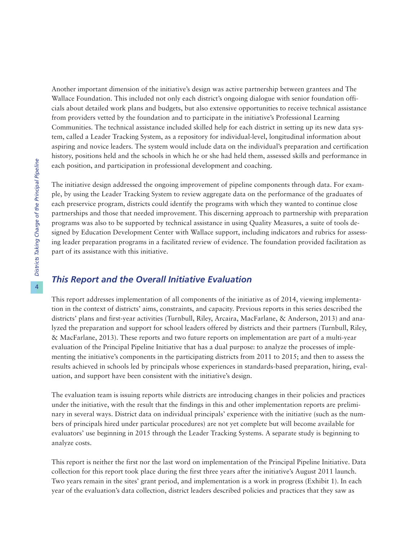Another important dimension of the initiative's design was active partnership between grantees and The Wallace Foundation. This included not only each district's ongoing dialogue with senior foundation officials about detailed work plans and budgets, but also extensive opportunities to receive technical assistance from providers vetted by the foundation and to participate in the initiative's Professional Learning Communities. The technical assistance included skilled help for each district in setting up its new data system, called a Leader Tracking System, as a repository for individual-level, longitudinal information about aspiring and novice leaders. The system would include data on the individual's preparation and certification history, positions held and the schools in which he or she had held them, assessed skills and performance in each position, and participation in professional development and coaching.

The initiative design addressed the ongoing improvement of pipeline components through data. For example, by using the Leader Tracking System to review aggregate data on the performance of the graduates of each preservice program, districts could identify the programs with which they wanted to continue close partnerships and those that needed improvement. This discerning approach to partnership with preparation programs was also to be supported by technical assistance in using Quality Measures, a suite of tools designed by Education Development Center with Wallace support, including indicators and rubrics for assessing leader preparation programs in a facilitated review of evidence. The foundation provided facilitation as part of its assistance with this initiative.

### *This Report and the Overall Initiative Evaluation*

This report addresses implementation of all components of the initiative as of 2014, viewing implementation in the context of districts' aims, constraints, and capacity. Previous reports in this series described the districts' plans and first-year activities (Turnbull, Riley, Arcaira, MacFarlane, & Anderson, 2013) and analyzed the preparation and support for school leaders offered by districts and their partners (Turnbull, Riley, & MacFarlane, 2013). These reports and two future reports on implementation are part of a multi-year evaluation of the Principal Pipeline Initiative that has a dual purpose: to analyze the processes of implementing the initiative's components in the participating districts from 2011 to 2015; and then to assess the results achieved in schools led by principals whose experiences in standards-based preparation, hiring, evaluation, and support have been consistent with the initiative's design.

The evaluation team is issuing reports while districts are introducing changes in their policies and practices under the initiative, with the result that the findings in this and other implementation reports are preliminary in several ways. District data on individual principals' experience with the initiative (such as the numbers of principals hired under particular procedures) are not yet complete but will become available for evaluators' use beginning in 2015 through the Leader Tracking Systems. A separate study is beginning to analyze costs.

This report is neither the first nor the last word on implementation of the Principal Pipeline Initiative. Data collection for this report took place during the first three years after the initiative's August 2011 launch. Two years remain in the sites' grant period, and implementation is a work in progress (Exhibit 1). In each year of the evaluation's data collection, district leaders described policies and practices that they saw as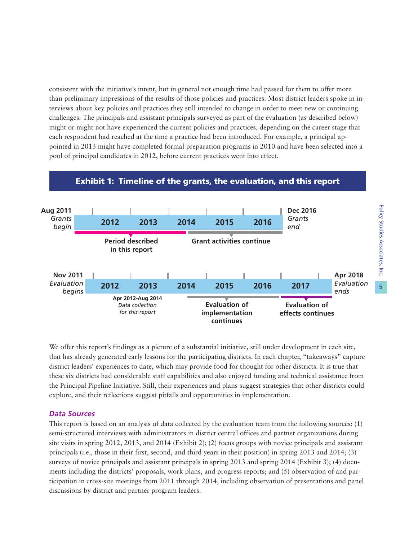consistent with the initiative's intent, but in general not enough time had passed for them to offer more than preliminary impressions of the results of those policies and practices. Most district leaders spoke in interviews about key policies and practices they still intended to change in order to meet new or continuing challenges. The principals and assistant principals surveyed as part of the evaluation (as described below) might or might not have experienced the current policies and practices, depending on the career stage that each respondent had reached at the time a practice had been introduced. For example, a principal appointed in 2013 might have completed formal preparation programs in 2010 and have been selected into a pool of principal candidates in 2012, before current practices went into effect.

#### **Aug 2011** *Grants begin* **Dec 2016** *Grants end* **Period described in this report Grant activities continue Nov 2011** *Evaluation begins* **Apr 2018** *Evaluation ends* **Apr 2012-Aug 2014 2012 2013 2014 2015 2016** ▼ ▼  $\sqrt{2}$ **2012 2013 2014 2015 2016 2017**

**Evaluation of implementation continues**

*Data collection for this report*

### **Exhibit 1: Timeline of the grants, the evaluation, and this report**

We offer this report's findings as a picture of a substantial initiative, still under development in each site, that has already generated early lessons for the participating districts. In each chapter, "takeaways" capture district leaders' experiences to date, which may provide food for thought for other districts. It is true that these six districts had considerable staff capabilities and also enjoyed funding and technical assistance from the Principal Pipeline Initiative. Still, their experiences and plans suggest strategies that other districts could explore, and their reflections suggest pitfalls and opportunities in implementation.

### *Data Sources*

This report is based on an analysis of data collected by the evaluation team from the following sources: (1) semi-structured interviews with administrators in district central offices and partner organizations during site visits in spring 2012, 2013, and 2014 (Exhibit 2); (2) focus groups with novice principals and assistant principals (i.e., those in their first, second, and third years in their position) in spring 2013 and 2014; (3) surveys of novice principals and assistant principals in spring 2013 and spring 2014 (Exhibit 3); (4) documents including the districts' proposals, work plans, and progress reports; and (5) observation of and participation in cross-site meetings from 2011 through 2014, including observation of presentations and panel discussions by district and partner-program leaders.

**Evaluation of effects continues**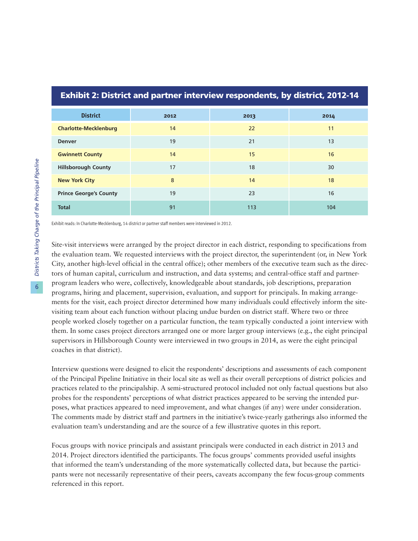#### **Exhibit 2: District and partner interview respondents, by district, 2012-14**

| <b>District</b>               | 2012 | 2013 | 2014 |
|-------------------------------|------|------|------|
| <b>Charlotte-Mecklenburg</b>  | 14   | 22   | 11   |
| <b>Denver</b>                 | 19   | 21   | 13   |
| <b>Gwinnett County</b>        | 14   | 15   | 16   |
| <b>Hillsborough County</b>    | 17   | 18   | 30   |
| <b>New York City</b>          | 8    | 14   | 18   |
| <b>Prince George's County</b> | 19   | 23   | 16   |
| <b>Total</b>                  | 91   | 113  | 104  |

Exhibit reads: In Charlotte-Mecklenburg, 14 district or partner staff members were interviewed in 2012.

Site-visit interviews were arranged by the project director in each district, responding to specifications from the evaluation team. We requested interviews with the project director, the superintendent (or, in New York City, another high-level official in the central office); other members of the executive team such as the directors of human capital, curriculum and instruction, and data systems; and central-office staff and partnerprogram leaders who were, collectively, knowledgeable about standards, job descriptions, preparation programs, hiring and placement, supervision, evaluation, and support for principals. In making arrangements for the visit, each project director determined how many individuals could effectively inform the sitevisiting team about each function without placing undue burden on district staff. Where two or three people worked closely together on a particular function, the team typically conducted a joint interview with them. In some cases project directors arranged one or more larger group interviews (e.g., the eight principal supervisors in Hillsborough County were interviewed in two groups in 2014, as were the eight principal coaches in that district).

Interview questions were designed to elicit the respondents' descriptions and assessments of each component of the Principal Pipeline Initiative in their local site as well as their overall perceptions of district policies and practices related to the principalship. A semi-structured protocol included not only factual questions but also probes for the respondents' perceptions of what district practices appeared to be serving the intended purposes, what practices appeared to need improvement, and what changes (if any) were under consideration. The comments made by district staff and partners in the initiative's twice-yearly gatherings also informed the evaluation team's understanding and are the source of a few illustrative quotes in this report.

Focus groups with novice principals and assistant principals were conducted in each district in 2013 and 2014. Project directors identified the participants. The focus groups' comments provided useful insights that informed the team's understanding of the more systematically collected data, but because the participants were not necessarily representative of their peers, caveats accompany the few focus-group comments referenced in this report.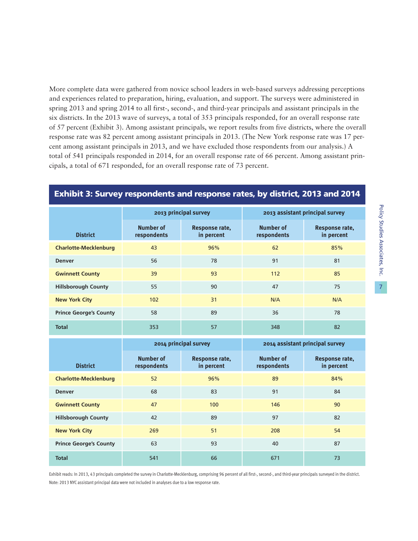More complete data were gathered from novice school leaders in web-based surveys addressing perceptions and experiences related to preparation, hiring, evaluation, and support. The surveys were administered in spring 2013 and spring 2014 to all first-, second-, and third-year principals and assistant principals in the six districts. In the 2013 wave of surveys, a total of 353 principals responded, for an overall response rate of 57 percent (Exhibit 3). Among assistant principals, we report results from five districts, where the overall response rate was 82 percent among assistant principals in 2013. (The New York response rate was 17 percent among assistant principals in 2013, and we have excluded those respondents from our analysis.) A total of 541 principals responded in 2014, for an overall response rate of 66 percent. Among assistant principals, a total of 671 responded, for an overall response rate of 73 percent.

#### **Exhibit 3: Survey respondents and response rates, by district, 2013 and 2014**

|                               | 2013 principal survey    |                              | 2013 assistant principal survey |                              |
|-------------------------------|--------------------------|------------------------------|---------------------------------|------------------------------|
| <b>District</b>               | Number of<br>respondents | Response rate,<br>in percent | Number of<br>respondents        | Response rate,<br>in percent |
| <b>Charlotte-Mecklenburg</b>  | 43                       | 96%                          | 62                              | 85%                          |
| <b>Denver</b>                 | 56                       | 78                           | 91                              | 81                           |
| <b>Gwinnett County</b>        | 39                       | 93                           | 112                             | 85                           |
| <b>Hillsborough County</b>    | 55                       | 90                           | 47                              | 75                           |
| <b>New York City</b>          | 102                      | 31                           | N/A                             | N/A                          |
| <b>Prince George's County</b> | 58                       | 89                           | 36                              | 78                           |
| <b>Total</b>                  | 353                      | 57                           | 348                             | 82                           |

**2014 principal survey 2014 assistant principal survey**

| <b>District</b>               | Number of<br>respondents | Response rate,<br>in percent | <b>Number of</b><br>respondents | Response rate,<br>in percent |
|-------------------------------|--------------------------|------------------------------|---------------------------------|------------------------------|
| <b>Charlotte-Mecklenburg</b>  | 52                       | 96%                          | 89                              | 84%                          |
| <b>Denver</b>                 | 68                       | 83                           | 91                              | 84                           |
| <b>Gwinnett County</b>        | 47                       | 100                          | 146                             | 90                           |
| <b>Hillsborough County</b>    | 42                       | 89                           | 97                              | 82                           |
| <b>New York City</b>          | 269                      | 51                           | 208                             | 54                           |
| <b>Prince George's County</b> | 63                       | 93                           | 40                              | 87                           |
| <b>Total</b>                  | 541                      | 66                           | 671                             | 73                           |

Exhibit reads: In 2013, 43 principals completed the survey in Charlotte-Mecklenburg, comprising 96 percent of all first-, second-, and third-year principals surveyed in the district. Note: 2013 NYC assistant principal data were not included in analyses due to a low response rate.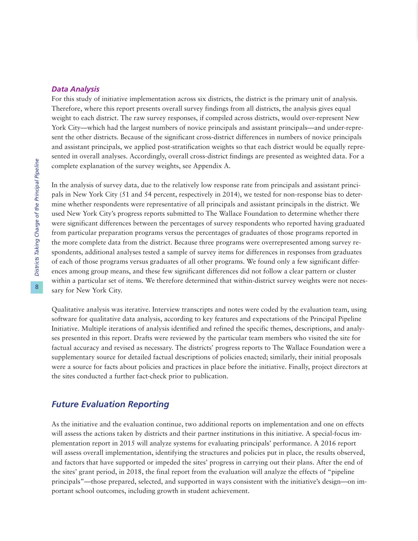#### *Data Analysis*

For this study of initiative implementation across six districts, the district is the primary unit of analysis. Therefore, where this report presents overall survey findings from all districts, the analysis gives equal weight to each district. The raw survey responses, if compiled across districts, would over-represent New York City—which had the largest numbers of novice principals and assistant principals—and under-represent the other districts. Because of the significant cross-district differences in numbers of novice principals and assistant principals, we applied post-stratification weights so that each district would be equally represented in overall analyses. Accordingly, overall cross-district findings are presented as weighted data. For a complete explanation of the survey weights, see Appendix A.

In the analysis of survey data, due to the relatively low response rate from principals and assistant principals in New York City (51 and 54 percent, respectively in 2014), we tested for non-response bias to determine whether respondents were representative of all principals and assistant principals in the district. We used New York City's progress reports submitted to The Wallace Foundation to determine whether there were significant differences between the percentages of survey respondents who reported having graduated from particular preparation programs versus the percentages of graduates of those programs reported in the more complete data from the district. Because three programs were overrepresented among survey respondents, additional analyses tested a sample of survey items for differences in responses from graduates of each of those programs versus graduates of all other programs. We found only a few significant differences among group means, and these few significant differences did not follow a clear pattern or cluster within a particular set of items. We therefore determined that within-district survey weights were not necessary for New York City.

Qualitative analysis was iterative. Interview transcripts and notes were coded by the evaluation team, using software for qualitative data analysis, according to key features and expectations of the Principal Pipeline Initiative. Multiple iterations of analysis identified and refined the specific themes, descriptions, and analyses presented in this report. Drafts were reviewed by the particular team members who visited the site for factual accuracy and revised as necessary. The districts' progress reports to The Wallace Foundation were a supplementary source for detailed factual descriptions of policies enacted; similarly, their initial proposals were a source for facts about policies and practices in place before the initiative. Finally, project directors at the sites conducted a further fact-check prior to publication.

#### *Future Evaluation Reporting*

As the initiative and the evaluation continue, two additional reports on implementation and one on effects will assess the actions taken by districts and their partner institutions in this initiative. A special-focus implementation report in 2015 will analyze systems for evaluating principals' performance. A 2016 report will assess overall implementation, identifying the structures and policies put in place, the results observed, and factors that have supported or impeded the sites' progress in carrying out their plans. After the end of the sites' grant period, in 2018, the final report from the evaluation will analyze the effects of "pipeline principals"—those prepared, selected, and supported in ways consistent with the initiative's design—on important school outcomes, including growth in student achievement.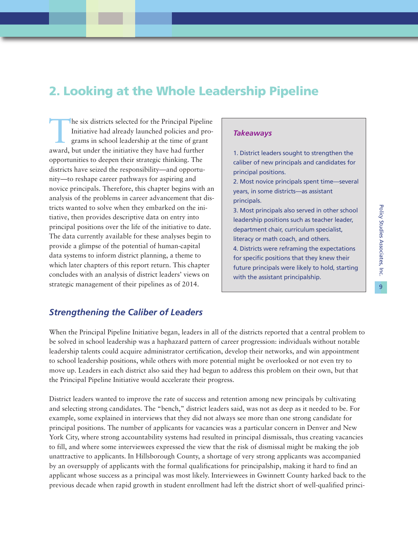## Policy Studies Associates, Inc.

9

### **2. Looking at the Whole Leadership Pipeline**

The six districts selected for the Principal Pipeline Initiative had already launched policies and programs in school leadership at the time of grant award, but under the initiative they have had further opportunities to deepen their strategic thinking. The districts have seized the responsibility—and opportunity—to reshape career pathways for aspiring and novice principals. Therefore, this chapter begins with an analysis of the problems in career advancement that districts wanted to solve when they embarked on the initiative, then provides descriptive data on entry into principal positions over the life of the initiative to date. The data currently available for these analyses begin to provide a glimpse of the potential of human-capital data systems to inform district planning, a theme to which later chapters of this report return. This chapter concludes with an analysis of district leaders' views on strategic management of their pipelines as of 2014.

#### *Takeaways*

1. District leaders sought to strengthen the caliber of new principals and candidates for principal positions.

2. Most novice principals spent time—several years, in some districts—as assistant principals.

3. Most principals also served in other school leadership positions such as teacher leader, department chair, curriculum specialist, literacy or math coach, and others. 4. Districts were reframing the expectations

for specific positions that they knew their future principals were likely to hold, starting with the assistant principalship.

### *Strengthening the Caliber of Leaders*

When the Principal Pipeline Initiative began, leaders in all of the districts reported that a central problem to be solved in school leadership was a haphazard pattern of career progression: individuals without notable leadership talents could acquire administrator certification, develop their networks, and win appointment to school leadership positions, while others with more potential might be overlooked or not even try to move up. Leaders in each district also said they had begun to address this problem on their own, but that the Principal Pipeline Initiative would accelerate their progress.

District leaders wanted to improve the rate of success and retention among new principals by cultivating and selecting strong candidates. The "bench," district leaders said, was not as deep as it needed to be. For example, some explained in interviews that they did not always see more than one strong candidate for principal positions. The number of applicants for vacancies was a particular concern in Denver and New York City, where strong accountability systems had resulted in principal dismissals, thus creating vacancies to fill, and where some interviewees expressed the view that the risk of dismissal might be making the job unattractive to applicants. In Hillsborough County, a shortage of very strong applicants was accompanied by an oversupply of applicants with the formal qualifications for principalship, making it hard to find an applicant whose success as a principal was most likely. Interviewees in Gwinnett County harked back to the previous decade when rapid growth in student enrollment had left the district short of well-qualified princi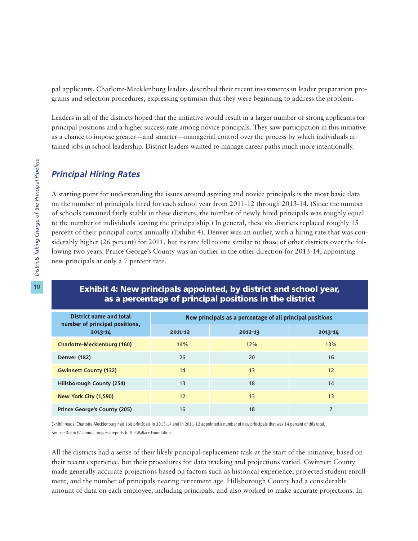pal applicants. Charlotte-Mecklenburg leaders described their recent investments in leader preparation programs and selection procedures, expressing optimism that they were beginning to address the problem.

Leaders in all of the districts hoped that the initiative would result in a larger number of strong applicants for principal positions and a higher success rate among novice principals. They saw participation in this initiative as a chance to impose greater—and smarter—managerial control over the process by which individuals attained jobs in school leadership. District leaders wanted to manage career paths much more intentionally.

### *Principal Hiring Rates*

A starting point for understanding the issues around aspiring and novice principals is the most basic data on the number of principals hired for each school year from 2011-12 through 2013-14. (Since the number of schools remained fairly stable in these districts, the number of newly hired principals was roughly equal to the number of individuals leaving the principalship.) In general, these six districts replaced roughly 15 percent of their principal corps annually (Exhibit 4). Denver was an outlier, with a hiring rate that was considerably higher (26 percent) for 2011, but its rate fell to one similar to those of other districts over the following two years. Prince George's County was an outlier in the other direction for 2013-14, appointing new principals at only a 7 percent rate.

| <b>District name and total</b><br>number of principal positions, | New principals as a percentage of all principal positions |         |         |  |
|------------------------------------------------------------------|-----------------------------------------------------------|---------|---------|--|
| 2013-14                                                          | 2011-12                                                   | 2012-13 | 2013-14 |  |
| <b>Charlotte-Mecklenburg (160)</b>                               | 14%                                                       | 12%     | 13%     |  |
| <b>Denver (182)</b>                                              | 26                                                        | 20      | 16      |  |
| <b>Gwinnett County (132)</b>                                     | 14                                                        | 13      | 12      |  |
| <b>Hillsborough County (254)</b>                                 | 13                                                        | 18      | 14      |  |
| New York City (1,590)                                            | 12                                                        | 13      | 13      |  |
| <b>Prince George's County (205)</b>                              | 16                                                        | 18      |         |  |

### **Exhibit 4: New principals appointed, by district and school year, as a percentage of principal positions in the district**

Exhibit reads: Charlotte-Mecklenburg had 160 principals in 2013-14 and in 2011-12 appointed a number of new principals that was 14 percent of this total. Source: Districts' annual progress reports to The Wallace Foundation.

All the districts had a sense of their likely principal-replacement task at the start of the initiative, based on their recent experience, but their procedures for data tracking and projections varied. Gwinnett County made generally accurate projections based on factors such as historical experience, projected student enrollment, and the number of principals nearing retirement age. Hillsborough County had a considerable amount of data on each employee, including principals, and also worked to make accurate projections. In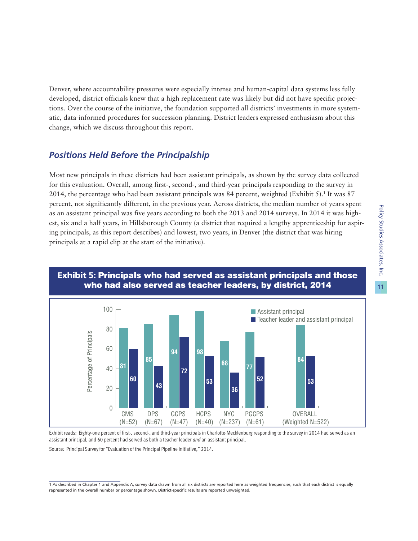Denver, where accountability pressures were especially intense and human-capital data systems less fully developed, district officials knew that a high replacement rate was likely but did not have specific projections. Over the course of the initiative, the foundation supported all districts' investments in more systematic, data-informed procedures for succession planning. District leaders expressed enthusiasm about this change, which we discuss throughout this report.

### *Positions Held Before the Principalship*

Most new principals in these districts had been assistant principals, as shown by the survey data collected for this evaluation. Overall, among first-, second-, and third-year principals responding to the survey in 2014, the percentage who had been assistant principals was 84 percent, weighted (Exhibit 5). <sup>1</sup> It was 87 percent, not significantly different, in the previous year. Across districts, the median number of years spent as an assistant principal was five years according to both the 2013 and 2014 surveys. In 2014 it was highest, six and a half years, in Hillsborough County (a district that required a lengthy apprenticeship for aspiring principals, as this report describes) and lowest, two years, in Denver (the district that was hiring principals at a rapid clip at the start of the initiative).



### **Exhibit 5: Principals who had served as assistant principals and those who had also served as teacher leaders, by district, 2014**

Exhibit reads: Eighty-one percent of first-, second-, and third-year principals in Charlotte-Mecklenburg responding to the survey in 2014 had served as an assistant principal, and 60 percent had served as both a teacher leader *and* an assistant principal.

Source: Principal Survey for "Evaluation of the Principal Pipeline Initiative," 2014.

<sup>1</sup> As described in Chapter 1 and Appendix A, survey data drawn from all six districts are reported here as weighted frequencies, such that each district is equally represented in the overall number or percentage shown. District-specific results are reported unweighted.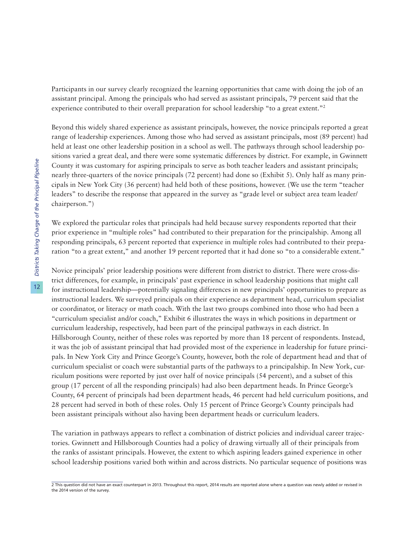Participants in our survey clearly recognized the learning opportunities that came with doing the job of an assistant principal. Among the principals who had served as assistant principals, 79 percent said that the experience contributed to their overall preparation for school leadership "to a great extent."<sup>2</sup>

Beyond this widely shared experience as assistant principals, however, the novice principals reported a great range of leadership experiences. Among those who had served as assistant principals, most (89 percent) had held at least one other leadership position in a school as well. The pathways through school leadership positions varied a great deal, and there were some systematic differences by district. For example, in Gwinnett County it was customary for aspiring principals to serve as both teacher leaders and assistant principals; nearly three-quarters of the novice principals (72 percent) had done so (Exhibit 5). Only half as many principals in New York City (36 percent) had held both of these positions, however. (We use the term "teacher leaders" to describe the response that appeared in the survey as "grade level or subject area team leader/ chairperson.")

We explored the particular roles that principals had held because survey respondents reported that their prior experience in "multiple roles" had contributed to their preparation for the principalship. Among all responding principals, 63 percent reported that experience in multiple roles had contributed to their preparation "to a great extent," and another 19 percent reported that it had done so "to a considerable extent."

Novice principals' prior leadership positions were different from district to district. There were cross-district differences, for example, in principals' past experience in school leadership positions that might call for instructional leadership—potentially signaling differences in new principals' opportunities to prepare as instructional leaders. We surveyed principals on their experience as department head, curriculum specialist or coordinator, or literacy or math coach. With the last two groups combined into those who had been a "curriculum specialist and/or coach," Exhibit 6 illustrates the ways in which positions in department or curriculum leadership, respectively, had been part of the principal pathways in each district. In Hillsborough County, neither of these roles was reported by more than 18 percent of respondents. Instead, it was the job of assistant principal that had provided most of the experience in leadership for future principals. In New York City and Prince George's County, however, both the role of department head and that of curriculum specialist or coach were substantial parts of the pathways to a principalship. In New York, curriculum positions were reported by just over half of novice principals (54 percent), and a subset of this group (17 percent of all the responding principals) had also been department heads. In Prince George's County, 64 percent of principals had been department heads, 46 percent had held curriculum positions, and 28 percent had served in both of these roles. Only 15 percent of Prince George's County principals had been assistant principals without also having been department heads or curriculum leaders.

The variation in pathways appears to reflect a combination of district policies and individual career trajectories. Gwinnett and Hillsborough Counties had a policy of drawing virtually all of their principals from the ranks of assistant principals. However, the extent to which aspiring leaders gained experience in other school leadership positions varied both within and across districts. No particular sequence of positions was

<sup>2</sup> This question did not have an exact counterpart in 2013. Throughout this report, 2014 results are reported alone where a question was newly added or revised in the 2014 version of the survey.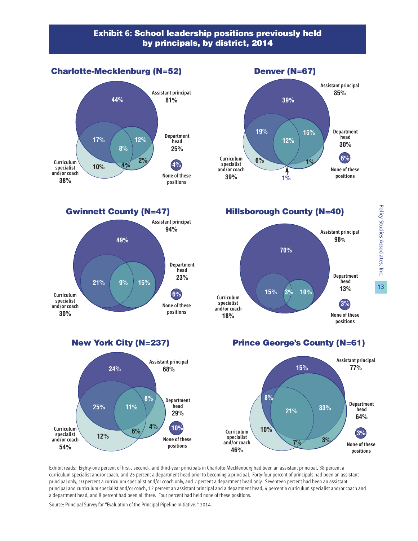### **Exhibit 6: School leadership positions previously held by principals, by district, 2014**













Exhibit reads: Eighty-one percent of first-, second-, and third-year principals in Charlotte-Mecklenburg had been an assistant principal, 38 percent a curriculum specialist and/or coach, and 25 percent a department head prior to becoming a principal. Forty-four percent of principals had been an assistant principal only, 10 percent a curriculum specialist and/orcoach only, and 2 percent a department head only. Seventeen percent had been an assistant principal and curriculum specialist and/or coach, 12 percent an assistant principal and a department head, 4 percent a curriculum specialist and/or coach and a department head, and 8 percent had been all three. Four percent had held none of these positions.

Source: Principal Survey for "Evaluation of the Principal Pipeline Initiative," 2014.

### **New York City (N=237) Prince George's County (N=61)**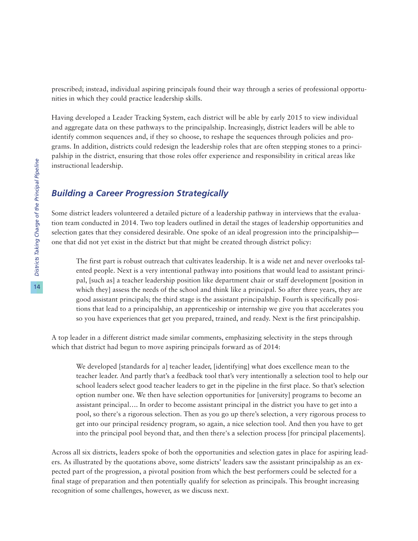prescribed; instead, individual aspiring principals found their way through a series of professional opportunities in which they could practice leadership skills.

Having developed a Leader Tracking System, each district will be able by early 2015 to view individual and aggregate data on these pathways to the principalship. Increasingly, district leaders will be able to identify common sequences and, if they so choose, to reshape the sequences through policies and programs. In addition, districts could redesign the leadership roles that are often stepping stones to a principalship in the district, ensuring that those roles offer experience and responsibility in critical areas like instructional leadership.

### *Building a Career Progression Strategically*

Some district leaders volunteered a detailed picture of a leadership pathway in interviews that the evaluation team conducted in 2014. Two top leaders outlined in detail the stages of leadership opportunities and selection gates that they considered desirable. One spoke of an ideal progression into the principalship one that did not yet exist in the district but that might be created through district policy:

The first part is robust outreach that cultivates leadership. It is a wide net and never overlooks talented people. Next is a very intentional pathway into positions that would lead to assistant principal, [such as] a teacher leadership position like department chair or staff development [position in which they] assess the needs of the school and think like a principal. So after three years, they are good assistant principals; the third stage is the assistant principalship. Fourth is specifically positions that lead to a principalship, an apprenticeship or internship we give you that accelerates you so you have experiences that get you prepared, trained, and ready. Next is the first principalship.

A top leader in a different district made similar comments, emphasizing selectivity in the steps through which that district had begun to move aspiring principals forward as of 2014:

We developed [standards for a] teacher leader, [identifying] what does excellence mean to the teacher leader. And partly that's a feedback tool that's very intentionally a selection tool to help our school leaders select good teacher leaders to get in the pipeline in the first place. So that's selection option number one. We then have selection opportunities for [university] programs to become an assistant principal…. In order to become assistant principal in the district you have to get into a pool, so there's a rigorous selection. Then as you go up there's selection, a very rigorous process to get into our principal residency program, so again, a nice selection tool. And then you have to get into the principal pool beyond that, and then there's a selection process [for principal placements].

Across all six districts, leaders spoke of both the opportunities and selection gates in place for aspiring leaders. As illustrated by the quotations above, some districts' leaders saw the assistant principalship as an expected part of the progression, a pivotal position from which the best performers could be selected for a final stage of preparation and then potentially qualify for selection as principals. This brought increasing recognition of some challenges, however, as we discuss next.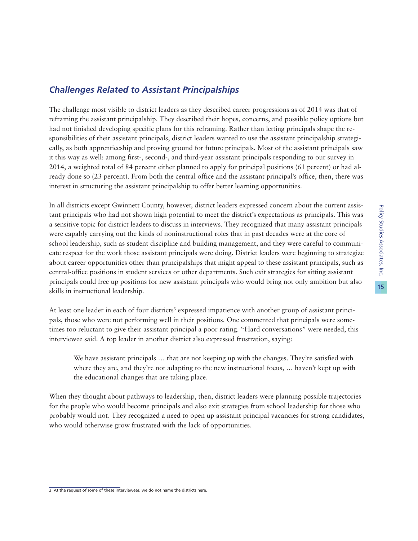### *Challenges Related to Assistant Principalships*

The challenge most visible to district leaders as they described career progressions as of 2014 was that of reframing the assistant principalship. They described their hopes, concerns, and possible policy options but had not finished developing specific plans for this reframing. Rather than letting principals shape the responsibilities of their assistant principals, district leaders wanted to use the assistant principalship strategically, as both apprenticeship and proving ground for future principals. Most of the assistant principals saw it this way as well: among first-, second-, and third-year assistant principals responding to our survey in 2014, a weighted total of 84 percent either planned to apply for principal positions (61 percent) or had already done so (23 percent). From both the central office and the assistant principal's office, then, there was interest in structuring the assistant principalship to offer better learning opportunities.

In all districts except Gwinnett County, however, district leaders expressed concern about the current assistant principals who had not shown high potential to meet the district's expectations as principals. This was a sensitive topic for district leaders to discuss in interviews. They recognized that many assistant principals were capably carrying out the kinds of noninstructional roles that in past decades were at the core of school leadership, such as student discipline and building management, and they were careful to communicate respect for the work those assistant principals were doing. District leaders were beginning to strategize about career opportunities other than principalships that might appeal to these assistant principals, such as central-office positions in student services or other departments. Such exit strategies for sitting assistant principals could free up positions for new assistant principals who would bring not only ambition but also skills in instructional leadership.

At least one leader in each of four districts<sup>3</sup> expressed impatience with another group of assistant principals, those who were not performing well in their positions. One commented that principals were sometimes too reluctant to give their assistant principal a poor rating. "Hard conversations" were needed, this interviewee said. A top leader in another district also expressed frustration, saying:

We have assistant principals … that are not keeping up with the changes. They're satisfied with where they are, and they're not adapting to the new instructional focus, ... haven't kept up with the educational changes that are taking place.

When they thought about pathways to leadership, then, district leaders were planning possible trajectories for the people who would become principals and also exit strategies from school leadership for those who probably would not. They recognized a need to open up assistant principal vacancies for strong candidates, who would otherwise grow frustrated with the lack of opportunities.

3 At the request of some of these interviewees, we do not name the districts here.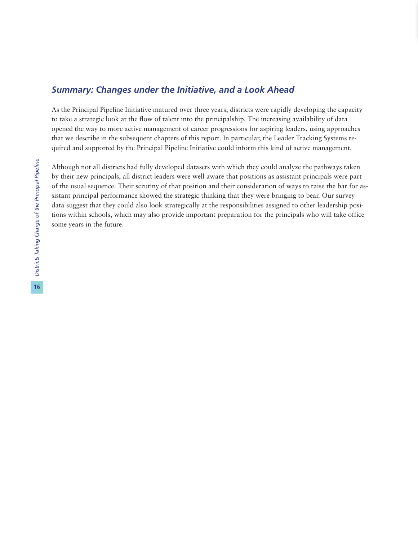### *Summary: Changes under the Initiative, and a Look Ahead*

As the Principal Pipeline Initiative matured over three years, districts were rapidly developing the capacity to take a strategic look at the flow of talent into the principalship. The increasing availability of data opened the way to more active management of career progressions for aspiring leaders, using approaches that we describe in the subsequent chapters of this report. In particular, the Leader Tracking Systems required and supported by the Principal Pipeline Initiative could inform this kind of active management.

Although not all districts had fully developed datasets with which they could analyze the pathways taken by their new principals, all district leaders were well aware that positions as assistant principals were part of the usual sequence. Their scrutiny of that position and their consideration of ways to raise the bar for assistant principal performance showed the strategic thinking that they were bringing to bear. Our survey data suggest that they could also look strategically at the responsibilities assigned to other leadership positions within schools, which may also provide important preparation for the principals who will take office some years in the future.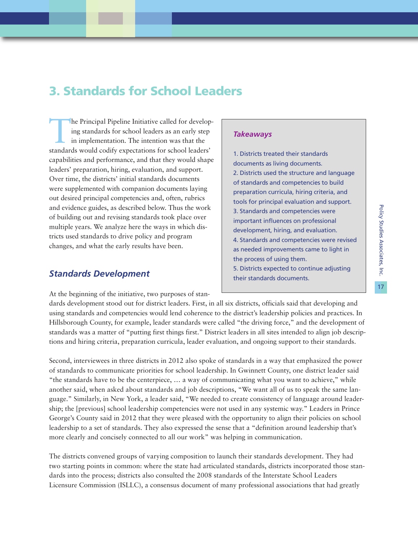### **3. Standards for School Leaders**

The Principal Pipeline Initiative called for developing standards for school leaders as an early step in implementation. The intention was that the standards would codify expectations for school leaders' capabilities and performance, and that they would shape leaders' preparation, hiring, evaluation, and support. Over time, the districts' initial standards documents were supplemented with companion documents laying out desired principal competencies and, often, rubrics and evidence guides, as described below. Thus the work of building out and revising standards took place over multiple years. We analyze here the ways in which districts used standards to drive policy and program changes, and what the early results have been.

### *Standards Development*

At the beginning of the initiative, two purposes of stan-

#### *Takeaways*

1. Districts treated their standards documents as living documents. 2. Districts used the structure and language of standards and competencies to build preparation curricula, hiring criteria, and tools for principal evaluation and support. 3. Standards and competencies were important influences on professional development, hiring, and evaluation. 4. Standards and competencies were revised as needed improvements came to light in the process of using them. 5. Districts expected to continue adjusting

their standards documents.

dards development stood out for district leaders. First, in all six districts, officials said that developing and using standards and competencies would lend coherence to the district's leadership policies and practices. In Hillsborough County, for example, leader standards were called "the driving force," and the development of standards was a matter of "putting first things first." District leaders in all sites intended to align job descriptions and hiring criteria, preparation curricula, leader evaluation, and ongoing support to their standards.

Second, interviewees in three districts in 2012 also spoke of standards in a way that emphasized the power of standards to communicate priorities for school leadership. In Gwinnett County, one district leader said "the standards have to be the centerpiece, … a way of communicating what you want to achieve," while another said, when asked about standards and job descriptions, "We want all of us to speak the same language." Similarly, in New York, a leader said, "We needed to create consistency of language around leadership; the [previous] school leadership competencies were not used in any systemic way." Leaders in Prince George's County said in 2012 that they were pleased with the opportunity to align their policies on school leadership to a set of standards. They also expressed the sense that a "definition around leadership that's more clearly and concisely connected to all our work" was helping in communication.

The districts convened groups of varying composition to launch their standards development. They had two starting points in common: where the state had articulated standards, districts incorporated those standards into the process; districts also consulted the 2008 standards of the Interstate School Leaders Licensure Commission (ISLLC), a consensus document of many professional associations that had greatly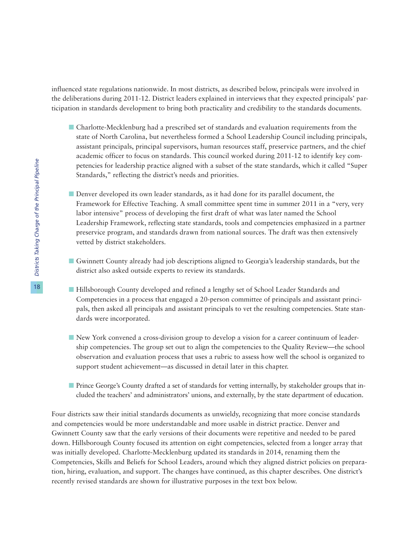influenced state regulations nationwide. In most districts, as described below, principals were involved in the deliberations during 2011-12. District leaders explained in interviews that they expected principals' participation in standards development to bring both practicality and credibility to the standards documents.

- Charlotte-Mecklenburg had a prescribed set of standards and evaluation requirements from the state of North Carolina, but nevertheless formed a School Leadership Council including principals, assistant principals, principal supervisors, human resources staff, preservice partners, and the chief academic officer to focus on standards. This council worked during 2011-12 to identify key competencies for leadership practice aligned with a subset of the state standards, which it called "Super Standards," reflecting the district's needs and priorities.
- Denver developed its own leader standards, as it had done for its parallel document, the Framework for Effective Teaching. A small committee spent time in summer 2011 in a "very, very labor intensive" process of developing the first draft of what was later named the School Leadership Framework, reflecting state standards, tools and competencies emphasized in a partner preservice program, and standards drawn from national sources. The draft was then extensively vetted by district stakeholders.
- Gwinnett County already had job descriptions aligned to Georgia's leadership standards, but the district also asked outside experts to review its standards.
- Hillsborough County developed and refined a lengthy set of School Leader Standards and Competencies in a process that engaged a 20-person committee of principals and assistant principals, then asked all principals and assistant principals to vet the resulting competencies. State standards were incorporated.
- New York convened a cross-division group to develop a vision for a career continuum of leadership competencies. The group set out to align the competencies to the Quality Review—the school observation and evaluation process that uses a rubric to assess how well the school is organized to support student achievement—as discussed in detail later in this chapter.
- Prince George's County drafted a set of standards for vetting internally, by stakeholder groups that included the teachers' and administrators' unions, and externally, by the state department of education.

Four districts saw their initial standards documents as unwieldy, recognizing that more concise standards and competencies would be more understandable and more usable in district practice. Denver and Gwinnett County saw that the early versions of their documents were repetitive and needed to be pared down. Hillsborough County focused its attention on eight competencies, selected from a longer array that was initially developed. Charlotte-Mecklenburg updated its standards in 2014, renaming them the Competencies, Skills and Beliefs for School Leaders, around which they aligned district policies on preparation, hiring, evaluation, and support. The changes have continued, as this chapter describes. One district's recently revised standards are shown for illustrative purposes in the text box below.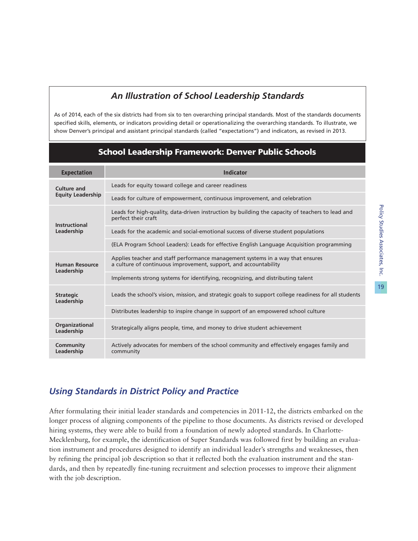### *An Illustration of School Leadership Standards*

As of 2014, each of the six districts had from six to ten overarching principal standards. Most of the standards documents specified skills, elements, or indicators providing detail or operationalizing the overarching standards. To illustrate, we show Denver's principal and assistant principal standards (called "expectations") and indicators, as revised in 2013.

| <b>Expectation</b>                      | Indicator                                                                                                                                          |
|-----------------------------------------|----------------------------------------------------------------------------------------------------------------------------------------------------|
| Culture and<br><b>Equity Leadership</b> | Leads for equity toward college and career readiness                                                                                               |
|                                         | Leads for culture of empowerment, continuous improvement, and celebration                                                                          |
| Instructional<br>Leadership             | Leads for high-quality, data-driven instruction by building the capacity of teachers to lead and<br>perfect their craft                            |
|                                         | Leads for the academic and social-emotional success of diverse student populations                                                                 |
|                                         | (ELA Program School Leaders): Leads for effective English Language Acquisition programming                                                         |
| <b>Human Resource</b><br>Leadership     | Applies teacher and staff performance management systems in a way that ensures<br>a culture of continuous improvement, support, and accountability |
|                                         | Implements strong systems for identifying, recognizing, and distributing talent                                                                    |
| <b>Strategic</b><br>Leadership          | Leads the school's vision, mission, and strategic goals to support college readiness for all students                                              |
|                                         | Distributes leadership to inspire change in support of an empowered school culture                                                                 |
| Organizational<br>Leadership            | Strategically aligns people, time, and money to drive student achievement                                                                          |
| Community<br>Leadership                 | Actively advocates for members of the school community and effectively engages family and<br>community                                             |

### **School Leadership Framework: Denver Public Schools**

### *Using Standards in District Policy and Practice*

After formulating their initial leader standards and competencies in 2011-12, the districts embarked on the longer process of aligning components of the pipeline to those documents. As districts revised or developed hiring systems, they were able to build from a foundation of newly adopted standards. In Charlotte-Mecklenburg, for example, the identification of Super Standards was followed first by building an evaluation instrument and procedures designed to identify an individual leader's strengths and weaknesses, then by refining the principal job description so that it reflected both the evaluation instrument and the standards, and then by repeatedly fine-tuning recruitment and selection processes to improve their alignment with the job description.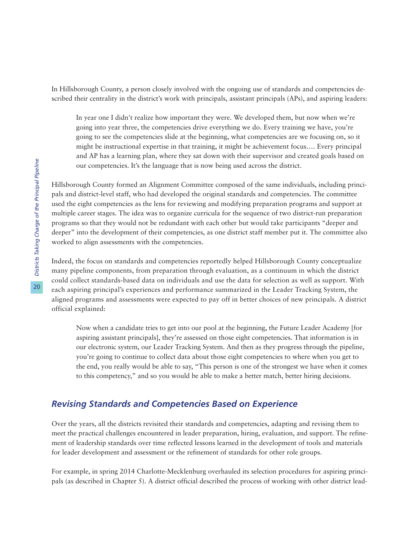In Hillsborough County, a person closely involved with the ongoing use of standards and competencies described their centrality in the district's work with principals, assistant principals (APs), and aspiring leaders:

In year one I didn't realize how important they were. We developed them, but now when we're going into year three, the competencies drive everything we do. Every training we have, you're going to see the competencies slide at the beginning, what competencies are we focusing on, so it might be instructional expertise in that training, it might be achievement focus…. Every principal and AP has a learning plan, where they sat down with their supervisor and created goals based on our competencies. It's the language that is now being used across the district.

Hillsborough County formed an Alignment Committee composed of the same individuals, including principals and district-level staff, who had developed the original standards and competencies. The committee used the eight competencies as the lens for reviewing and modifying preparation programs and support at multiple career stages. The idea was to organize curricula for the sequence of two district-run preparation programs so that they would not be redundant with each other but would take participants "deeper and deeper" into the development of their competencies, as one district staff member put it. The committee also worked to align assessments with the competencies.

Indeed, the focus on standards and competencies reportedly helped Hillsborough County conceptualize many pipeline components, from preparation through evaluation, as a continuum in which the district could collect standards-based data on individuals and use the data for selection as well as support. With each aspiring principal's experiences and performance summarized in the Leader Tracking System, the aligned programs and assessments were expected to pay off in better choices of new principals. A district official explained:

Now when a candidate tries to get into our pool at the beginning, the Future Leader Academy [for aspiring assistant principals], they're assessed on those eight competencies. That information is in our electronic system, our Leader Tracking System. And then as they progress through the pipeline, you're going to continue to collect data about those eight competencies to where when you get to the end, you really would be able to say, "This person is one of the strongest we have when it comes to this competency," and so you would be able to make a better match, better hiring decisions.

### *Revising Standards and Competencies Based on Experience*

Over the years, all the districts revisited their standards and competencies, adapting and revising them to meet the practical challenges encountered in leader preparation, hiring, evaluation, and support. The refinement of leadership standards over time reflected lessons learned in the development of tools and materials for leader development and assessment or the refinement of standards for other role groups.

For example, in spring 2014 Charlotte-Mecklenburg overhauled its selection procedures for aspiring principals (as described in Chapter 5). A district official described the process of working with other district lead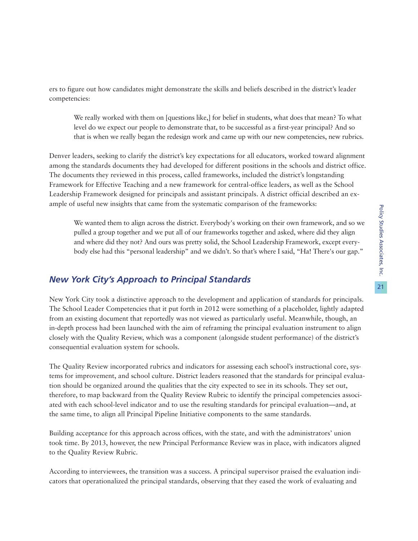ers to figure out how candidates might demonstrate the skills and beliefs described in the district's leader competencies:

We really worked with them on [questions like,] for belief in students, what does that mean? To what level do we expect our people to demonstrate that, to be successful as a first-year principal? And so that is when we really began the redesign work and came up with our new competencies, new rubrics.

Denver leaders, seeking to clarify the district's key expectations for all educators, worked toward alignment among the standards documents they had developed for different positions in the schools and district office. The documents they reviewed in this process, called frameworks, included the district's longstanding Framework for Effective Teaching and a new framework for central-office leaders, as well as the School Leadership Framework designed for principals and assistant principals. A district official described an example of useful new insights that came from the systematic comparison of the frameworks:

We wanted them to align across the district. Everybody's working on their own framework, and so we pulled a group together and we put all of our frameworks together and asked, where did they align and where did they not? And ours was pretty solid, the School Leadership Framework, except everybody else had this "personal leadership" and we didn't. So that's where I said, "Ha! There's our gap."

### *New York City's Approach to Principal Standards*

New York City took a distinctive approach to the development and application of standards for principals. The School Leader Competencies that it put forth in 2012 were something of a placeholder, lightly adapted from an existing document that reportedly was not viewed as particularly useful. Meanwhile, though, an in-depth process had been launched with the aim of reframing the principal evaluation instrument to align closely with the Quality Review, which was a component (alongside student performance) of the district's consequential evaluation system for schools.

The Quality Review incorporated rubrics and indicators for assessing each school's instructional core, systems for improvement, and school culture. District leaders reasoned that the standards for principal evaluation should be organized around the qualities that the city expected to see in its schools. They set out, therefore, to map backward from the Quality Review Rubric to identify the principal competencies associated with each school-level indicator and to use the resulting standards for principal evaluation—and, at the same time, to align all Principal Pipeline Initiative components to the same standards.

Building acceptance for this approach across offices, with the state, and with the administrators' union took time. By 2013, however, the new Principal Performance Review was in place, with indicators aligned to the Quality Review Rubric.

According to interviewees, the transition was a success. A principal supervisor praised the evaluation indicators that operationalized the principal standards, observing that they eased the work of evaluating and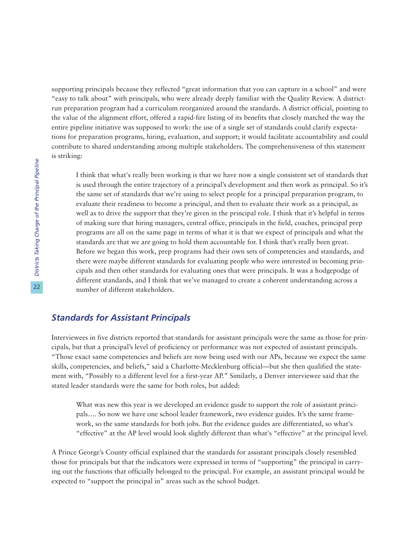supporting principals because they reflected "great information that you can capture in a school" and were "easy to talk about" with principals, who were already deeply familiar with the Quality Review. A districtrun preparation program had a curriculum reorganized around the standards. A district official, pointing to the value of the alignment effort, offered a rapid-fire listing of its benefits that closely matched the way the entire pipeline initiative was supposed to work: the use of a single set of standards could clarify expectations for preparation programs, hiring, evaluation, and support; it would facilitate accountability and could contribute to shared understanding among multiple stakeholders. The comprehensiveness of this statement is striking:

I think that what's really been working is that we have now a single consistent set of standards that is used through the entire trajectory of a principal's development and then work as principal. So it's the same set of standards that we're using to select people for a principal preparation program, to evaluate their readiness to become a principal, and then to evaluate their work as a principal, as well as to drive the support that they're given in the principal role. I think that it's helpful in terms of making sure that hiring managers, central office, principals in the field, coaches, principal prep programs are all on the same page in terms of what it is that we expect of principals and what the standards are that we are going to hold them accountable for. I think that's really been great. Before we began this work, prep programs had their own sets of competencies and standards, and there were maybe different standards for evaluating people who were interested in becoming principals and then other standards for evaluating ones that were principals. It was a hodgepodge of different standards, and I think that we've managed to create a coherent understanding across a number of different stakeholders.

### *Standards for Assistant Principals*

Interviewees in five districts reported that standards for assistant principals were the same as those for principals, but that a principal's level of proficiency or performance was not expected of assistant principals. "Those exact same competencies and beliefs are now being used with our APs, because we expect the same skills, competencies, and beliefs," said a Charlotte-Mecklenburg official—but she then qualified the statement with, "Possibly to a different level for a first-year AP." Similarly, a Denver interviewee said that the stated leader standards were the same for both roles, but added:

What was new this year is we developed an evidence guide to support the role of assistant principals…. So now we have one school leader framework, two evidence guides. It's the same framework, so the same standards for both jobs. But the evidence guides are differentiated, so what's "effective" at the AP level would look slightly different than what's "effective" at the principal level.

A Prince George's County official explained that the standards for assistant principals closely resembled those for principals but that the indicators were expressed in terms of "supporting" the principal in carrying out the functions that officially belonged to the principal. For example, an assistant principal would be expected to "support the principal in" areas such as the school budget.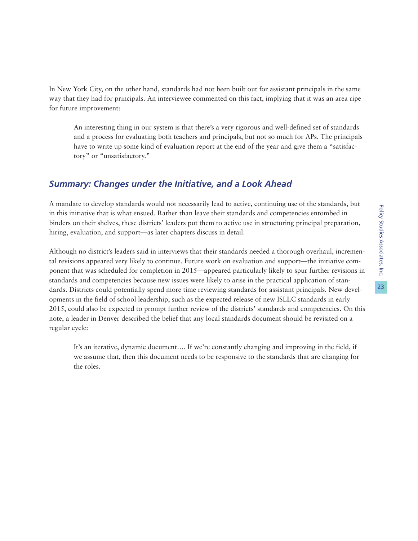In New York City, on the other hand, standards had not been built out for assistant principals in the same way that they had for principals. An interviewee commented on this fact, implying that it was an area ripe for future improvement:

An interesting thing in our system is that there's a very rigorous and well-defined set of standards and a process for evaluating both teachers and principals, but not so much for APs. The principals have to write up some kind of evaluation report at the end of the year and give them a "satisfactory" or "unsatisfactory."

### *Summary: Changes under the Initiative, and a Look Ahead*

A mandate to develop standards would not necessarily lead to active, continuing use of the standards, but in this initiative that is what ensued. Rather than leave their standards and competencies entombed in binders on their shelves, these districts' leaders put them to active use in structuring principal preparation, hiring, evaluation, and support—as later chapters discuss in detail.

Although no district's leaders said in interviews that their standards needed a thorough overhaul, incremental revisions appeared very likely to continue. Future work on evaluation and support—the initiative component that was scheduled for completion in 2015—appeared particularly likely to spur further revisions in standards and competencies because new issues were likely to arise in the practical application of standards. Districts could potentially spend more time reviewing standards for assistant principals. New developments in the field of school leadership, such as the expected release of new ISLLC standards in early 2015, could also be expected to prompt further review of the districts' standards and competencies. On this note, a leader in Denver described the belief that any local standards document should be revisited on a regular cycle:

It's an iterative, dynamic document…. If we're constantly changing and improving in the field, if we assume that, then this document needs to be responsive to the standards that are changing for the roles.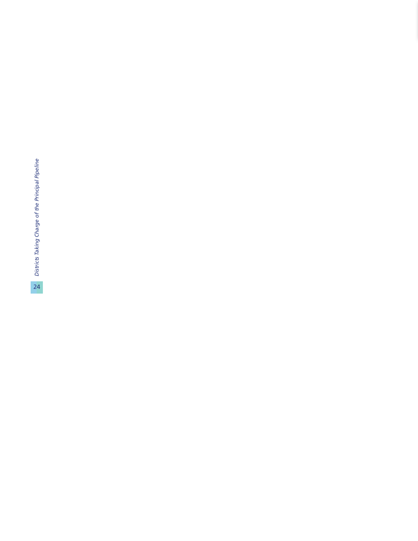*Districts Taking Charge of the Principal Pipeline* 24 Districts Taking Charge of the Principal Pipeline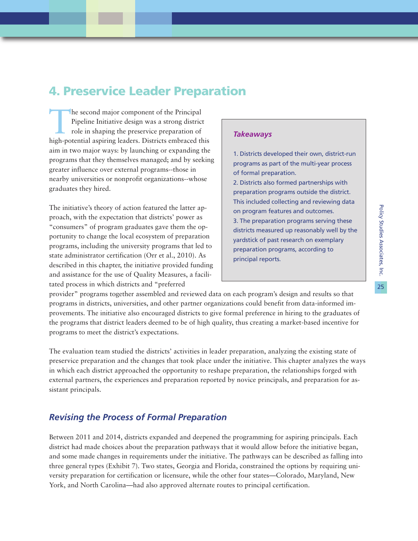# **4. Preservice Leader Preparation**

The second major component of the Principal<br>Pipeline Initiative design was a strong district<br>role in shaping the preservice preparation of<br>high-potential aspiring leaders. Districts embraced t Pipeline Initiative design was a strong district role in shaping the preservice preparation of high-potential aspiring leaders. Districts embraced this aim in two major ways: by launching or expanding the programs that they themselves managed; and by seeking greater influence over external programs--those in nearby universities or nonprofit organizations--whose graduates they hired.

The initiative's theory of action featured the latter approach, with the expectation that districts' power as "consumers" of program graduates gave them the opportunity to change the local ecosystem of preparation programs, including the university programs that led to state administrator certification (Orr et al., 2010). As described in this chapter, the initiative provided funding and assistance for the use of Quality Measures, a facilitated process in which districts and "preferred

## *Takeaways*

1. Districts developed their own, district-run programs as part of the multi-year process of formal preparation.

2. Districts also formed partnerships with preparation programs outside the district. This included collecting and reviewing data on program features and outcomes. 3. The preparation programs serving these districts measured up reasonably well by the yardstick of past research on exemplary preparation programs, according to principal reports.

provider" programs together assembled and reviewed data on each program's design and results so that programs in districts, universities, and other partner organizations could benefit from data-informed improvements. The initiative also encouraged districts to give formal preference in hiring to the graduates of the programs that district leaders deemed to be of high quality, thus creating a market-based incentive for programs to meet the district's expectations.

The evaluation team studied the districts' activities in leader preparation, analyzing the existing state of preservice preparation and the changes that took place under the initiative. This chapter analyzes the ways in which each district approached the opportunity to reshape preparation, the relationships forged with external partners, the experiences and preparation reported by novice principals, and preparation for assistant principals.

# *Revising the Process of Formal Preparation*

Between 2011 and 2014, districts expanded and deepened the programming for aspiring principals. Each district had made choices about the preparation pathways that it would allow before the initiative began, and some made changes in requirements under the initiative. The pathways can be described as falling into three general types (Exhibit 7). Two states, Georgia and Florida, constrained the options by requiring university preparation for certification or licensure, while the other four states—Colorado, Maryland, New York, and North Carolina—had also approved alternate routes to principal certification.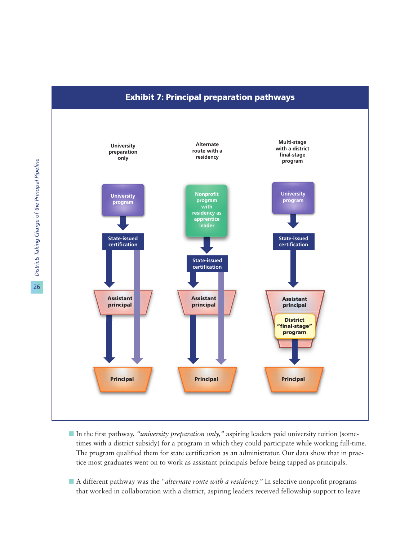# **Exhibit 7: Principal preparation pathways**



- In the first pathway, *"university preparation only,"* aspiring leaders paid university tuition (sometimes with a district subsidy) for a program in which they could participate while working full-time. The program qualified them for state certification as an administrator. Our data show that in practice most graduates went on to work as assistant principals before being tapped as principals.
- A different pathway was the *"alternate route with a residency*." In selective nonprofit programs that worked in collaboration with a district, aspiring leaders received fellowship support to leave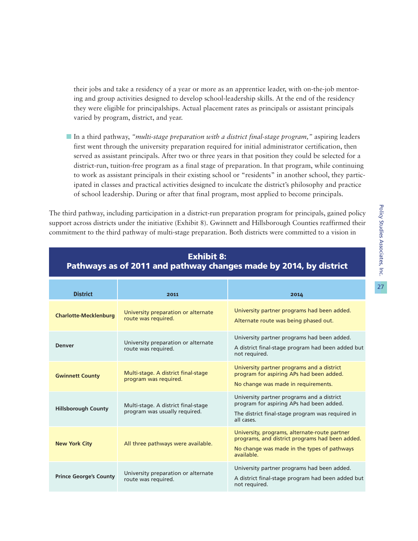their jobs and take a residency of a year or more as an apprentice leader, with on-the-job mentoring and group activities designed to develop school-leadership skills. At the end of the residency they were eligible for principalships. Actual placement rates as principals or assistant principals varied by program, district, and year.

■ In a third pathway, *"multi-stage preparation with a district final-stage program,"* aspiring leaders first went through the university preparation required for initial administrator certification, then served as assistant principals. After two or three years in that position they could be selected for a district-run, tuition-free program as a final stage of preparation. In that program, while continuing to work as assistant principals in their existing school or "residents" in another school, they participated in classes and practical activities designed to inculcate the district's philosophy and practice of school leadership. During or after that final program, most applied to become principals.

The third pathway, including participation in a district-run preparation program for principals, gained policy support across districts under the initiative (Exhibit 8). Gwinnett and Hillsborough Counties reaffirmed their commitment to the third pathway of multi-stage preparation. Both districts were committed to a vision in

| <b>District</b>               | 2011                                                                 | 2014                                                                                                                                                          |
|-------------------------------|----------------------------------------------------------------------|---------------------------------------------------------------------------------------------------------------------------------------------------------------|
| <b>Charlotte-Mecklenburg</b>  | University preparation or alternate<br>route was required.           | University partner programs had been added.<br>Alternate route was being phased out.                                                                          |
| <b>Denver</b>                 | University preparation or alternate<br>route was required.           | University partner programs had been added.<br>A district final-stage program had been added but<br>not required.                                             |
| <b>Gwinnett County</b>        | Multi-stage. A district final-stage<br>program was required.         | University partner programs and a district<br>program for aspiring APs had been added.<br>No change was made in requirements.                                 |
| <b>Hillsborough County</b>    | Multi-stage. A district final-stage<br>program was usually required. | University partner programs and a district<br>program for aspiring APs had been added.<br>The district final-stage program was required in<br>all cases.      |
| <b>New York City</b>          | All three pathways were available.                                   | University, programs, alternate-route partner<br>programs, and district programs had been added.<br>No change was made in the types of pathways<br>available. |
| <b>Prince George's County</b> | University preparation or alternate<br>route was required.           | University partner programs had been added.<br>A district final-stage program had been added but<br>not required.                                             |

# **Exhibit 8:**

# **Pathways as of 2011 and pathway changes made by 2014, by district**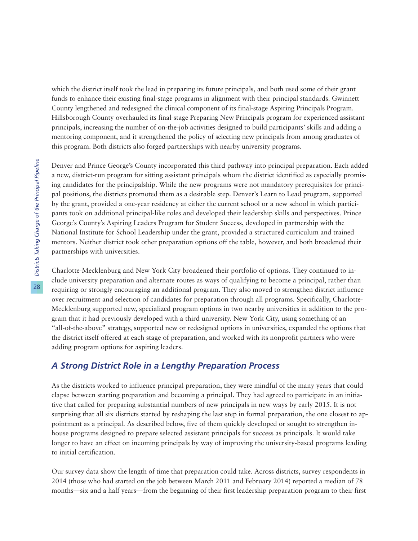which the district itself took the lead in preparing its future principals, and both used some of their grant funds to enhance their existing final-stage programs in alignment with their principal standards. Gwinnett County lengthened and redesigned the clinical component of its final-stage Aspiring Principals Program. Hillsborough County overhauled its final-stage Preparing New Principals program for experienced assistant principals, increasing the number of on-the-job activities designed to build participants' skills and adding a mentoring component, and it strengthened the policy of selecting new principals from among graduates of this program. Both districts also forged partnerships with nearby university programs.

Denver and Prince George's County incorporated this third pathway into principal preparation. Each added a new, district-run program for sitting assistant principals whom the district identified as especially promising candidates for the principalship. While the new programs were not mandatory prerequisites for principal positions, the districts promoted them as a desirable step. Denver's Learn to Lead program, supported by the grant, provided a one-year residency at either the current school or a new school in which participants took on additional principal-like roles and developed their leadership skills and perspectives. Prince George's County's Aspiring Leaders Program for Student Success, developed in partnership with the National Institute for School Leadership under the grant, provided a structured curriculum and trained mentors. Neither district took other preparation options off the table, however, and both broadened their partnerships with universities.

Charlotte-Mecklenburg and New York City broadened their portfolio of options. They continued to include university preparation and alternate routes as ways of qualifying to become a principal, rather than requiring or strongly encouraging an additional program. They also moved to strengthen district influence over recruitment and selection of candidates for preparation through all programs. Specifically, Charlotte-Mecklenburg supported new, specialized program options in two nearby universities in addition to the program that it had previously developed with a third university. New York City, using something of an "all-of-the-above" strategy, supported new or redesigned options in universities, expanded the options that the district itself offered at each stage of preparation, and worked with its nonprofit partners who were adding program options for aspiring leaders.

# *A Strong District Role in a Lengthy Preparation Process*

As the districts worked to influence principal preparation, they were mindful of the many years that could elapse between starting preparation and becoming a principal. They had agreed to participate in an initiative that called for preparing substantial numbers of new principals in new ways by early 2015. It is not surprising that all six districts started by reshaping the last step in formal preparation, the one closest to appointment as a principal. As described below, five of them quickly developed or sought to strengthen inhouse programs designed to prepare selected assistant principals for success as principals. It would take longer to have an effect on incoming principals by way of improving the university-based programs leading to initial certification.

Our survey data show the length of time that preparation could take. Across districts, survey respondents in 2014 (those who had started on the job between March 2011 and February 2014) reported a median of 78 months—six and a half years—from the beginning of their first leadership preparation program to their first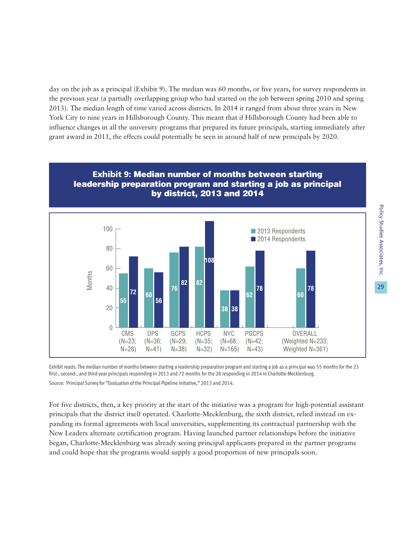day on the job as a principal (Exhibit 9). The median was 60 months, or five years, for survey respondents in the previous year (a partially overlapping group who had started on the job between spring 2010 and spring 2013). The median length of time varied across districts. In 2014 it ranged from about three years in New York City to nine years in Hillsborough County. This meant that if Hillsborough County had been able to influence changes in all the university programs that prepared its future principals, starting immediately after grant award in 2011, the effects could potentially be seen in around half of new principals by 2020.



Exhibit reads: The median number of months between starting a leadership preparation program and starting a job as a principal was 55 months for the 23 first-, second-, and third-year principals responding in 2013 and 72 months for the 28 responding in 2014 in Charlotte-Mecklenburg. Source: Principal Survey for "Evaluation of the Principal Pipeline Initiative," 2013 and 2014.

For five districts, then, a key priority at the start of the initiative was a program for high-potential assistant principals that the district itself operated. Charlotte-Mecklenburg, the sixth district, relied instead on expanding its formal agreements with local universities, supplementing its contractual partnership with the New Leaders alternate certification program. Having launched partner relationships before the initiative began, Charlotte-Mecklenburg was already seeing principal applicants prepared in the partner programs and could hope that the programs would supply a good proportion of new principals soon.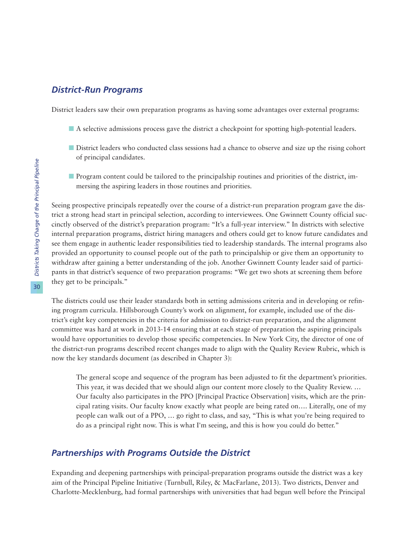## *District-Run Programs*

District leaders saw their own preparation programs as having some advantages over external programs:

- A selective admissions process gave the district a checkpoint for spotting high-potential leaders.
- District leaders who conducted class sessions had a chance to observe and size up the rising cohort of principal candidates.
- Program content could be tailored to the principalship routines and priorities of the district, immersing the aspiring leaders in those routines and priorities.

Seeing prospective principals repeatedly over the course of a district-run preparation program gave the district a strong head start in principal selection, according to interviewees. One Gwinnett County official succinctly observed of the district's preparation program: "It's a full-year interview." In districts with selective internal preparation programs, district hiring managers and others could get to know future candidates and see them engage in authentic leader responsibilities tied to leadership standards. The internal programs also provided an opportunity to counsel people out of the path to principalship or give them an opportunity to withdraw after gaining a better understanding of the job. Another Gwinnett County leader said of participants in that district's sequence of two preparation programs: "We get two shots at screening them before they get to be principals."

The districts could use their leader standards both in setting admissions criteria and in developing or refining program curricula. Hillsborough County's work on alignment, for example, included use of the district's eight key competencies in the criteria for admission to district-run preparation, and the alignment committee was hard at work in 2013-14 ensuring that at each stage of preparation the aspiring principals would have opportunities to develop those specific competencies. In New York City, the director of one of the district-run programs described recent changes made to align with the Quality Review Rubric, which is now the key standards document (as described in Chapter 3):

The general scope and sequence of the program has been adjusted to fit the department's priorities. This year, it was decided that we should align our content more closely to the Quality Review. … Our faculty also participates in the PPO [Principal Practice Observation] visits, which are the principal rating visits. Our faculty know exactly what people are being rated on…. Literally, one of my people can walk out of a PPO, … go right to class, and say, "This is what you're being required to do as a principal right now. This is what I'm seeing, and this is how you could do better."

## *Partnerships with Programs Outside the District*

Expanding and deepening partnerships with principal-preparation programs outside the district was a key aim of the Principal Pipeline Initiative (Turnbull, Riley, & MacFarlane, 2013). Two districts, Denver and Charlotte-Mecklenburg, had formal partnerships with universities that had begun well before the Principal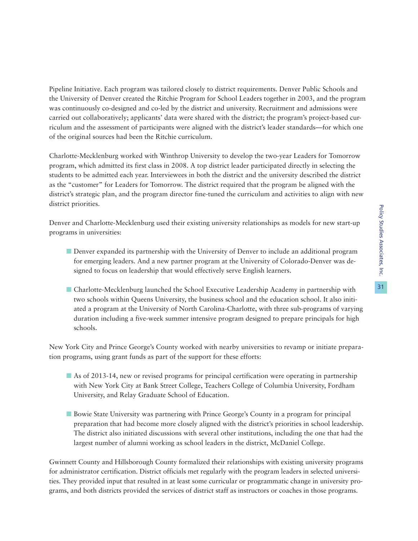Pipeline Initiative. Each program was tailored closely to district requirements. Denver Public Schools and the University of Denver created the Ritchie Program for School Leaders together in 2003, and the program was continuously co-designed and co-led by the district and university. Recruitment and admissions were carried out collaboratively; applicants' data were shared with the district; the program's project-based curriculum and the assessment of participants were aligned with the district's leader standards—for which one of the original sources had been the Ritchie curriculum.

Charlotte-Mecklenburg worked with Winthrop University to develop the two-year Leaders for Tomorrow program, which admitted its first class in 2008. A top district leader participated directly in selecting the students to be admitted each year. Interviewees in both the district and the university described the district as the "customer" for Leaders for Tomorrow. The district required that the program be aligned with the district's strategic plan, and the program director fine-tuned the curriculum and activities to align with new district priorities.

Denver and Charlotte-Mecklenburg used their existing university relationships as models for new start-up programs in universities:

- Denver expanded its partnership with the University of Denver to include an additional program for emerging leaders. And a new partner program at the University of Colorado-Denver was designed to focus on leadership that would effectively serve English learners.
- Charlotte-Mecklenburg launched the School Executive Leadership Academy in partnership with two schools within Queens University, the business school and the education school. It also initiated a program at the University of North Carolina-Charlotte, with three sub-programs of varying duration including a five-week summer intensive program designed to prepare principals for high schools.

New York City and Prince George's County worked with nearby universities to revamp or initiate preparation programs, using grant funds as part of the support for these efforts:

- As of 2013-14, new or revised programs for principal certification were operating in partnership with New York City at Bank Street College, Teachers College of Columbia University, Fordham University, and Relay Graduate School of Education.
- Bowie State University was partnering with Prince George's County in a program for principal preparation that had become more closely aligned with the district's priorities in school leadership. The district also initiated discussions with several other institutions, including the one that had the largest number of alumni working as school leaders in the district, McDaniel College.

Gwinnett County and Hillsborough County formalized their relationships with existing university programs for administrator certification. District officials met regularly with the program leaders in selected universities. They provided input that resulted in at least some curricular or programmatic change in university programs, and both districts provided the services of district staff as instructors or coaches in those programs.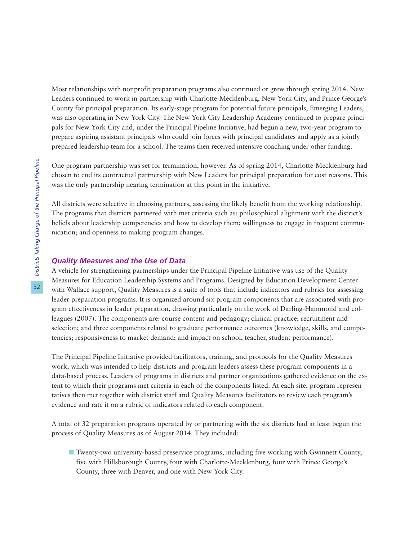Most relationships with nonprofit preparation programs also continued or grew through spring 2014. New Leaders continued to work in partnership with Charlotte-Mecklenburg, New York City, and Prince George's County for principal preparation. Its early-stage program for potential future principals, Emerging Leaders, was also operating in New York City. The New York City Leadership Academy continued to prepare principals for New York City and, under the Principal Pipeline Initiative, had begun a new, two-year program to prepare aspiring assistant principals who could join forces with principal candidates and apply as a jointly prepared leadership team for a school. The teams then received intensive coaching under other funding.

One program partnership was set for termination, however. As of spring 2014, Charlotte-Mecklenburg had chosen to end its contractual partnership with New Leaders for principal preparation for cost reasons. This was the only partnership nearing termination at this point in the initiative.

All districts were selective in choosing partners, assessing the likely benefit from the working relationship. The programs that districts partnered with met criteria such as: philosophical alignment with the district's beliefs about leadership competencies and how to develop them; willingness to engage in frequent communication; and openness to making program changes.

#### *Quality Measures and the Use of Data*

A vehicle for strengthening partnerships under the Principal Pipeline Initiative was use of the Quality Measures for Education Leadership Systems and Programs. Designed by Education Development Center with Wallace support, Quality Measures is a suite of tools that include indicators and rubrics for assessing leader preparation programs. It is organized around six program components that are associated with program effectiveness in leader preparation, drawing particularly on the work of Darling-Hammond and colleagues (2007). The components are: course content and pedagogy; clinical practice; recruitment and selection; and three components related to graduate performance outcomes (knowledge, skills, and competencies; responsiveness to market demand; and impact on school, teacher, student performance).

The Principal Pipeline Initiative provided facilitators, training, and protocols for the Quality Measures work, which was intended to help districts and program leaders assess these program components in a data-based process. Leaders of programs in districts and partner organizations gathered evidence on the extent to which their programs met criteria in each of the components listed. At each site, program representatives then met together with district staff and Quality Measures facilitators to review each program's evidence and rate it on a rubric of indicators related to each component.

A total of 32 preparation programs operated by or partnering with the six districts had at least begun the process of Quality Measures as of August 2014. They included:

■ Twenty-two university-based preservice programs, including five working with Gwinnett County, five with Hillsborough County, four with Charlotte-Mecklenburg, four with Prince George's County, three with Denver, and one with New York City.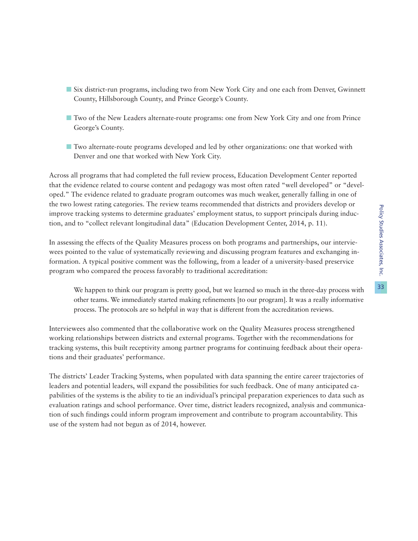- Six district-run programs, including two from New York City and one each from Denver, Gwinnett County, Hillsborough County, and Prince George's County.
- Two of the New Leaders alternate-route programs: one from New York City and one from Prince George's County.
- Two alternate-route programs developed and led by other organizations: one that worked with Denver and one that worked with New York City.

Across all programs that had completed the full review process, Education Development Center reported that the evidence related to course content and pedagogy was most often rated "well developed" or "developed." The evidence related to graduate program outcomes was much weaker, generally falling in one of the two lowest rating categories. The review teams recommended that districts and providers develop or improve tracking systems to determine graduates' employment status, to support principals during induction, and to "collect relevant longitudinal data" (Education Development Center, 2014, p. 11).

In assessing the effects of the Quality Measures process on both programs and partnerships, our interviewees pointed to the value of systematically reviewing and discussing program features and exchanging information. A typical positive comment was the following, from a leader of a university-based preservice program who compared the process favorably to traditional accreditation:

We happen to think our program is pretty good, but we learned so much in the three-day process with other teams. We immediately started making refinements [to our program]. It was a really informative process. The protocols are so helpful in way that is different from the accreditation reviews.

Interviewees also commented that the collaborative work on the Quality Measures process strengthened working relationships between districts and external programs. Together with the recommendations for tracking systems, this built receptivity among partner programs for continuing feedback about their operations and their graduates' performance.

The districts' Leader Tracking Systems, when populated with data spanning the entire career trajectories of leaders and potential leaders, will expand the possibilities for such feedback. One of many anticipated capabilities of the systems is the ability to tie an individual's principal preparation experiences to data such as evaluation ratings and school performance. Over time, district leaders recognized, analysis and communication of such findings could inform program improvement and contribute to program accountability. This use of the system had not begun as of 2014, however.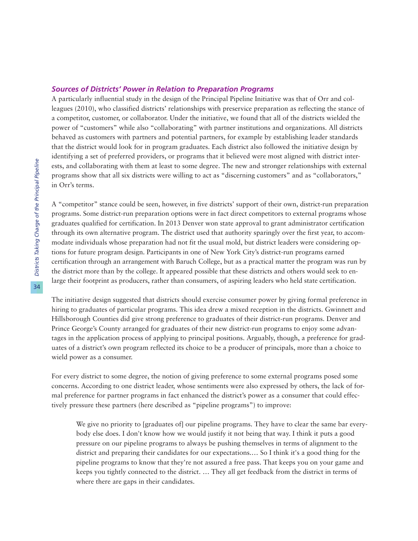#### *Sources of Districts' Power in Relation to Preparation Programs*

A particularly influential study in the design of the Principal Pipeline Initiative was that of Orr and colleagues (2010), who classified districts' relationships with preservice preparation as reflecting the stance of a competitor, customer, or collaborator. Under the initiative, we found that all of the districts wielded the power of "customers" while also "collaborating" with partner institutions and organizations. All districts behaved as customers with partners and potential partners, for example by establishing leader standards that the district would look for in program graduates. Each district also followed the initiative design by identifying a set of preferred providers, or programs that it believed were most aligned with district interests, and collaborating with them at least to some degree. The new and stronger relationships with external programs show that all six districts were willing to act as "discerning customers" and as "collaborators," in Orr's terms.

A "competitor" stance could be seen, however, in five districts' support of their own, district-run preparation programs. Some district-run preparation options were in fact direct competitors to external programs whose graduates qualified for certification. In 2013 Denver won state approval to grant administrator certification through its own alternative program. The district used that authority sparingly over the first year, to accommodate individuals whose preparation had not fit the usual mold, but district leaders were considering options for future program design. Participants in one of New York City's district-run programs earned certification through an arrangement with Baruch College, but as a practical matter the program was run by the district more than by the college. It appeared possible that these districts and others would seek to enlarge their footprint as producers, rather than consumers, of aspiring leaders who held state certification.

The initiative design suggested that districts should exercise consumer power by giving formal preference in hiring to graduates of particular programs. This idea drew a mixed reception in the districts. Gwinnett and Hillsborough Counties did give strong preference to graduates of their district-run programs. Denver and Prince George's County arranged for graduates of their new district-run programs to enjoy some advantages in the application process of applying to principal positions. Arguably, though, a preference for graduates of a district's own program reflected its choice to be a producer of principals, more than a choice to wield power as a consumer.

For every district to some degree, the notion of giving preference to some external programs posed some concerns. According to one district leader, whose sentiments were also expressed by others, the lack of formal preference for partner programs in fact enhanced the district's power as a consumer that could effectively pressure these partners (here described as "pipeline programs") to improve:

We give no priority to [graduates of] our pipeline programs. They have to clear the same bar everybody else does. I don't know how we would justify it not being that way. I think it puts a good pressure on our pipeline programs to always be pushing themselves in terms of alignment to the district and preparing their candidates for our expectations.… So I think it's a good thing for the pipeline programs to know that they're not assured a free pass. That keeps you on your game and keeps you tightly connected to the district. … They all get feedback from the district in terms of where there are gaps in their candidates.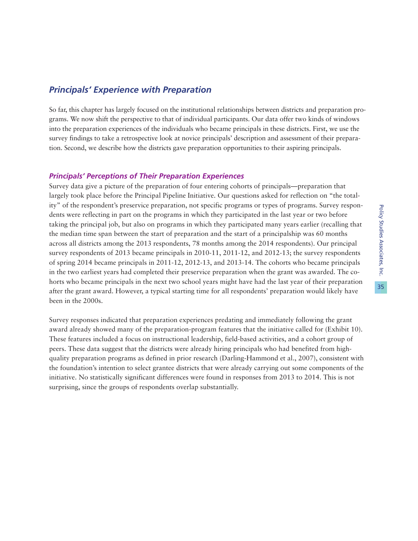# *Principals' Experience with Preparation*

So far, this chapter has largely focused on the institutional relationships between districts and preparation programs. We now shift the perspective to that of individual participants. Our data offer two kinds of windows into the preparation experiences of the individuals who became principals in these districts. First, we use the survey findings to take a retrospective look at novice principals' description and assessment of their preparation. Second, we describe how the districts gave preparation opportunities to their aspiring principals.

### *Principals' Perceptions of Their Preparation Experiences*

Survey data give a picture of the preparation of four entering cohorts of principals—preparation that largely took place before the Principal Pipeline Initiative. Our questions asked for reflection on "the totality" of the respondent's preservice preparation, not specific programs or types of programs. Survey respondents were reflecting in part on the programs in which they participated in the last year or two before taking the principal job, but also on programs in which they participated many years earlier (recalling that the median time span between the start of preparation and the start of a principalship was 60 months across all districts among the 2013 respondents, 78 months among the 2014 respondents). Our principal survey respondents of 2013 became principals in 2010-11, 2011-12, and 2012-13; the survey respondents of spring 2014 became principals in 2011-12, 2012-13, and 2013-14. The cohorts who became principals in the two earliest years had completed their preservice preparation when the grant was awarded. The cohorts who became principals in the next two school years might have had the last year of their preparation after the grant award. However, a typical starting time for all respondents' preparation would likely have been in the 2000s.

Survey responses indicated that preparation experiences predating and immediately following the grant award already showed many of the preparation-program features that the initiative called for (Exhibit 10). These features included a focus on instructional leadership, field-based activities, and a cohort group of peers. These data suggest that the districts were already hiring principals who had benefited from highquality preparation programs as defined in prior research (Darling-Hammond et al., 2007), consistent with the foundation's intention to select grantee districts that were already carrying out some components of the initiative. No statistically significant differences were found in responses from 2013 to 2014. This is not surprising, since the groups of respondents overlap substantially.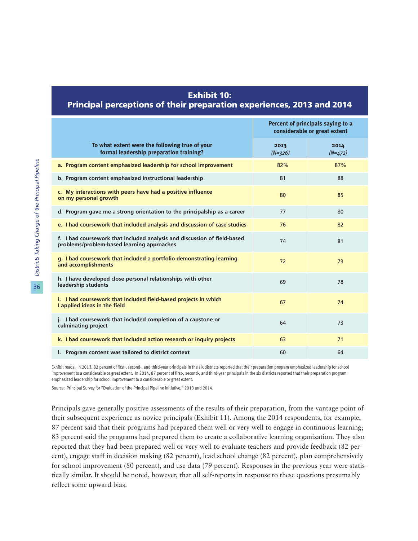|                                                                                                                        | Percent of principals saying to a<br>considerable or great extent |                   |
|------------------------------------------------------------------------------------------------------------------------|-------------------------------------------------------------------|-------------------|
| To what extent were the following true of your<br>formal leadership preparation training?                              | 2013<br>$(N=326)$                                                 | 2014<br>$(N=472)$ |
| a. Program content emphasized leadership for school improvement                                                        | 82%                                                               | 87%               |
| b. Program content emphasized instructional leadership                                                                 | 81                                                                | 88                |
| c. My interactions with peers have had a positive influence<br>on my personal growth                                   | 80                                                                | 85                |
| d. Program gave me a strong orientation to the principalship as a career                                               | 77                                                                | 80                |
| e. I had coursework that included analysis and discussion of case studies                                              | 76                                                                | 82                |
| f. I had coursework that included analysis and discussion of field-based<br>problems/problem-based learning approaches | 74                                                                | 81                |
| g. I had coursework that included a portfolio demonstrating learning<br>and accomplishments                            | 72                                                                | 73                |
| h. I have developed close personal relationships with other<br>leadership students                                     | 69                                                                | 78                |
| i. I had coursework that included field-based projects in which<br>I applied ideas in the field                        | 67                                                                | 74                |
| j. I had coursework that included completion of a capstone or<br>culminating project                                   | 64                                                                | 73                |
| k. I had coursework that included action research or inquiry projects                                                  | 63                                                                | 71                |
| I. Program content was tailored to district context                                                                    | 60                                                                | 64                |

**Exhibit 10: Principal perceptions of their preparation experiences, 2013 and 2014**

Exhibit reads: In 2013, 82 percent of first-, second-, and third-year principals in the six districts reported that their preparation program emphasized leadership for school improvement to a considerable or great extent. In 2014, 87 percent of first-, second-, and third-year principals in the six districts reported that their preparation program emphasized leadership for school improvement to a considerable or great extent.

Source: Principal Survey for "Evaluation of the Principal Pipeline Initiative," 2013 and 2014.

Principals gave generally positive assessments of the results of their preparation, from the vantage point of their subsequent experience as novice principals (Exhibit 11). Among the 2014 respondents, for example, 87 percent said that their programs had prepared them well or very well to engage in continuous learning; 83 percent said the programs had prepared them to create a collaborative learning organization. They also reported that they had been prepared well or very well to evaluate teachers and provide feedback (82 percent), engage staff in decision making (82 percent), lead school change (82 percent), plan comprehensively for school improvement (80 percent), and use data (79 percent). Responses in the previous year were statistically similar. It should be noted, however, that all self-reports in response to these questions presumably reflect some upward bias.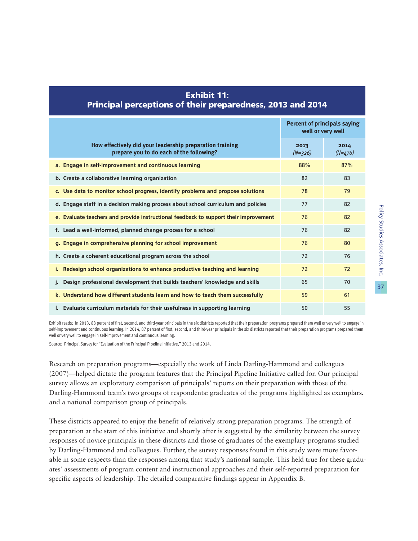| <b>Principal perceptions of their preparedness, 2013 and 2014</b>                                    |                                                          |                   |  |  |
|------------------------------------------------------------------------------------------------------|----------------------------------------------------------|-------------------|--|--|
|                                                                                                      | <b>Percent of principals saying</b><br>well or very well |                   |  |  |
| How effectively did your leadership preparation training<br>prepare you to do each of the following? | 2013<br>$(N=326)$                                        | 2014<br>$(N=476)$ |  |  |
| a. Engage in self-improvement and continuous learning                                                | 88%                                                      | 87%               |  |  |
| b. Create a collaborative learning organization                                                      | 82                                                       | 83                |  |  |
| c. Use data to monitor school progress, identify problems and propose solutions                      | 78                                                       | 79                |  |  |
| d. Engage staff in a decision making process about school curriculum and policies                    | 77                                                       | 82                |  |  |
| e. Evaluate teachers and provide instructional feedback to support their improvement                 | 76                                                       | 82                |  |  |
| f. Lead a well-informed, planned change process for a school                                         | 76                                                       | 82                |  |  |
| g. Engage in comprehensive planning for school improvement                                           | 76                                                       | 80                |  |  |
| h. Create a coherent educational program across the school                                           | 72                                                       | 76                |  |  |
| Redesign school organizations to enhance productive teaching and learning<br>i.                      | 72                                                       | 72                |  |  |
| Design professional development that builds teachers' knowledge and skills                           | 65                                                       | 70                |  |  |
| k. Understand how different students learn and how to teach them successfully                        | 59                                                       | 61                |  |  |
| I. Evaluate curriculum materials for their usefulness in supporting learning                         | 50                                                       | 55                |  |  |

**Exhibit 11: Principal perceptions of their preparedness, 2013 and 2014**

Exhibit reads: In 2013, 88 percent of first, second, and third-year principals in the six districts reported that their preparation programs prepared them well orvery well to engage in self-improvement and continuous learning. In 2014, 87 percent of first, second, and third-year principals in the six districts reported that their preparation programs prepared them well or very well to engage in self-improvement and continuous learning.

Source: Principal Survey for "Evaluation of the Principal Pipeline Initiative," 2013 and 2014.

Research on preparation programs—especially the work of Linda Darling-Hammond and colleagues (2007)—helped dictate the program features that the Principal Pipeline Initiative called for. Our principal survey allows an exploratory comparison of principals' reports on their preparation with those of the Darling-Hammond team's two groups of respondents: graduates of the programs highlighted as exemplars, and a national comparison group of principals.

These districts appeared to enjoy the benefit of relatively strong preparation programs. The strength of preparation at the start of this initiative and shortly after is suggested by the similarity between the survey responses of novice principals in these districts and those of graduates of the exemplary programs studied by Darling-Hammond and colleagues. Further, the survey responses found in this study were more favorable in some respects than the responses among that study's national sample. This held true for these graduates' assessments of program content and instructional approaches and their self-reported preparation for specific aspects of leadership. The detailed comparative findings appear in Appendix B.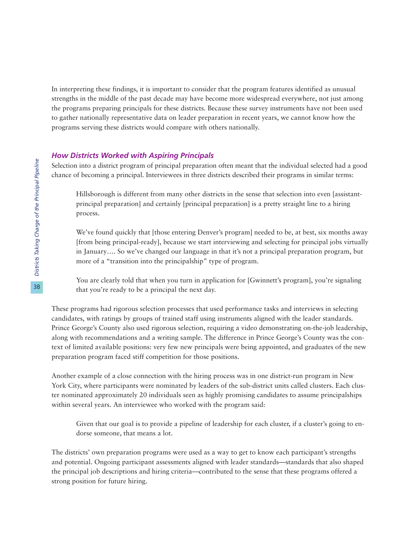In interpreting these findings, it is important to consider that the program features identified as unusual strengths in the middle of the past decade may have become more widespread everywhere, not just among the programs preparing principals for these districts. Because these survey instruments have not been used to gather nationally representative data on leader preparation in recent years, we cannot know how the programs serving these districts would compare with others nationally.

#### *How Districts Worked with Aspiring Principals*

Selection into a district program of principal preparation often meant that the individual selected had a good chance of becoming a principal. Interviewees in three districts described their programs in similar terms:

Hillsborough is different from many other districts in the sense that selection into even [assistantprincipal preparation] and certainly [principal preparation] is a pretty straight line to a hiring process.

We've found quickly that [those entering Denver's program] needed to be, at best, six months away [from being principal-ready], because we start interviewing and selecting for principal jobs virtually in January…. So we've changed our language in that it's not a principal preparation program, but more of a "transition into the principalship" type of program.

You are clearly told that when you turn in application for [Gwinnett's program], you're signaling that you're ready to be a principal the next day.

These programs had rigorous selection processes that used performance tasks and interviews in selecting candidates, with ratings by groups of trained staff using instruments aligned with the leader standards. Prince George's County also used rigorous selection, requiring a video demonstrating on-the-job leadership, along with recommendations and a writing sample. The difference in Prince George's County was the context of limited available positions: very few new principals were being appointed, and graduates of the new preparation program faced stiff competition for those positions.

Another example of a close connection with the hiring process was in one district-run program in New York City, where participants were nominated by leaders of the sub-district units called clusters. Each cluster nominated approximately 20 individuals seen as highly promising candidates to assume principalships within several years. An interviewee who worked with the program said:

Given that our goal is to provide a pipeline of leadership for each cluster, if a cluster's going to endorse someone, that means a lot.

The districts' own preparation programs were used as a way to get to know each participant's strengths and potential. Ongoing participant assessments aligned with leader standards—standards that also shaped the principal job descriptions and hiring criteria—contributed to the sense that these programs offered a strong position for future hiring.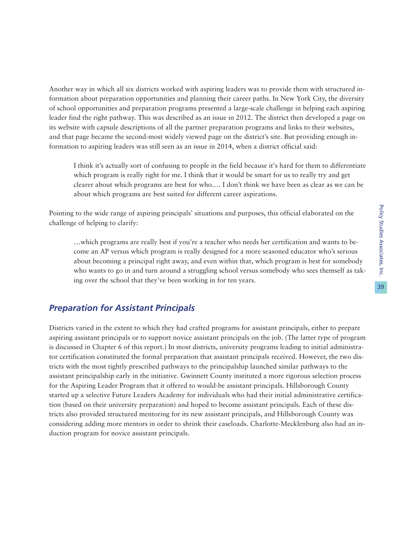Another way in which all six districts worked with aspiring leaders was to provide them with structured information about preparation opportunities and planning their career paths. In New York City, the diversity of school opportunities and preparation programs presented a large-scale challenge in helping each aspiring leader find the right pathway. This was described as an issue in 2012. The district then developed a page on its website with capsule descriptions of all the partner preparation programs and links to their websites, and that page became the second-most widely viewed page on the district's site. But providing enough information to aspiring leaders was still seen as an issue in 2014, when a district official said:

I think it's actually sort of confusing to people in the field because it's hard for them to differentiate which program is really right for me. I think that it would be smart for us to really try and get clearer about which programs are best for who.… I don't think we have been as clear as we can be about which programs are best suited for different career aspirations.

Pointing to the wide range of aspiring principals' situations and purposes, this official elaborated on the challenge of helping to clarify:

…which programs are really best if you're a teacher who needs her certification and wants to become an AP versus which program is really designed for a more seasoned educator who's serious about becoming a principal right away, and even within that, which program is best for somebody who wants to go in and turn around a struggling school versus somebody who sees themself as taking over the school that they've been working in for ten years.

# *Preparation for Assistant Principals*

Districts varied in the extent to which they had crafted programs for assistant principals, either to prepare aspiring assistant principals or to support novice assistant principals on the job. (The latter type of program is discussed in Chapter 6 of this report.) In most districts, university programs leading to initial administrator certification constituted the formal preparation that assistant principals received. However, the two districts with the most tightly prescribed pathways to the principalship launched similar pathways to the assistant principalship early in the initiative. Gwinnett County instituted a more rigorous selection process for the Aspiring Leader Program that it offered to would-be assistant principals. Hillsborough County started up a selective Future Leaders Academy for individuals who had their initial administrative certification (based on their university preparation) and hoped to become assistant principals. Each of these districts also provided structured mentoring for its new assistant principals, and Hillsborough County was considering adding more mentors in order to shrink their caseloads. Charlotte-Mecklenburg also had an induction program for novice assistant principals.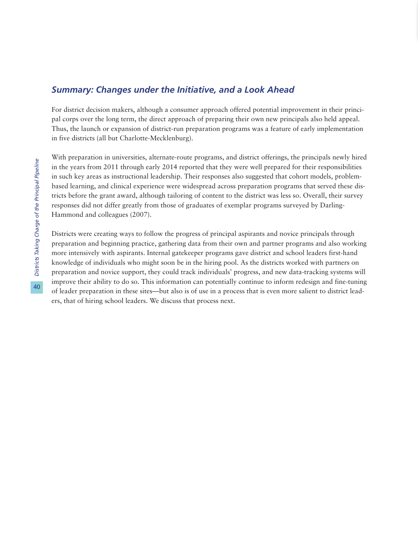## *Summary: Changes under the Initiative, and a Look Ahead*

For district decision makers, although a consumer approach offered potential improvement in their principal corps over the long term, the direct approach of preparing their own new principals also held appeal. Thus, the launch or expansion of district-run preparation programs was a feature of early implementation in five districts (all but Charlotte-Mecklenburg).

With preparation in universities, alternate-route programs, and district offerings, the principals newly hired in the years from 2011 through early 2014 reported that they were well prepared for their responsibilities in such key areas as instructional leadership. Their responses also suggested that cohort models, problembased learning, and clinical experience were widespread across preparation programs that served these districts before the grant award, although tailoring of content to the district was less so. Overall, their survey responses did not differ greatly from those of graduates of exemplar programs surveyed by Darling-Hammond and colleagues (2007).

Districts were creating ways to follow the progress of principal aspirants and novice principals through preparation and beginning practice, gathering data from their own and partner programs and also working more intensively with aspirants. Internal gatekeeper programs gave district and school leaders first-hand knowledge of individuals who might soon be in the hiring pool. As the districts worked with partners on preparation and novice support, they could track individuals' progress, and new data-tracking systems will improve their ability to do so. This information can potentially continue to inform redesign and fine-tuning of leader preparation in these sites—but also is of use in a process that is even more salient to district leaders, that of hiring school leaders. We discuss that process next.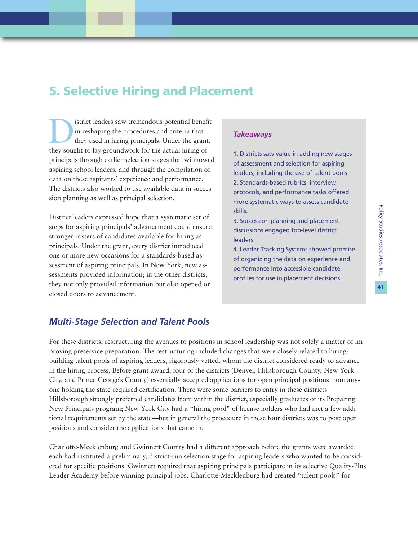# **5. Selective Hiring and Placement**

In reshaping the procedures and criteria that<br>they used in hiring principals. Under the grant,<br>they sought to lay groundwork for the actual hiring of in reshaping the procedures and criteria that they used in hiring principals. Under the grant, they sought to lay groundwork for the actual hiring of principals through earlier selection stages that winnowed aspiring school leaders, and through the compilation of data on these aspirants' experience and performance. The districts also worked to use available data in succession planning as well as principal selection.

District leaders expressed hope that a systematic set of steps for aspiring principals' advancement could ensure stronger rosters of candidates available for hiring as principals. Under the grant, every district introduced one or more new occasions for a standards-based assessment of aspiring principals. In New York, new assessments provided information; in the other districts, they not only provided information but also opened or closed doors to advancement.

### *Takeaways*

1. Districts saw value in adding new stages of assessment and selection for aspiring leaders, including the use of talent pools. 2. Standards-based rubrics, interview protocols, and performance tasks offered more systematic ways to assess candidate skills.

3. Succession planning and placement discussions engaged top-level district leaders.

4. Leader Tracking Systems showed promise of organizing the data on experience and performance into accessible candidate profiles for use in placement decisions.

# *Multi-Stage Selection and Talent Pools*

For these districts, restructuring the avenues to positions in school leadership was not solely a matter of improving preservice preparation. The restructuring included changes that were closely related to hiring: building talent pools of aspiring leaders, rigorously vetted, whom the district considered ready to advance in the hiring process. Before grant award, four of the districts (Denver, Hillsborough County, New York City, and Prince George's County) essentially accepted applications for open principal positions from anyone holding the state-required certification. There were some barriers to entry in these districts— Hillsborough strongly preferred candidates from within the district, especially graduates of its Preparing New Principals program; New York City had a "hiring pool" of license holders who had met a few additional requirements set by the state—but in general the procedure in these four districts was to post open positions and consider the applications that came in.

Charlotte-Mecklenburg and Gwinnett County had a different approach before the grants were awarded: each had instituted a preliminary, district-run selection stage for aspiring leaders who wanted to be considered for specific positions. Gwinnett required that aspiring principals participate in its selective Quality-Plus Leader Academy before winning principal jobs. Charlotte-Mecklenburg had created "talent pools" for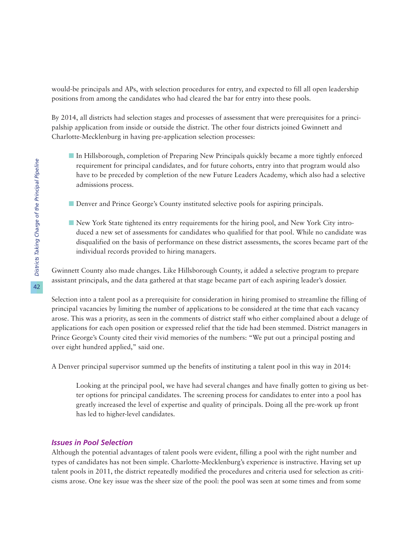would-be principals and APs, with selection procedures for entry, and expected to fill all open leadership positions from among the candidates who had cleared the bar for entry into these pools.

By 2014, all districts had selection stages and processes of assessment that were prerequisites for a principalship application from inside or outside the district. The other four districts joined Gwinnett and Charlotte-Mecklenburg in having pre-application selection processes:

- In Hillsborough, completion of Preparing New Principals quickly became a more tightly enforced requirement for principal candidates, and for future cohorts, entry into that program would also have to be preceded by completion of the new Future Leaders Academy, which also had a selective admissions process.
- Denver and Prince George's County instituted selective pools for aspiring principals.
- New York State tightened its entry requirements for the hiring pool, and New York City introduced a new set of assessments for candidates who qualified for that pool. While no candidate was disqualified on the basis of performance on these district assessments, the scores became part of the individual records provided to hiring managers.

Gwinnett County also made changes. Like Hillsborough County, it added a selective program to prepare assistant principals, and the data gathered at that stage became part of each aspiring leader's dossier.

Selection into a talent pool as a prerequisite for consideration in hiring promised to streamline the filling of principal vacancies by limiting the number of applications to be considered at the time that each vacancy arose. This was a priority, as seen in the comments of district staff who either complained about a deluge of applications for each open position or expressed relief that the tide had been stemmed. District managers in Prince George's County cited their vivid memories of the numbers: "We put out a principal posting and over eight hundred applied," said one.

A Denver principal supervisor summed up the benefits of instituting a talent pool in this way in 2014:

Looking at the principal pool, we have had several changes and have finally gotten to giving us better options for principal candidates. The screening process for candidates to enter into a pool has greatly increased the level of expertise and quality of principals. Doing all the pre-work up front has led to higher-level candidates.

#### *Issues in Pool Selection*

Although the potential advantages of talent pools were evident, filling a pool with the right number and types of candidates has not been simple. Charlotte-Mecklenburg's experience is instructive. Having set up talent pools in 2011, the district repeatedly modified the procedures and criteria used for selection as criticisms arose. One key issue was the sheer size of the pool: the pool was seen at some times and from some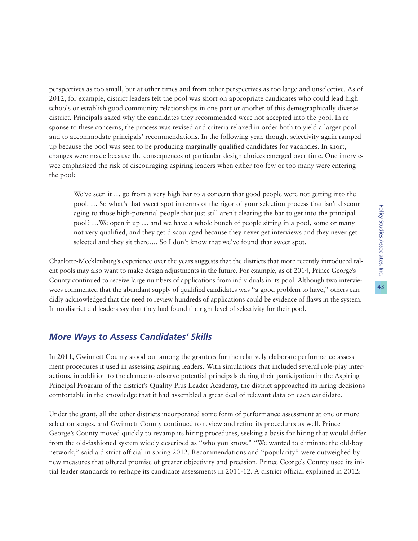perspectives as too small, but at other times and from other perspectives as too large and unselective. As of 2012, for example, district leaders felt the pool was short on appropriate candidates who could lead high schools or establish good community relationships in one part or another of this demographically diverse district. Principals asked why the candidates they recommended were not accepted into the pool. In response to these concerns, the process was revised and criteria relaxed in order both to yield a larger pool and to accommodate principals' recommendations. In the following year, though, selectivity again ramped up because the pool was seen to be producing marginally qualified candidates for vacancies. In short, changes were made because the consequences of particular design choices emerged over time. One interviewee emphasized the risk of discouraging aspiring leaders when either too few or too many were entering the pool:

We've seen it … go from a very high bar to a concern that good people were not getting into the pool. … So what's that sweet spot in terms of the rigor of your selection process that isn't discouraging to those high-potential people that just still aren't clearing the bar to get into the principal pool? …We open it up … and we have a whole bunch of people sitting in a pool, some or many not very qualified, and they get discouraged because they never get interviews and they never get selected and they sit there…. So I don't know that we've found that sweet spot.

Charlotte-Mecklenburg's experience over the years suggests that the districts that more recently introduced talent pools may also want to make design adjustments in the future. For example, as of 2014, Prince George's County continued to receive large numbers of applications from individuals in its pool. Although two interviewees commented that the abundant supply of qualified candidates was "a good problem to have," others candidly acknowledged that the need to review hundreds of applications could be evidence of flaws in the system. In no district did leaders say that they had found the right level of selectivity for their pool.

# *More Ways to Assess Candidates' Skills*

In 2011, Gwinnett County stood out among the grantees for the relatively elaborate performance-assessment procedures it used in assessing aspiring leaders. With simulations that included several role-play interactions, in addition to the chance to observe potential principals during their participation in the Aspiring Principal Program of the district's Quality-Plus Leader Academy, the district approached its hiring decisions comfortable in the knowledge that it had assembled a great deal of relevant data on each candidate.

Under the grant, all the other districts incorporated some form of performance assessment at one or more selection stages, and Gwinnett County continued to review and refine its procedures as well. Prince George's County moved quickly to revamp its hiring procedures, seeking a basis for hiring that would differ from the old-fashioned system widely described as "who you know." "We wanted to eliminate the old-boy network," said a district official in spring 2012. Recommendations and "popularity" were outweighed by new measures that offered promise of greater objectivity and precision. Prince George's County used its initial leader standards to reshape its candidate assessments in 2011-12. A district official explained in 2012: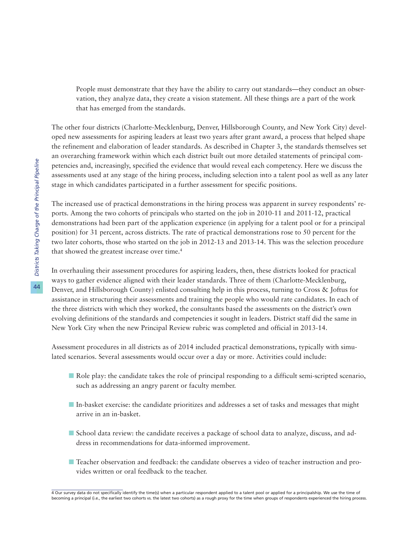People must demonstrate that they have the ability to carry out standards—they conduct an observation, they analyze data, they create a vision statement. All these things are a part of the work that has emerged from the standards.

The other four districts (Charlotte-Mecklenburg, Denver, Hillsborough County, and New York City) developed new assessments for aspiring leaders at least two years after grant award, a process that helped shape the refinement and elaboration of leader standards. As described in Chapter 3, the standards themselves set an overarching framework within which each district built out more detailed statements of principal competencies and, increasingly, specified the evidence that would reveal each competency. Here we discuss the assessments used at any stage of the hiring process, including selection into a talent pool as well as any later stage in which candidates participated in a further assessment for specific positions.

The increased use of practical demonstrations in the hiring process was apparent in survey respondents' reports. Among the two cohorts of principals who started on the job in 2010-11 and 2011-12, practical demonstrations had been part of the application experience (in applying for a talent pool or for a principal position) for 31 percent, across districts. The rate of practical demonstrations rose to 50 percent for the two later cohorts, those who started on the job in 2012-13 and 2013-14. This was the selection procedure that showed the greatest increase over time. 4

In overhauling their assessment procedures for aspiring leaders, then, these districts looked for practical ways to gather evidence aligned with their leader standards. Three of them (Charlotte-Mecklenburg, Denver, and Hillsborough County) enlisted consulting help in this process, turning to Cross & Joftus for assistance in structuring their assessments and training the people who would rate candidates. In each of the three districts with which they worked, the consultants based the assessments on the district's own evolving definitions of the standards and competencies it sought in leaders. District staff did the same in New York City when the new Principal Review rubric was completed and official in 2013-14.

Assessment procedures in all districts as of 2014 included practical demonstrations, typically with simulated scenarios. Several assessments would occur over a day or more. Activities could include:

- Role play: the candidate takes the role of principal responding to a difficult semi-scripted scenario, such as addressing an angry parent or faculty member.
- In-basket exercise: the candidate prioritizes and addresses a set of tasks and messages that might arrive in an in-basket.
- School data review: the candidate receives a package of school data to analyze, discuss, and address in recommendations for data-informed improvement.
- Teacher observation and feedback: the candidate observes a video of teacher instruction and provides written or oral feedback to the teacher.

<sup>4</sup> Our survey data do not specifically identify the time(s) when a particular respondent applied to a talent pool or applied for a principalship. We use the time of becoming a principal (i.e., the earliest two cohorts vs. the latest two cohorts) as a rough proxy for the time when groups of respondents experienced the hiring process.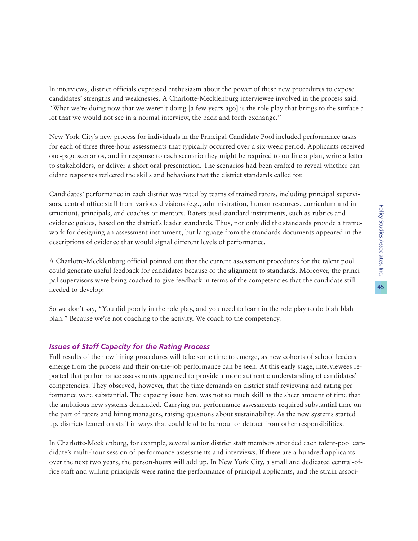In interviews, district officials expressed enthusiasm about the power of these new procedures to expose candidates' strengths and weaknesses. A Charlotte-Mecklenburg interviewee involved in the process said: "What we're doing now that we weren't doing [a few years ago] is the role play that brings to the surface a lot that we would not see in a normal interview, the back and forth exchange."

New York City's new process for individuals in the Principal Candidate Pool included performance tasks for each of three three-hour assessments that typically occurred over a six-week period. Applicants received one-page scenarios, and in response to each scenario they might be required to outline a plan, write a letter to stakeholders, or deliver a short oral presentation. The scenarios had been crafted to reveal whether candidate responses reflected the skills and behaviors that the district standards called for.

Candidates' performance in each district was rated by teams of trained raters, including principal supervisors, central office staff from various divisions (e.g., administration, human resources, curriculum and instruction), principals, and coaches or mentors. Raters used standard instruments, such as rubrics and evidence guides, based on the district's leader standards. Thus, not only did the standards provide a framework for designing an assessment instrument, but language from the standards documents appeared in the descriptions of evidence that would signal different levels of performance.

A Charlotte-Mecklenburg official pointed out that the current assessment procedures for the talent pool could generate useful feedback for candidates because of the alignment to standards. Moreover, the principal supervisors were being coached to give feedback in terms of the competencies that the candidate still needed to develop:

So we don't say, "You did poorly in the role play, and you need to learn in the role play to do blah-blahblah." Because we're not coaching to the activity. We coach to the competency.

#### *Issues of Staff Capacity for the Rating Process*

Full results of the new hiring procedures will take some time to emerge, as new cohorts of school leaders emerge from the process and their on-the-job performance can be seen. At this early stage, interviewees reported that performance assessments appeared to provide a more authentic understanding of candidates' competencies. They observed, however, that the time demands on district staff reviewing and rating performance were substantial. The capacity issue here was not so much skill as the sheer amount of time that the ambitious new systems demanded. Carrying out performance assessments required substantial time on the part of raters and hiring managers, raising questions about sustainability. As the new systems started up, districts leaned on staff in ways that could lead to burnout or detract from other responsibilities.

In Charlotte-Mecklenburg, for example, several senior district staff members attended each talent-pool candidate's multi-hour session of performance assessments and interviews. If there are a hundred applicants over the next two years, the person-hours will add up. In New York City, a small and dedicated central-office staff and willing principals were rating the performance of principal applicants, and the strain associ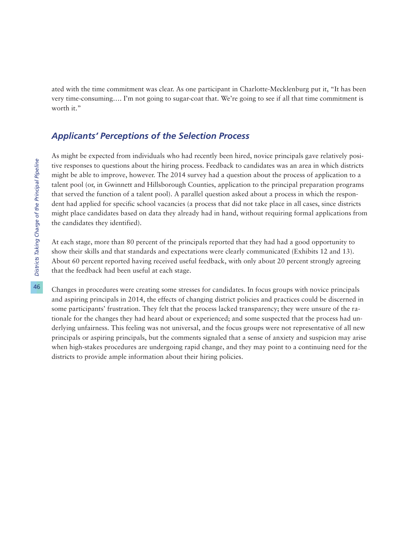ated with the time commitment was clear. As one participant in Charlotte-Mecklenburg put it, "It has been very time-consuming…. I'm not going to sugar-coat that. We're going to see if all that time commitment is worth it."

## *Applicants' Perceptions of the Selection Process*

As might be expected from individuals who had recently been hired, novice principals gave relatively positive responses to questions about the hiring process. Feedback to candidates was an area in which districts might be able to improve, however. The 2014 survey had a question about the process of application to a talent pool (or, in Gwinnett and Hillsborough Counties, application to the principal preparation programs that served the function of a talent pool). A parallel question asked about a process in which the respondent had applied for specific school vacancies (a process that did not take place in all cases, since districts might place candidates based on data they already had in hand, without requiring formal applications from the candidates they identified).

At each stage, more than 80 percent of the principals reported that they had had a good opportunity to show their skills and that standards and expectations were clearly communicated (Exhibits 12 and 13). About 60 percent reported having received useful feedback, with only about 20 percent strongly agreeing that the feedback had been useful at each stage.

Changes in procedures were creating some stresses for candidates. In focus groups with novice principals and aspiring principals in 2014, the effects of changing district policies and practices could be discerned in some participants' frustration. They felt that the process lacked transparency; they were unsure of the rationale for the changes they had heard about or experienced; and some suspected that the process had underlying unfairness. This feeling was not universal, and the focus groups were not representative of all new principals or aspiring principals, but the comments signaled that a sense of anxiety and suspicion may arise when high-stakes procedures are undergoing rapid change, and they may point to a continuing need for the districts to provide ample information about their hiring policies.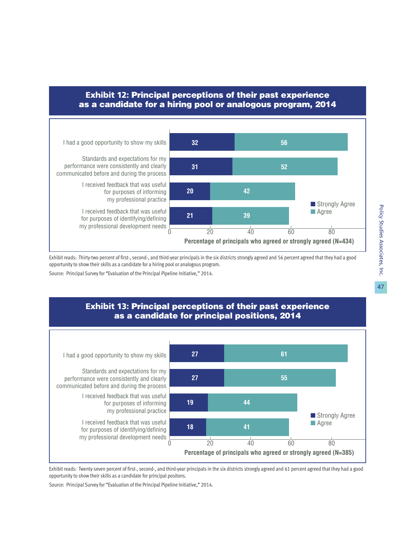

**Exhibit 12: Principal perceptions of their past experience as a candidate for a hiring pool or analogous program, 2014**

Exhibit reads: Thirty-two percent of first-, second-, and third-year principals in the six districts strongly agreed and 56 percent agreed that they had a good opportunity to show their skills as a candidate for a hiring pool or analogous program.

Source: Principal Survey for "Evaluation of the Principal Pipeline Initiative," 2014.

# **Exhibit 13: Principal perceptions of their past experience as a candidate for principal positions, 2014**



Exhibit reads: Twenty-seven percent of first-, second-, and third-year principals in the six districts strongly agreed and 61 percent agreed that they had a good opportunity to show their skills as a candidate for principal positons.

Source: Principal Survey for "Evaluation of the Principal Pipeline Initiative," 2014.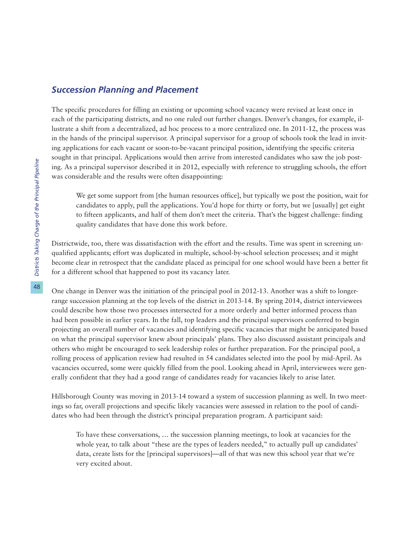## *Succession Planning and Placement*

The specific procedures for filling an existing or upcoming school vacancy were revised at least once in each of the participating districts, and no one ruled out further changes. Denver's changes, for example, illustrate a shift from a decentralized, ad hoc process to a more centralized one. In 2011-12, the process was in the hands of the principal supervisor. A principal supervisor for a group of schools took the lead in inviting applications for each vacant or soon-to-be-vacant principal position, identifying the specific criteria sought in that principal. Applications would then arrive from interested candidates who saw the job posting. As a principal supervisor described it in 2012, especially with reference to struggling schools, the effort was considerable and the results were often disappointing:

We get some support from [the human resources office], but typically we post the position, wait for candidates to apply, pull the applications. You'd hope for thirty or forty, but we [usually] get eight to fifteen applicants, and half of them don't meet the criteria. That's the biggest challenge: finding quality candidates that have done this work before.

Districtwide, too, there was dissatisfaction with the effort and the results. Time was spent in screening unqualified applicants; effort was duplicated in multiple, school-by-school selection processes; and it might become clear in retrospect that the candidate placed as principal for one school would have been a better fit for a different school that happened to post its vacancy later.

One change in Denver was the initiation of the principal pool in 2012-13. Another was a shift to longerrange succession planning at the top levels of the district in 2013-14. By spring 2014, district interviewees could describe how those two processes intersected for a more orderly and better informed process than had been possible in earlier years. In the fall, top leaders and the principal supervisors conferred to begin projecting an overall number of vacancies and identifying specific vacancies that might be anticipated based on what the principal supervisor knew about principals' plans. They also discussed assistant principals and others who might be encouraged to seek leadership roles or further preparation. For the principal pool, a rolling process of application review had resulted in 54 candidates selected into the pool by mid-April. As vacancies occurred, some were quickly filled from the pool. Looking ahead in April, interviewees were generally confident that they had a good range of candidates ready for vacancies likely to arise later.

Hillsborough County was moving in 2013-14 toward a system of succession planning as well. In two meetings so far, overall projections and specific likely vacancies were assessed in relation to the pool of candidates who had been through the district's principal preparation program. A participant said:

To have these conversations, … the succession planning meetings, to look at vacancies for the whole year, to talk about "these are the types of leaders needed," to actually pull up candidates' data, create lists for the [principal supervisors]—all of that was new this school year that we're very excited about.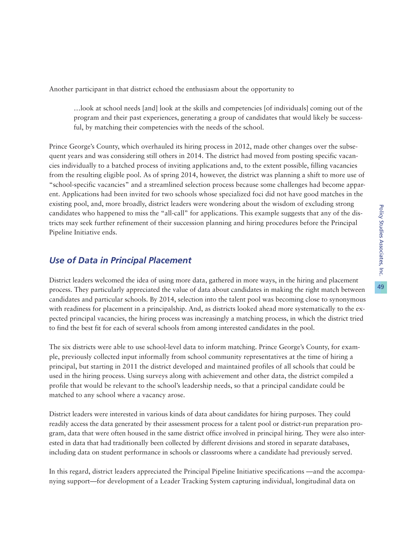Another participant in that district echoed the enthusiasm about the opportunity to

…look at school needs [and] look at the skills and competencies [of individuals] coming out of the program and their past experiences, generating a group of candidates that would likely be successful, by matching their competencies with the needs of the school.

Prince George's County, which overhauled its hiring process in 2012, made other changes over the subsequent years and was considering still others in 2014. The district had moved from posting specific vacancies individually to a batched process of inviting applications and, to the extent possible, filling vacancies from the resulting eligible pool. As of spring 2014, however, the district was planning a shift to more use of "school-specific vacancies" and a streamlined selection process because some challenges had become apparent. Applications had been invited for two schools whose specialized foci did not have good matches in the existing pool, and, more broadly, district leaders were wondering about the wisdom of excluding strong candidates who happened to miss the "all-call" for applications. This example suggests that any of the districts may seek further refinement of their succession planning and hiring procedures before the Principal Pipeline Initiative ends.

# *Use of Data in Principal Placement*

District leaders welcomed the idea of using more data, gathered in more ways, in the hiring and placement process. They particularly appreciated the value of data about candidates in making the right match between candidates and particular schools. By 2014, selection into the talent pool was becoming close to synonymous with readiness for placement in a principalship. And, as districts looked ahead more systematically to the expected principal vacancies, the hiring process was increasingly a matching process, in which the district tried to find the best fit for each of several schools from among interested candidates in the pool.

The six districts were able to use school-level data to inform matching. Prince George's County, for example, previously collected input informally from school community representatives at the time of hiring a principal, but starting in 2011 the district developed and maintained profiles of all schools that could be used in the hiring process. Using surveys along with achievement and other data, the district compiled a profile that would be relevant to the school's leadership needs, so that a principal candidate could be matched to any school where a vacancy arose.

District leaders were interested in various kinds of data about candidates for hiring purposes. They could readily access the data generated by their assessment process for a talent pool or district-run preparation program, data that were often housed in the same district office involved in principal hiring. They were also interested in data that had traditionally been collected by different divisions and stored in separate databases, including data on student performance in schools or classrooms where a candidate had previously served.

In this regard, district leaders appreciated the Principal Pipeline Initiative specifications —and the accompanying support—for development of a Leader Tracking System capturing individual, longitudinal data on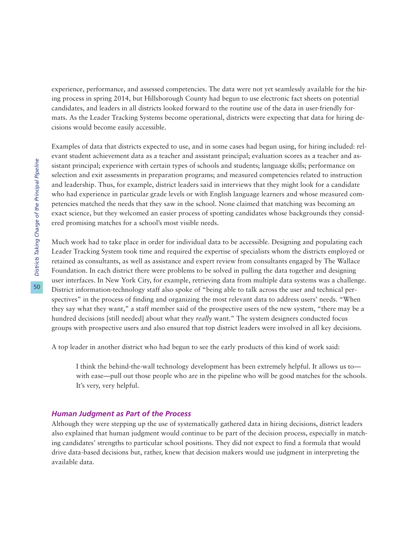experience, performance, and assessed competencies. The data were not yet seamlessly available for the hiring process in spring 2014, but Hillsborough County had begun to use electronic fact sheets on potential candidates, and leaders in all districts looked forward to the routine use of the data in user-friendly formats. As the Leader Tracking Systems become operational, districts were expecting that data for hiring decisions would become easily accessible.

Examples of data that districts expected to use, and in some cases had begun using, for hiring included: relevant student achievement data as a teacher and assistant principal; evaluation scores as a teacher and assistant principal; experience with certain types of schools and students; language skills; performance on selection and exit assessments in preparation programs; and measured competencies related to instruction and leadership. Thus, for example, district leaders said in interviews that they might look for a candidate who had experience in particular grade levels or with English language learners and whose measured competencies matched the needs that they saw in the school. None claimed that matching was becoming an exact science, but they welcomed an easier process of spotting candidates whose backgrounds they considered promising matches for a school's most visible needs.

Much work had to take place in order for individual data to be accessible. Designing and populating each Leader Tracking System took time and required the expertise of specialists whom the districts employed or retained as consultants, as well as assistance and expert review from consultants engaged by The Wallace Foundation. In each district there were problems to be solved in pulling the data together and designing user interfaces. In New York City, for example, retrieving data from multiple data systems was a challenge. District information-technology staff also spoke of "being able to talk across the user and technical perspectives" in the process of finding and organizing the most relevant data to address users' needs. "When they say what they want," a staff member said of the prospective users of the new system, "there may be a hundred decisions [still needed] about what they *really* want." The system designers conducted focus groups with prospective users and also ensured that top district leaders were involved in all key decisions.

A top leader in another district who had begun to see the early products of this kind of work said:

I think the behind-the-wall technology development has been extremely helpful. It allows us to with ease—pull out those people who are in the pipeline who will be good matches for the schools. It's very, very helpful.

#### *Human Judgment as Part of the Process*

Although they were stepping up the use of systematically gathered data in hiring decisions, district leaders also explained that human judgment would continue to be part of the decision process, especially in matching candidates' strengths to particular school positions. They did not expect to find a formula that would drive data-based decisions but, rather, knew that decision makers would use judgment in interpreting the available data.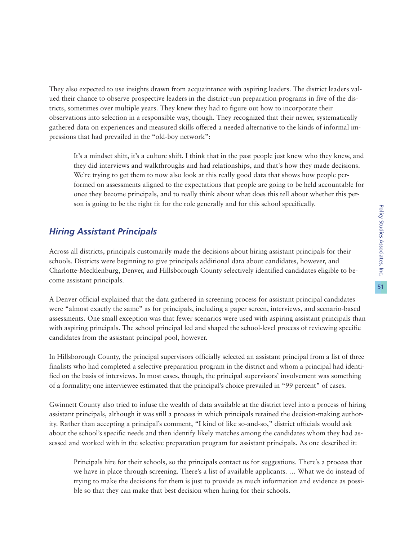They also expected to use insights drawn from acquaintance with aspiring leaders. The district leaders valued their chance to observe prospective leaders in the district-run preparation programs in five of the districts, sometimes over multiple years. They knew they had to figure out how to incorporate their observations into selection in a responsible way, though. They recognized that their newer, systematically gathered data on experiences and measured skills offered a needed alternative to the kinds of informal impressions that had prevailed in the "old-boy network":

It's a mindset shift, it's a culture shift. I think that in the past people just knew who they knew, and they did interviews and walkthroughs and had relationships, and that's how they made decisions. We're trying to get them to now also look at this really good data that shows how people performed on assessments aligned to the expectations that people are going to be held accountable for once they become principals, and to really think about what does this tell about whether this person is going to be the right fit for the role generally and for this school specifically.

# *Hiring Assistant Principals*

Across all districts, principals customarily made the decisions about hiring assistant principals for their schools. Districts were beginning to give principals additional data about candidates, however, and Charlotte-Mecklenburg, Denver, and Hillsborough County selectively identified candidates eligible to become assistant principals.

A Denver official explained that the data gathered in screening process for assistant principal candidates were "almost exactly the same" as for principals, including a paper screen, interviews, and scenario-based assessments. One small exception was that fewer scenarios were used with aspiring assistant principals than with aspiring principals. The school principal led and shaped the school-level process of reviewing specific candidates from the assistant principal pool, however.

In Hillsborough County, the principal supervisors officially selected an assistant principal from a list of three finalists who had completed a selective preparation program in the district and whom a principal had identified on the basis of interviews. In most cases, though, the principal supervisors' involvement was something of a formality; one interviewee estimated that the principal's choice prevailed in "99 percent" of cases.

Gwinnett County also tried to infuse the wealth of data available at the district level into a process of hiring assistant principals, although it was still a process in which principals retained the decision-making authority. Rather than accepting a principal's comment, "I kind of like so-and-so," district officials would ask about the school's specific needs and then identify likely matches among the candidates whom they had assessed and worked with in the selective preparation program for assistant principals. As one described it:

Principals hire for their schools, so the principals contact us for suggestions. There's a process that we have in place through screening. There's a list of available applicants. … What we do instead of trying to make the decisions for them is just to provide as much information and evidence as possible so that they can make that best decision when hiring for their schools.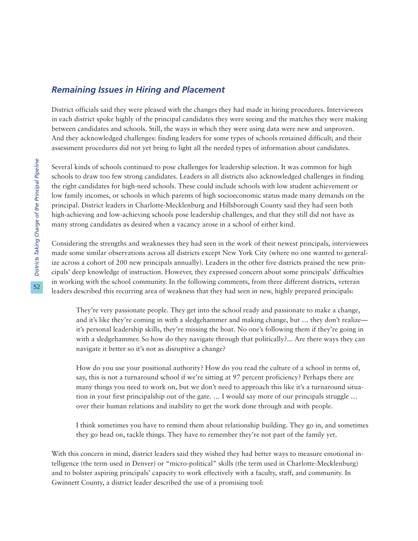## *Remaining Issues in Hiring and Placement*

District officials said they were pleased with the changes they had made in hiring procedures. Interviewees in each district spoke highly of the principal candidates they were seeing and the matches they were making between candidates and schools. Still, the ways in which they were using data were new and unproven. And they acknowledged challenges: finding leaders for some types of schools remained difficult; and their assessment procedures did not yet bring to light all the needed types of information about candidates.

Several kinds of schools continued to pose challenges for leadership selection. It was common for high schools to draw too few strong candidates. Leaders in all districts also acknowledged challenges in finding the right candidates for high-need schools. These could include schools with low student achievement or low family incomes, or schools in which parents of high socioeconomic status made many demands on the principal. District leaders in Charlotte-Mecklenburg and Hillsborough County said they had seen both high-achieving and low-achieving schools pose leadership challenges, and that they still did not have as many strong candidates as desired when a vacancy arose in a school of either kind.

Considering the strengths and weaknesses they had seen in the work of their newest principals, interviewees made some similar observations across all districts except New York City (where no one wanted to generalize across a cohort of 200 new principals annually). Leaders in the other five districts praised the new principals' deep knowledge of instruction. However, they expressed concern about some principals' difficulties in working with the school community. In the following comments, from three different districts, veteran leaders described this recurring area of weakness that they had seen in new, highly prepared principals:

They're very passionate people. They get into the school ready and passionate to make a change, and it's like they're coming in with a sledgehammer and making change, but … they don't realize it's personal leadership skills, they're missing the boat. No one's following them if they're going in with a sledgehammer. So how do they navigate through that politically?... Are there ways they can navigate it better so it's not as disruptive a change?

How do you use your positional authority? How do you read the culture of a school in terms of, say, this is not a turnaround school if we're sitting at 97 percent proficiency? Perhaps there are many things you need to work on, but we don't need to approach this like it's a turnaround situation in your first principalship out of the gate. … I would say more of our principals struggle … over their human relations and inability to get the work done through and with people.

I think sometimes you have to remind them about relationship building. They go in, and sometimes they go head on, tackle things. They have to remember they're not part of the family yet.

With this concern in mind, district leaders said they wished they had better ways to measure emotional intelligence (the term used in Denver) or "micro-political" skills (the term used in Charlotte-Mecklenburg) and to bolster aspiring principals' capacity to work effectively with a faculty, staff, and community. In Gwinnett County, a district leader described the use of a promising tool: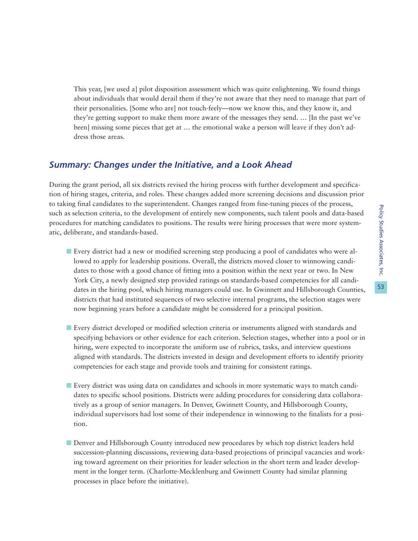This year, [we used a] pilot disposition assessment which was quite enlightening. We found things about individuals that would derail them if they're not aware that they need to manage that part of their personalities. [Some who are] not touch-feely—now we know this, and they know it, and they're getting support to make them more aware of the messages they send. … [In the past we've been] missing some pieces that get at … the emotional wake a person will leave if they don't address those areas.

# *Summary: Changes under the Initiative, and a Look Ahead*

During the grant period, all six districts revised the hiring process with further development and specification of hiring stages, criteria, and roles. These changes added more screening decisions and discussion prior to taking final candidates to the superintendent. Changes ranged from fine-tuning pieces of the process, such as selection criteria, to the development of entirely new components, such talent pools and data-based procedures for matching candidates to positions. The results were hiring processes that were more systematic, deliberate, and standards-based.

- Every district had a new or modified screening step producing a pool of candidates who were allowed to apply for leadership positions. Overall, the districts moved closer to winnowing candidates to those with a good chance of fitting into a position within the next year or two. In New York City, a newly designed step provided ratings on standards-based competencies for all candidates in the hiring pool, which hiring managers could use. In Gwinnett and Hillsborough Counties, districts that had instituted sequences of two selective internal programs, the selection stages were now beginning years before a candidate might be considered for a principal position.
- Every district developed or modified selection criteria or instruments aligned with standards and specifying behaviors or other evidence for each criterion. Selection stages, whether into a pool or in hiring, were expected to incorporate the uniform use of rubrics, tasks, and interview questions aligned with standards. The districts invested in design and development efforts to identify priority competencies for each stage and provide tools and training for consistent ratings.
- Every district was using data on candidates and schools in more systematic ways to match candidates to specific school positions. Districts were adding procedures for considering data collaboratively as a group of senior managers. In Denver, Gwinnett County, and Hillsborough County, individual supervisors had lost some of their independence in winnowing to the finalists for a position.
- Denver and Hillsborough County introduced new procedures by which top district leaders held succession-planning discussions, reviewing data-based projections of principal vacancies and working toward agreement on their priorities for leader selection in the short term and leader development in the longer term. (Charlotte-Mecklenburg and Gwinnett County had similar planning processes in place before the initiative).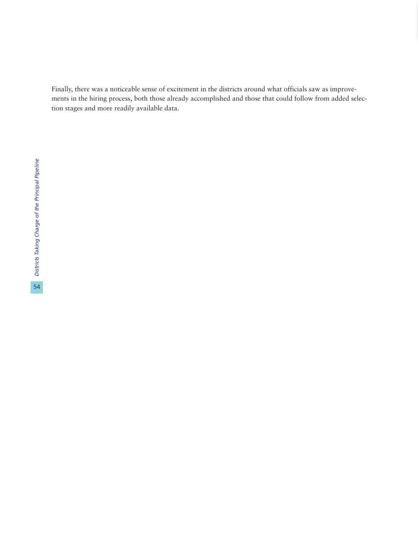Finally, there was a noticeable sense of excitement in the districts around what officials saw as improvements in the hiring process, both those already accomplished and those that could follow from added selection stages and more readily available data.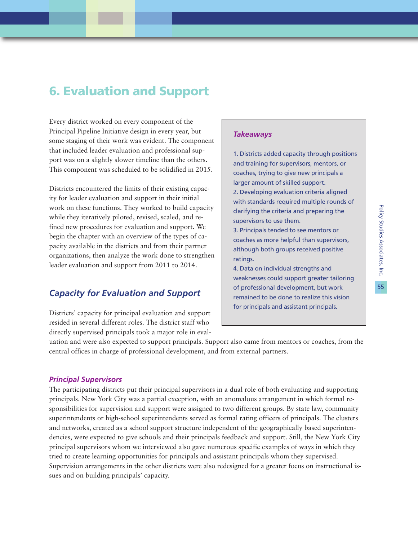# **6. Evaluation and Support**

Every district worked on every component of the Principal Pipeline Initiative design in every year, but some staging of their work was evident. The component that included leader evaluation and professional support was on a slightly slower timeline than the others. This component was scheduled to be solidified in 2015.

Districts encountered the limits of their existing capacity for leader evaluation and support in their initial work on these functions. They worked to build capacity while they iteratively piloted, revised, scaled, and refined new procedures for evaluation and support. We begin the chapter with an overview of the types of capacity available in the districts and from their partner organizations, then analyze the work done to strengthen leader evaluation and support from 2011 to 2014.

# *Capacity for Evaluation and Support*

Districts' capacity for principal evaluation and support resided in several different roles. The district staff who directly supervised principals took a major role in eval-

## *Takeaways*

1. Districts added capacity through positions and training for supervisors, mentors, or coaches, trying to give new principals a larger amount of skilled support. 2. Developing evaluation criteria aligned with standards required multiple rounds of clarifying the criteria and preparing the supervisors to use them.

3. Principals tended to see mentors or coaches as more helpful than supervisors, although both groups received positive ratings.

4. Data on individual strengths and weaknesses could support greater tailoring of professional development, but work remained to be done to realize this vision for principals and assistant principals.

uation and were also expected to support principals. Support also came from mentors or coaches, from the central offices in charge of professional development, and from external partners.

#### *Principal Supervisors*

The participating districts put their principal supervisors in a dual role of both evaluating and supporting principals. New York City was a partial exception, with an anomalous arrangement in which formal responsibilities for supervision and support were assigned to two different groups. By state law, community superintendents or high-school superintendents served as formal rating officers of principals. The clusters and networks, created as a school support structure independent of the geographically based superintendencies, were expected to give schools and their principals feedback and support. Still, the New York City principal supervisors whom we interviewed also gave numerous specific examples of ways in which they tried to create learning opportunities for principals and assistant principals whom they supervised. Supervision arrangements in the other districts were also redesigned for a greater focus on instructional issues and on building principals' capacity.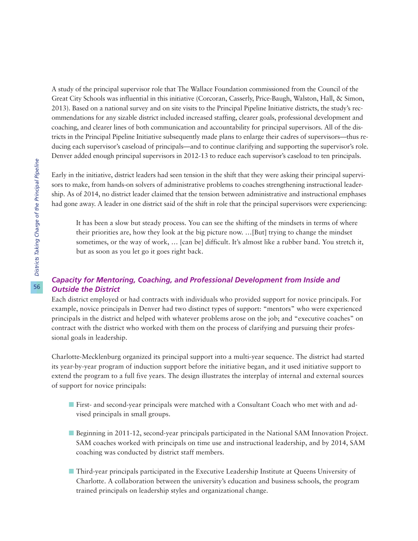A study of the principal supervisor role that The Wallace Foundation commissioned from the Council of the Great City Schools was influential in this initiative (Corcoran, Casserly, Price-Baugh, Walston, Hall, & Simon, 2013). Based on a national survey and on site visits to the Principal Pipeline Initiative districts, the study's recommendations for any sizable district included increased staffing, clearer goals, professional development and coaching, and clearer lines of both communication and accountability for principal supervisors. All of the districts in the Principal Pipeline Initiative subsequently made plans to enlarge their cadres of supervisors—thus reducing each supervisor's caseload of principals—and to continue clarifying and supporting the supervisor's role. Denver added enough principal supervisors in 2012-13 to reduce each supervisor's caseload to ten principals.

Early in the initiative, district leaders had seen tension in the shift that they were asking their principal supervisors to make, from hands-on solvers of administrative problems to coaches strengthening instructional leadership. As of 2014, no district leader claimed that the tension between administrative and instructional emphases had gone away. A leader in one district said of the shift in role that the principal supervisors were experiencing:

It has been a slow but steady process. You can see the shifting of the mindsets in terms of where their priorities are, how they look at the big picture now. …[But] trying to change the mindset sometimes, or the way of work, … [can be] difficult. It's almost like a rubber band. You stretch it, but as soon as you let go it goes right back.

## *Capacity for Mentoring, Coaching, and Professional Development from Inside and Outside the District*

Each district employed or had contracts with individuals who provided support for novice principals. For example, novice principals in Denver had two distinct types of support: "mentors" who were experienced principals in the district and helped with whatever problems arose on the job; and "executive coaches" on contract with the district who worked with them on the process of clarifying and pursuing their professional goals in leadership.

Charlotte-Mecklenburg organized its principal support into a multi-year sequence. The district had started its year-by-year program of induction support before the initiative began, and it used initiative support to extend the program to a full five years. The design illustrates the interplay of internal and external sources of support for novice principals:

- First- and second-year principals were matched with a Consultant Coach who met with and advised principals in small groups.
- Beginning in 2011-12, second-year principals participated in the National SAM Innovation Project. SAM coaches worked with principals on time use and instructional leadership, and by 2014, SAM coaching was conducted by district staff members.
- Third-year principals participated in the Executive Leadership Institute at Queens University of Charlotte. A collaboration between the university's education and business schools, the program trained principals on leadership styles and organizational change.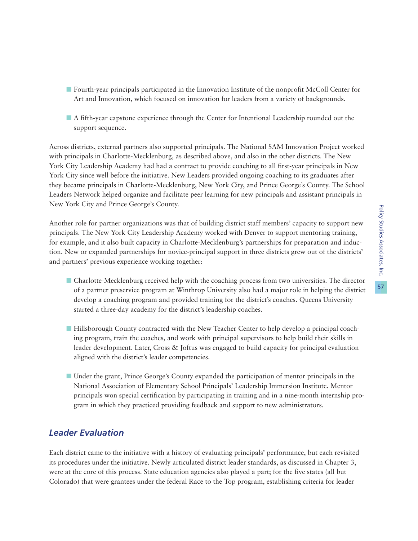57

- Fourth-year principals participated in the Innovation Institute of the nonprofit McColl Center for Art and Innovation, which focused on innovation for leaders from a variety of backgrounds.
- A fifth-year capstone experience through the Center for Intentional Leadership rounded out the support sequence.

Across districts, external partners also supported principals. The National SAM Innovation Project worked with principals in Charlotte-Mecklenburg, as described above, and also in the other districts. The New York City Leadership Academy had had a contract to provide coaching to all first-year principals in New York City since well before the initiative. New Leaders provided ongoing coaching to its graduates after they became principals in Charlotte-Mecklenburg, New York City, and Prince George's County. The School Leaders Network helped organize and facilitate peer learning for new principals and assistant principals in New York City and Prince George's County.

Another role for partner organizations was that of building district staff members' capacity to support new principals. The New York City Leadership Academy worked with Denver to support mentoring training, for example, and it also built capacity in Charlotte-Mecklenburg's partnerships for preparation and induction. New or expanded partnerships for novice-principal support in three districts grew out of the districts' and partners' previous experience working together:

- Charlotte-Mecklenburg received help with the coaching process from two universities. The director of a partner preservice program at Winthrop University also had a major role in helping the district develop a coaching program and provided training for the district's coaches. Queens University started a three-day academy for the district's leadership coaches.
- Hillsborough County contracted with the New Teacher Center to help develop a principal coaching program, train the coaches, and work with principal supervisors to help build their skills in leader development. Later, Cross & Joftus was engaged to build capacity for principal evaluation aligned with the district's leader competencies.
- Under the grant, Prince George's County expanded the participation of mentor principals in the National Association of Elementary School Principals' Leadership Immersion Institute. Mentor principals won special certification by participating in training and in a nine-month internship program in which they practiced providing feedback and support to new administrators.

# *Leader Evaluation*

Each district came to the initiative with a history of evaluating principals' performance, but each revisited its procedures under the initiative. Newly articulated district leader standards, as discussed in Chapter 3, were at the core of this process. State education agencies also played a part; for the five states (all but Colorado) that were grantees under the federal Race to the Top program, establishing criteria for leader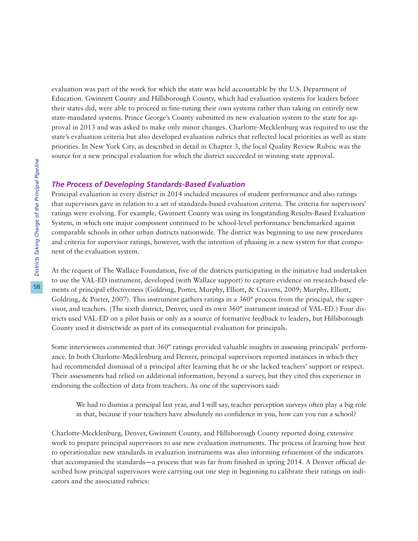evaluation was part of the work for which the state was held accountable by the U.S. Department of Education. Gwinnett County and Hillsborough County, which had evaluation systems for leaders before their states did, were able to proceed in fine-tuning their own systems rather than taking on entirely new state-mandated systems. Prince George's County submitted its new evaluation system to the state for approval in 2013 and was asked to make only minor changes. Charlotte-Mecklenburg was required to use the state's evaluation criteria but also developed evaluation rubrics that reflected local priorities as well as state priorities. In New York City, as described in detail in Chapter 3, the local Quality Review Rubric was the source for a new principal evaluation for which the district succeeded in winning state approval.

### *The Process of Developing Standards-Based Evaluation*

Principal evaluation in every district in 2014 included measures of student performance and also ratings that supervisors gave in relation to a set of standards-based evaluation criteria. The criteria for supervisors' ratings were evolving. For example, Gwinnett County was using its longstanding Results-Based Evaluation System, in which one major component continued to be school-level performance benchmarked against comparable schools in other urban districts nationwide. The district was beginning to use new procedures and criteria for supervisor ratings, however, with the intention of phasing in a new system for that component of the evaluation system.

At the request of The Wallace Foundation, five of the districts participating in the initiative had undertaken to use the VAL-ED instrument, developed (with Wallace support) to capture evidence on research-based elements of principal effectiveness (Goldring, Porter, Murphy, Elliott, & Cravens, 2009; Murphy, Elliott, Goldring, & Porter, 2007). This instrument gathers ratings in a 360° process from the principal, the supervisor, and teachers. (The sixth district, Denver, used its own 360° instrument instead of VAL-ED.) Four districts used VAL-ED on a pilot basis or only as a source of formative feedback to leaders, but Hillsborough County used it districtwide as part of its consequential evaluation for principals.

Some interviewees commented that 360° ratings provided valuable insights in assessing principals' performance. In both Charlotte-Mecklenburg and Denver, principal supervisors reported instances in which they had recommended dismissal of a principal after learning that he or she lacked teachers' support or respect. Their assessments had relied on additional information, beyond a survey, but they cited this experience in endorsing the collection of data from teachers. As one of the supervisors said:

We had to dismiss a principal last year, and I will say, teacher perception surveys often play a big role in that, because if your teachers have absolutely no confidence in you, how can you run a school?

Charlotte-Mecklenburg, Denver, Gwinnett County, and Hillsborough County reported doing extensive work to prepare principal supervisors to use new evaluation instruments. The process of learning how best to operationalize new standards in evaluation instruments was also informing refinement of the indicators that accompanied the standards—a process that was far from finished in spring 2014. A Denver official described how principal supervisors were carrying out one step in beginning to calibrate their ratings on indicators and the associated rubrics: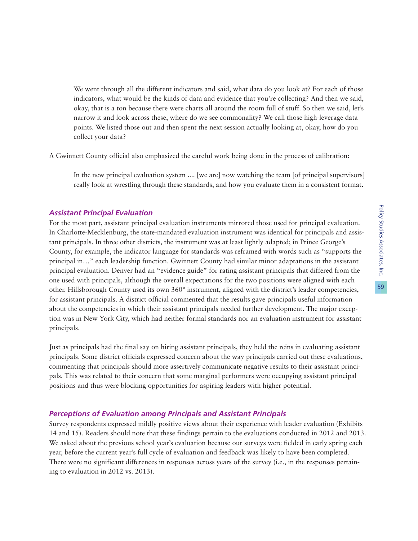We went through all the different indicators and said, what data do you look at? For each of those indicators, what would be the kinds of data and evidence that you're collecting? And then we said, okay, that is a ton because there were charts all around the room full of stuff. So then we said, let's narrow it and look across these, where do we see commonality? We call those high-leverage data points. We listed those out and then spent the next session actually looking at, okay, how do you collect your data?

A Gwinnett County official also emphasized the careful work being done in the process of calibration:

In the new principal evaluation system .... [we are] now watching the team [of principal supervisors] really look at wrestling through these standards, and how you evaluate them in a consistent format.

#### *Assistant Principal Evaluation*

For the most part, assistant principal evaluation instruments mirrored those used for principal evaluation. In Charlotte-Mecklenburg, the state-mandated evaluation instrument was identical for principals and assistant principals. In three other districts, the instrument was at least lightly adapted; in Prince George's County, for example, the indicator language for standards was reframed with words such as "supports the principal in…" each leadership function. Gwinnett County had similar minor adaptations in the assistant principal evaluation. Denver had an "evidence guide" for rating assistant principals that differed from the one used with principals, although the overall expectations for the two positions were aligned with each other. Hillsborough County used its own 360° instrument, aligned with the district's leader competencies, for assistant principals. A district official commented that the results gave principals useful information about the competencies in which their assistant principals needed further development. The major exception was in New York City, which had neither formal standards nor an evaluation instrument for assistant principals.

Just as principals had the final say on hiring assistant principals, they held the reins in evaluating assistant principals. Some district officials expressed concern about the way principals carried out these evaluations, commenting that principals should more assertively communicate negative results to their assistant principals. This was related to their concern that some marginal performers were occupying assistant principal positions and thus were blocking opportunities for aspiring leaders with higher potential.

## *Perceptions of Evaluation among Principals and Assistant Principals*

Survey respondents expressed mildly positive views about their experience with leader evaluation (Exhibits 14 and 15). Readers should note that these findings pertain to the evaluations conducted in 2012 and 2013. We asked about the previous school year's evaluation because our surveys were fielded in early spring each year, before the current year's full cycle of evaluation and feedback was likely to have been completed. There were no significant differences in responses across years of the survey (i.e., in the responses pertaining to evaluation in 2012 vs. 2013).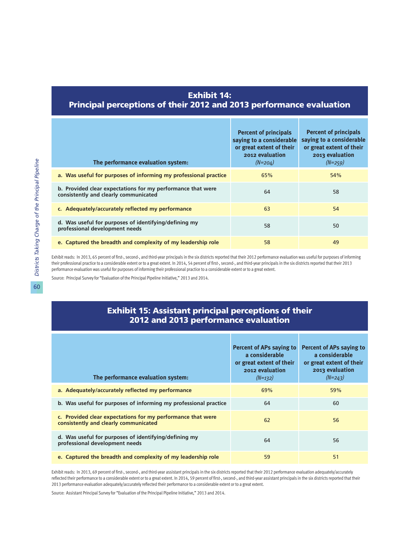# **Exhibit 14: Principal perceptions of their 2012 and 2013 performance evaluation**

| The performance evaluation system:                                                                   | <b>Percent of principals</b><br>saying to a considerable<br>or great extent of their<br>2012 evaluation<br>$(N=204)$ | <b>Percent of principals</b><br>saying to a considerable<br>or great extent of their<br>2013 evaluation<br>$(N=259)$ |
|------------------------------------------------------------------------------------------------------|----------------------------------------------------------------------------------------------------------------------|----------------------------------------------------------------------------------------------------------------------|
| a. Was useful for purposes of informing my professional practice                                     | 65%                                                                                                                  | 54%                                                                                                                  |
| b. Provided clear expectations for my performance that were<br>consistently and clearly communicated | 64                                                                                                                   | 58                                                                                                                   |
| c. Adequately/accurately reflected my performance                                                    | 63                                                                                                                   | 54                                                                                                                   |
| d. Was useful for purposes of identifying/defining my<br>professional development needs              | 58                                                                                                                   | 50                                                                                                                   |
| e. Captured the breadth and complexity of my leadership role                                         | 58                                                                                                                   | 49                                                                                                                   |

Exhibit reads: In 2013, 65 percent of first-, second-, and third-year principals in the six districts reported that their 2012 performance evaluation was useful for purposes of informing their professional practice to a considerable extent or to a great extent. In 2014, 54 percent of first-, second-, and third-year principals in the six districts reported that their 2013 performance evaluation was useful for purposes of informing their professional practice to a considerable extent or to a great extent.

Source: Principal Survey for "Evaluation of the Principal Pipeline Initiative," 2013 and 2014.

## **Exhibit 15: Assistant principal perceptions of their 2012 and 2013 performance evaluation**

| The performance evaluation system:                                                                   | Percent of APs saying to<br>a considerable<br>or great extent of their<br>2012 evaluation<br>$(N=132)$ | <b>Percent of APs saying to</b><br>a considerable<br>or great extent of their<br>2013 evaluation<br>$(N=243)$ |
|------------------------------------------------------------------------------------------------------|--------------------------------------------------------------------------------------------------------|---------------------------------------------------------------------------------------------------------------|
| a. Adequately/accurately reflected my performance                                                    | 69%                                                                                                    | 59%                                                                                                           |
| b. Was useful for purposes of informing my professional practice                                     | 64                                                                                                     | 60                                                                                                            |
| c. Provided clear expectations for my performance that were<br>consistently and clearly communicated | 62                                                                                                     | 56                                                                                                            |
| d. Was useful for purposes of identifying/defining my<br>professional development needs              | 64                                                                                                     | 56                                                                                                            |
| e. Captured the breadth and complexity of my leadership role                                         | 59                                                                                                     | 51                                                                                                            |

Exhibit reads: In 2013, 69 percent of first-, second-, and third-year assistant principals in the six districts reported that their 2012 performance evaluation adequately/accurately reflected their performance to a considerable extent or to a great extent. In 2014, 59 percent of first-, second-, and third-year assistant principals in the six districts reported that their 2013 performance evaluation adequately/accurately reflected their performance to a considerable extent or to a great extent.

Source: Assistant Principal Survey for "Evaluation of the Principal Pipeline Initiative," 2013 and 2014.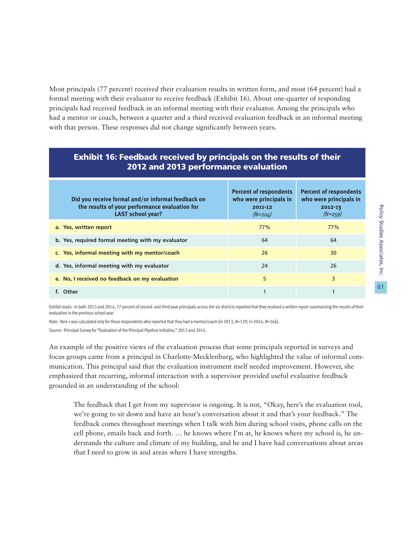Most principals (77 percent) received their evaluation results in written form, and most (64 percent) had a formal meeting with their evaluator to receive feedback (Exhibit 16). About one-quarter of responding principals had received feedback in an informal meeting with their evaluator. Among the principals who had a mentor or coach, between a quarter and a third received evaluation feedback in an informal meeting with that person. These responses did not change significantly between years.

| Did you receive formal and/or informal feedback on<br>the results of your performance evaluation for<br><b>LAST school year?</b> | <b>Percent of respondents</b><br>who were principals in<br>2011-12<br>$(N=204)$ | <b>Percent of respondents</b><br>who were principals in<br>2012-13<br>$(N=259)$ |
|----------------------------------------------------------------------------------------------------------------------------------|---------------------------------------------------------------------------------|---------------------------------------------------------------------------------|
| a. Yes, written report                                                                                                           | 77%                                                                             | 77%                                                                             |
| b. Yes, required formal meeting with my evaluator                                                                                | 64                                                                              | 64                                                                              |
| c. Yes, informal meeting with my mentor/coach                                                                                    | 26                                                                              | 30                                                                              |
| d. Yes, informal meeting with my evaluator                                                                                       | 24                                                                              | 26                                                                              |
| e. No, I received no feedback on my evaluation                                                                                   | 5                                                                               | 3                                                                               |
| f. Other                                                                                                                         |                                                                                 |                                                                                 |

### **Exhibit 16: Feedback received by principals on the results of their 2012 and 2013 performance evaluation**

Exhibit reads: In both 2013 and 2014, 77 percent of second- and third-year principals across the six districts reported that they received a written report summarizing the results of their evaluation in the previous school year.

Note: Item c was calculated only for those respondents who reported that they had a mentor/coach (in 2013, *N*=129; in 2014, *N*=166).

Source: Principal Survey for "Evaluation of the Principal Pipeline Initiative," 2013 and 2014.

An example of the positive views of the evaluation process that some principals reported in surveys and focus groups came from a principal in Charlotte-Mecklenburg, who highlighted the value of informal communication. This principal said that the evaluation instrument itself needed improvement. However, she emphasized that recurring, informal interaction with a supervisor provided useful evaluative feedback grounded in an understanding of the school:

The feedback that I get from my supervisor is ongoing. It is not, "Okay, here's the evaluation tool, we're going to sit down and have an hour's conversation about it and that's your feedback." The feedback comes throughout meetings when I talk with him during school visits, phone calls on the cell phone, emails back and forth. … he knows where I'm at, he knows where my school is, he understands the culture and climate of my building, and he and I have had conversations about areas that I need to grow in and areas where I have strengths.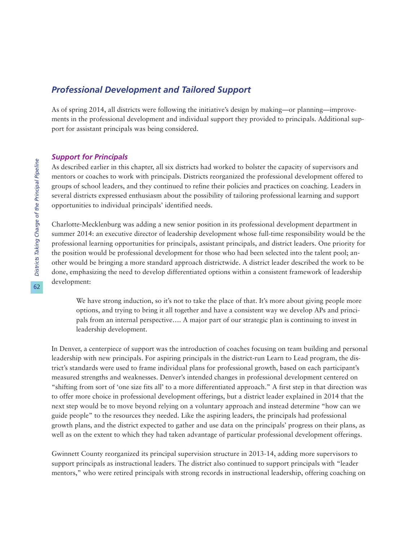#### *Professional Development and Tailored Support*

As of spring 2014, all districts were following the initiative's design by making—or planning—improvements in the professional development and individual support they provided to principals. Additional support for assistant principals was being considered.

#### *Support for Principals*

As described earlier in this chapter, all six districts had worked to bolster the capacity of supervisors and mentors or coaches to work with principals. Districts reorganized the professional development offered to groups of school leaders, and they continued to refine their policies and practices on coaching. Leaders in several districts expressed enthusiasm about the possibility of tailoring professional learning and support opportunities to individual principals' identified needs.

Charlotte-Mecklenburg was adding a new senior position in its professional development department in summer 2014: an executive director of leadership development whose full-time responsibility would be the professional learning opportunities for principals, assistant principals, and district leaders. One priority for the position would be professional development for those who had been selected into the talent pool; another would be bringing a more standard approach districtwide. A district leader described the work to be done, emphasizing the need to develop differentiated options within a consistent framework of leadership development:

We have strong induction, so it's not to take the place of that. It's more about giving people more options, and trying to bring it all together and have a consistent way we develop APs and principals from an internal perspective…. A major part of our strategic plan is continuing to invest in leadership development.

In Denver, a centerpiece of support was the introduction of coaches focusing on team building and personal leadership with new principals. For aspiring principals in the district-run Learn to Lead program, the district's standards were used to frame individual plans for professional growth, based on each participant's measured strengths and weaknesses. Denver's intended changes in professional development centered on "shifting from sort of 'one size fits all' to a more differentiated approach." A first step in that direction was to offer more choice in professional development offerings, but a district leader explained in 2014 that the next step would be to move beyond relying on a voluntary approach and instead determine "how can we guide people" to the resources they needed. Like the aspiring leaders, the principals had professional growth plans, and the district expected to gather and use data on the principals' progress on their plans, as well as on the extent to which they had taken advantage of particular professional development offerings.

Gwinnett County reorganized its principal supervision structure in 2013-14, adding more supervisors to support principals as instructional leaders. The district also continued to support principals with "leader mentors," who were retired principals with strong records in instructional leadership, offering coaching on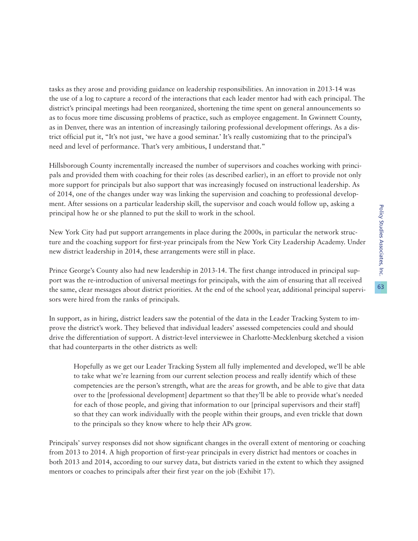tasks as they arose and providing guidance on leadership responsibilities. An innovation in 2013-14 was the use of a log to capture a record of the interactions that each leader mentor had with each principal. The district's principal meetings had been reorganized, shortening the time spent on general announcements so as to focus more time discussing problems of practice, such as employee engagement. In Gwinnett County, as in Denver, there was an intention of increasingly tailoring professional development offerings. As a district official put it, "It's not just, 'we have a good seminar.' It's really customizing that to the principal's need and level of performance. That's very ambitious, I understand that."

Hillsborough County incrementally increased the number of supervisors and coaches working with principals and provided them with coaching for their roles (as described earlier), in an effort to provide not only more support for principals but also support that was increasingly focused on instructional leadership. As of 2014, one of the changes under way was linking the supervision and coaching to professional development. After sessions on a particular leadership skill, the supervisor and coach would follow up, asking a principal how he or she planned to put the skill to work in the school.

New York City had put support arrangements in place during the 2000s, in particular the network structure and the coaching support for first-year principals from the New York City Leadership Academy. Under new district leadership in 2014, these arrangements were still in place.

Prince George's County also had new leadership in 2013-14. The first change introduced in principal support was the re-introduction of universal meetings for principals, with the aim of ensuring that all received the same, clear messages about district priorities. At the end of the school year, additional principal supervisors were hired from the ranks of principals.

In support, as in hiring, district leaders saw the potential of the data in the Leader Tracking System to improve the district's work. They believed that individual leaders' assessed competencies could and should drive the differentiation of support. A district-level interviewee in Charlotte-Mecklenburg sketched a vision that had counterparts in the other districts as well:

Hopefully as we get our Leader Tracking System all fully implemented and developed, we'll be able to take what we're learning from our current selection process and really identify which of these competencies are the person's strength, what are the areas for growth, and be able to give that data over to the [professional development] department so that they'll be able to provide what's needed for each of those people, and giving that information to our [principal supervisors and their staff] so that they can work individually with the people within their groups, and even trickle that down to the principals so they know where to help their APs grow.

Principals' survey responses did not show significant changes in the overall extent of mentoring or coaching from 2013 to 2014. A high proportion of first-year principals in every district had mentors or coaches in both 2013 and 2014, according to our survey data, but districts varied in the extent to which they assigned mentors or coaches to principals after their first year on the job (Exhibit 17).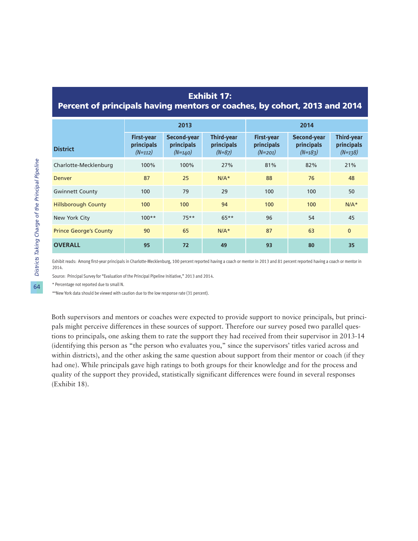#### **Exhibit 17:**

## **Percent of principals having mentors or coaches, by cohort, 2013 and 2014**

|                               | 2013                                         |                                        |                                             | 2014                                         |                                        |                                              |  |
|-------------------------------|----------------------------------------------|----------------------------------------|---------------------------------------------|----------------------------------------------|----------------------------------------|----------------------------------------------|--|
| <b>District</b>               | <b>First-year</b><br>principals<br>$(N=112)$ | Second-year<br>principals<br>$(N=140)$ | <b>Third-year</b><br>principals<br>$(N=87)$ | <b>First-year</b><br>principals<br>$(N=201)$ | Second-year<br>principals<br>$(N=183)$ | <b>Third-year</b><br>principals<br>$(N=138)$ |  |
| Charlotte-Mecklenburg         | 100%                                         | 100%                                   | 27%                                         | 81%                                          | 82%                                    | 21%                                          |  |
| <b>Denver</b>                 | 87                                           | 25                                     | $N/A*$                                      | 88                                           | 76                                     | 48                                           |  |
| <b>Gwinnett County</b>        | 100                                          | 79                                     | 29                                          | 100                                          | 100                                    | 50                                           |  |
| <b>Hillsborough County</b>    | 100                                          | 100                                    | 94                                          | 100                                          | 100                                    | $N/A*$                                       |  |
| New York City                 | $100**$                                      | $75***$                                | $65***$                                     | 96                                           | 54                                     | 45                                           |  |
| <b>Prince George's County</b> | 90                                           | 65                                     | $N/A*$                                      | 87                                           | 63                                     | $\mathbf{0}$                                 |  |
| <b>OVERALL</b>                | 95                                           | 72                                     | 49                                          | 93                                           | 80                                     | 35                                           |  |

Exhibit reads: Among first-year principals in Charlotte-Mecklenburg, 100 percent reported having a coach or mentor in 2013 and 81 percent reported having a coach or mentor in 2014.

Source: Principal Survey for "Evaluation of the Principal Pipeline Initiative," 2013 and 2014.

\* Percentage not reported due to small N.

\*\*New York data should be viewed with caution due to the low response rate (31 percent).

Both supervisors and mentors or coaches were expected to provide support to novice principals, but principals might perceive differences in these sources of support. Therefore our survey posed two parallel questions to principals, one asking them to rate the support they had received from their supervisor in 2013-14 (identifying this person as "the person who evaluates you," since the supervisors' titles varied across and within districts), and the other asking the same question about support from their mentor or coach (if they had one). While principals gave high ratings to both groups for their knowledge and for the process and quality of the support they provided, statistically significant differences were found in several responses (Exhibit 18).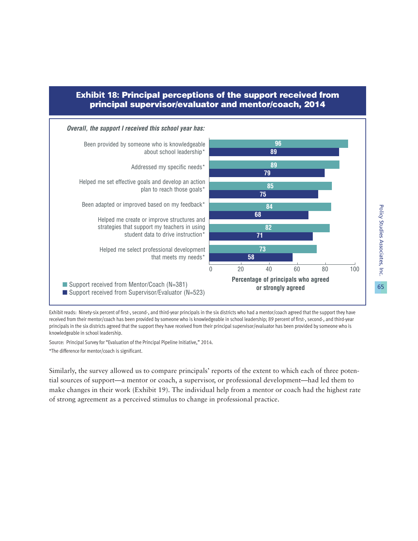

## **Exhibit 18: Principal perceptions of the support received from principal supervisor/evaluator and mentor/coach, 2014**

Exhibit reads: Ninety-six percent of first-, second-, and third-year principals in the six districts who had a mentor/coach agreed that the support they have received from their mentor/coach has been provided by someone who is knowledgeable in school leadership; 89 percent of first-, second-, and third-year principals in the six districts agreed that the support they have received from their principal supervisor/evaluator has been provided by someone who is knowledgeable in school leadership.

Source: Principal Survey for "Evaluation of the Principal Pipeline Initiative," 2014. \*The difference for mentor/coach is significant.

Similarly, the survey allowed us to compare principals' reports of the extent to which each of three potential sources of support—a mentor or coach, a supervisor, or professional development—had led them to make changes in their work (Exhibit 19). The individual help from a mentor or coach had the highest rate of strong agreement as a perceived stimulus to change in professional practice.

Policy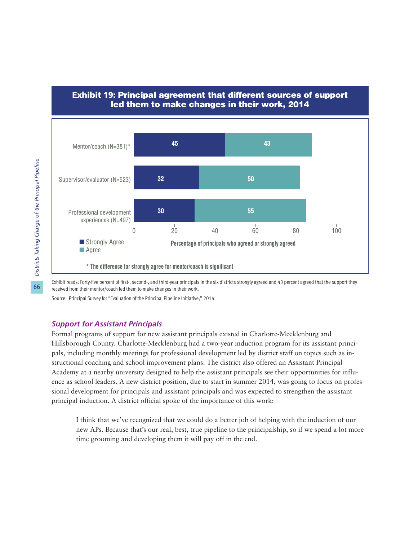



Exhibit reads: Forty-five percent of first-, second-, and third-year principals in the six districts strongly agreed and 43 percent agreed that the support they received from their mentor/coach led them to make changes in their work.

Source: Principal Survey for "Evaluation of the Principal Pipeline Initiative," 2014.

#### *Support for Assistant Principals*

Formal programs of support for new assistant principals existed in Charlotte-Mecklenburg and Hillsborough County. Charlotte-Mecklenburg had a two-year induction program for its assistant principals, including monthly meetings for professional development led by district staff on topics such as instructional coaching and school improvement plans. The district also offered an Assistant Principal Academy at a nearby university designed to help the assistant principals see their opportunities for influence as school leaders. A new district position, due to start in summer 2014, was going to focus on professional development for principals and assistant principals and was expected to strengthen the assistant principal induction. A district official spoke of the importance of this work:

I think that we've recognized that we could do a better job of helping with the induction of our new APs. Because that's our real, best, true pipeline to the principalship, so if we spend a lot more time grooming and developing them it will pay off in the end.

66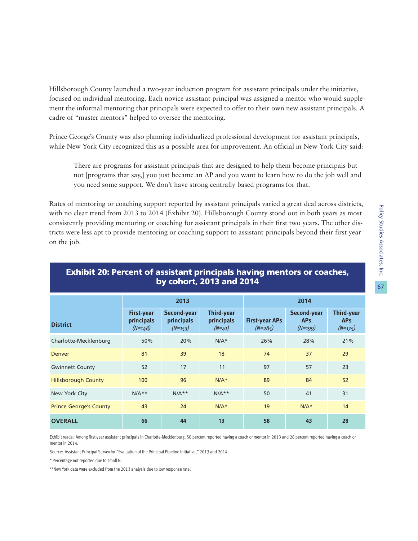Hillsborough County launched a two-year induction program for assistant principals under the initiative, focused on individual mentoring. Each novice assistant principal was assigned a mentor who would supplement the informal mentoring that principals were expected to offer to their own new assistant principals. A cadre of "master mentors" helped to oversee the mentoring.

Prince George's County was also planning individualized professional development for assistant principals, while New York City recognized this as a possible area for improvement. An official in New York City said:

There are programs for assistant principals that are designed to help them become principals but not [programs that say,] you just became an AP and you want to learn how to do the job well and you need some support. We don't have strong centrally based programs for that.

Rates of mentoring or coaching support reported by assistant principals varied a great deal across districts, with no clear trend from 2013 to 2014 (Exhibit 20). Hillsborough County stood out in both years as most consistently providing mentoring or coaching for assistant principals in their first two years. The other districts were less apt to provide mentoring or coaching support to assistant principals beyond their first year on the job.

|                               | 2013                                         |                                        |                                             | 2014                               |                                        |                                              |  |
|-------------------------------|----------------------------------------------|----------------------------------------|---------------------------------------------|------------------------------------|----------------------------------------|----------------------------------------------|--|
| <b>District</b>               | <b>First-year</b><br>principals<br>$(N=148)$ | Second-year<br>principals<br>$(N=153)$ | <b>Third-year</b><br>principals<br>$(N=41)$ | <b>First-year APs</b><br>$(N=285)$ | Second-year<br><b>APs</b><br>$(N=199)$ | <b>Third-year</b><br><b>APs</b><br>$(N=175)$ |  |
| Charlotte-Mecklenburg         | 50%                                          | 20%                                    | $N/A^*$                                     | 26%                                | 28%                                    | 21%                                          |  |
| <b>Denver</b>                 | 81                                           | 39                                     | 18                                          | 74                                 | 37                                     | 29                                           |  |
| <b>Gwinnett County</b>        | 52                                           | 17                                     | 11                                          | 97                                 | 57                                     | 23                                           |  |
| <b>Hillsborough County</b>    | 100                                          | 96                                     | $N/A*$                                      | 89                                 | 84                                     | 52                                           |  |
| New York City                 | $N/A**$                                      | $N/A**$                                | $N/A**$                                     | 50                                 | 41                                     | 31                                           |  |
| <b>Prince George's County</b> | 43                                           | 24                                     | $N/A*$                                      | 19                                 | $N/A*$                                 | 14                                           |  |
| <b>OVERALL</b>                | 66                                           | 44                                     | 13                                          | 58                                 | 43                                     | 28                                           |  |

### **Exhibit 20: Percent of assistant principals having mentors or coaches, by cohort, 2013 and 2014**

Exhibit reads: Among first-year assistant principals in Charlotte-Mecklenburg, 50 percent reported having a coach or mentor in 2013 and 26 percent reported having a coach or mentor in 2014.

Source: Assistant Principal Survey for "Evaluation of the Principal Pipeline Initiative," 2013 and 2014.

\* Percentage not reported due to small N.

\*\*New York data were excluded from the 2013 analysis due to low response rate.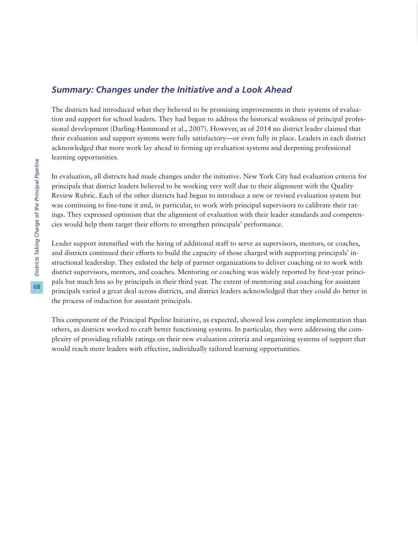#### *Summary: Changes under the Initiative and a Look Ahead*

The districts had introduced what they believed to be promising improvements in their systems of evaluation and support for school leaders. They had begun to address the historical weakness of principal professional development (Darling-Hammond et al., 2007). However, as of 2014 no district leader claimed that their evaluation and support systems were fully satisfactory—or even fully in place. Leaders in each district acknowledged that more work lay ahead in firming up evaluation systems and deepening professional learning opportunities.

In evaluation, all districts had made changes under the initiative. New York City had evaluation criteria for principals that district leaders believed to be working very well due to their alignment with the Quality Review Rubric. Each of the other districts had begun to introduce a new or revised evaluation system but was continuing to fine-tune it and, in particular, to work with principal supervisors to calibrate their ratings. They expressed optimism that the alignment of evaluation with their leader standards and competencies would help them target their efforts to strengthen principals' performance.

Leader support intensified with the hiring of additional staff to serve as supervisors, mentors, or coaches, and districts continued their efforts to build the capacity of those charged with supporting principals' instructional leadership. They enlisted the help of partner organizations to deliver coaching or to work with district supervisors, mentors, and coaches. Mentoring or coaching was widely reported by first-year principals but much less so by principals in their third year. The extent of mentoring and coaching for assistant principals varied a great deal across districts, and district leaders acknowledged that they could do better in the process of induction for assistant principals.

This component of the Principal Pipeline Initiative, as expected, showed less complete implementation than others, as districts worked to craft better functioning systems. In particular, they were addressing the complexity of providing reliable ratings on their new evaluation criteria and organizing systems of support that would reach more leaders with effective, individually tailored learning opportunities.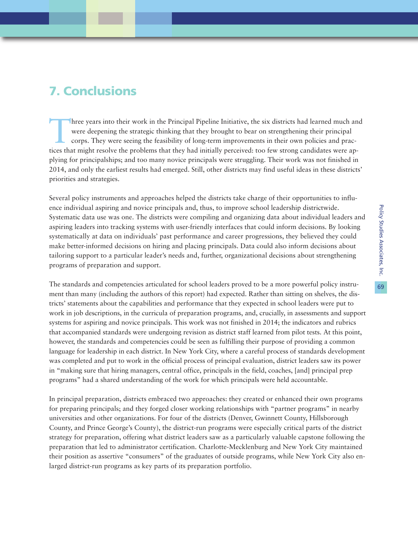# **7. Conclusions**

Three years into their work in the Principal Pipeline Initiative, the six districts had learned much and were deepening the strategic thinking that they brought to bear on strengthening their principal corps. They were seeing the feasibility of long-term improvements in their own policies and practices that might resolve the problems that they had initially perceived: too few strong candidates were applying for principalships; and too many novice principals were struggling. Their work was not finished in 2014, and only the earliest results had emerged. Still, other districts may find useful ideas in these districts' priorities and strategies.

Several policy instruments and approaches helped the districts take charge of their opportunities to influence individual aspiring and novice principals and, thus, to improve school leadership districtwide. Systematic data use was one. The districts were compiling and organizing data about individual leaders and aspiring leaders into tracking systems with user-friendly interfaces that could inform decisions. By looking systematically at data on individuals' past performance and career progressions, they believed they could make better-informed decisions on hiring and placing principals. Data could also inform decisions about tailoring support to a particular leader's needs and, further, organizational decisions about strengthening programs of preparation and support.

The standards and competencies articulated for school leaders proved to be a more powerful policy instrument than many (including the authors of this report) had expected. Rather than sitting on shelves, the districts' statements about the capabilities and performance that they expected in school leaders were put to work in job descriptions, in the curricula of preparation programs, and, crucially, in assessments and support systems for aspiring and novice principals. This work was not finished in 2014; the indicators and rubrics that accompanied standards were undergoing revision as district staff learned from pilot tests. At this point, however, the standards and competencies could be seen as fulfilling their purpose of providing a common language for leadership in each district. In New York City, where a careful process of standards development was completed and put to work in the official process of principal evaluation, district leaders saw its power in "making sure that hiring managers, central office, principals in the field, coaches, [and] principal prep programs" had a shared understanding of the work for which principals were held accountable.

In principal preparation, districts embraced two approaches: they created or enhanced their own programs for preparing principals; and they forged closer working relationships with "partner programs" in nearby universities and other organizations. For four of the districts (Denver, Gwinnett County, Hillsborough County, and Prince George's County), the district-run programs were especially critical parts of the district strategy for preparation, offering what district leaders saw as a particularly valuable capstone following the preparation that led to administrator certification. Charlotte-Mecklenburg and New York City maintained their position as assertive "consumers" of the graduates of outside programs, while New York City also enlarged district-run programs as key parts of its preparation portfolio.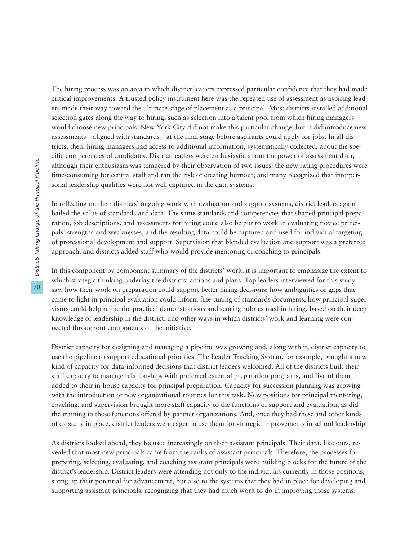The hiring process was an area in which district leaders expressed particular confidence that they had made critical improvements. A trusted policy instrument here was the repeated use of assessment as aspiring leaders made their way toward the ultimate stage of placement as a principal. Most districts installed additional selection gates along the way to hiring, such as selection into a talent pool from which hiring managers would choose new principals. New York City did not make this particular change, but it did introduce new assessments—aligned with standards—at the final stage before aspirants could apply for jobs. In all districts, then, hiring managers had access to additional information, systematically collected, about the specific competencies of candidates. District leaders were enthusiastic about the power of assessment data, although their enthusiasm was tempered by their observation of two issues: the new rating procedures were time-consuming for central staff and ran the risk of creating burnout; and many recognized that interpersonal leadership qualities were not well captured in the data systems.

In reflecting on their districts' ongoing work with evaluation and support systems, district leaders again hailed the value of standards and data. The same standards and competencies that shaped principal preparation, job descriptions, and assessments for hiring could also be put to work in evaluating novice principals' strengths and weaknesses, and the resulting data could be captured and used for individual targeting of professional development and support. Supervision that blended evaluation and support was a preferred approach, and districts added staff who would provide mentoring or coaching to principals.

In this component-by-component summary of the districts' work, it is important to emphasize the extent to which strategic thinking underlay the districts' actions and plans. Top leaders interviewed for this study saw how their work on preparation could support better hiring decisions; how ambiguities or gaps that came to light in principal evaluation could inform fine-tuning of standards documents; how principal supervisors could help refine the practical demonstrations and scoring rubrics used in hiring, based on their deep knowledge of leadership in the district; and other ways in which districts' work and learning were connected throughout components of the initiative.

District capacity for designing and managing a pipeline was growing and, along with it, district capacity to use the pipeline to support educational priorities. The Leader Tracking System, for example, brought a new kind of capacity for data-informed decisions that district leaders welcomed. All of the districts built their staff capacity to manage relationships with preferred external preparation programs, and five of them added to their in-house capacity for principal preparation. Capacity for succession planning was growing with the introduction of new organizational routines for this task. New positions for principal mentoring, coaching, and supervision brought more staff capacity to the functions of support and evaluation, as did the training in these functions offered by partner organizations. And, once they had these and other kinds of capacity in place, district leaders were eager to use them for strategic improvements in school leadership.

As districts looked ahead, they focused increasingly on their assistant principals. Their data, like ours, revealed that most new principals came from the ranks of assistant principals. Therefore, the processes for preparing, selecting, evaluating, and coaching assistant principals were building blocks for the future of the district's leadership. District leaders were attending not only to the individuals currently in those positions, sizing up their potential for advancement, but also to the systems that they had in place for developing and supporting assistant principals, recognizing that they had much work to do in improving those systems.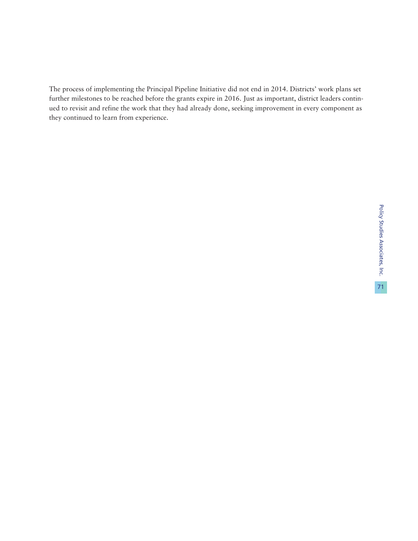The process of implementing the Principal Pipeline Initiative did not end in 2014. Districts' work plans set further milestones to be reached before the grants expire in 2016. Just as important, district leaders continued to revisit and refine the work that they had already done, seeking improvement in every component as they continued to learn from experience.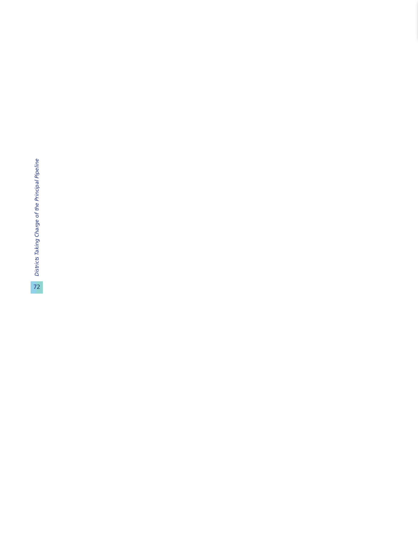*Districts Taking Charge of the Principal Pipeline* 23 Districts Taking Charge of the Principal Pipeline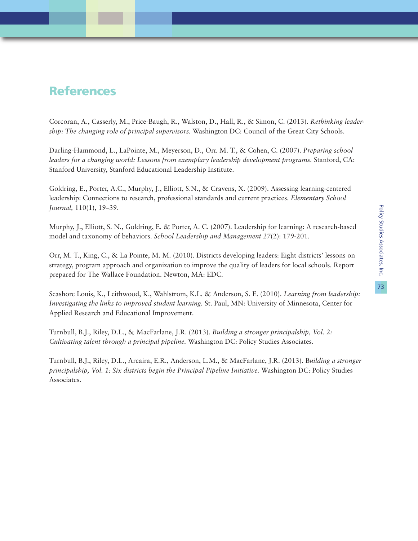## **References**

Corcoran, A., Casserly, M., Price-Baugh, R., Walston, D., Hall, R., & Simon, C. (2013). *Rethinking leadership: The changing role of principal supervisors.* Washington DC: Council of the Great City Schools.

Darling-Hammond, L., LaPointe, M., Meyerson, D., Orr. M. T., & Cohen, C. (2007). *Preparing school leaders for a changing world: Lessons from exemplary leadership development programs.* Stanford, CA: Stanford University, Stanford Educational Leadership Institute.

Goldring, E., Porter, A.C., Murphy, J., Elliott, S.N., & Cravens, X. (2009). Assessing learning-centered leadership: Connections to research, professional standards and current practices. *Elementary School Journal,* 110(1), 19–39.

Murphy, J., Elliott, S. N., Goldring, E. & Porter, A. C. (2007). Leadership for learning: A research-based model and taxonomy of behaviors. *School Leadership and Management 27*(2): 179-201.

Orr, M. T., King, C., & La Pointe, M. M. (2010). Districts developing leaders: Eight districts' lessons on strategy, program approach and organization to improve the quality of leaders for local schools. Report prepared for The Wallace Foundation. Newton, MA: EDC.

Seashore Louis, K., Leithwood, K., Wahlstrom, K.L. & Anderson, S. E. (2010). *Learning from leadership: Investigating the links to improved student learning.* St. Paul, MN: University of Minnesota, Center for Applied Research and Educational Improvement.

Turnbull, B.J., Riley, D.L., & MacFarlane, J.R. (2013). *Building a stronger principalship, Vol. 2: Cultivating talent through a principal pipeline.* Washington DC: Policy Studies Associates.

Turnbull, B.J., Riley, D.L., Arcaira, E.R., Anderson, L.M., & MacFarlane, J.R. (2013). B*uilding a stronger principalship, Vol. 1: Six districts begin the Principal Pipeline Initiative.* Washington DC: Policy Studies Associates.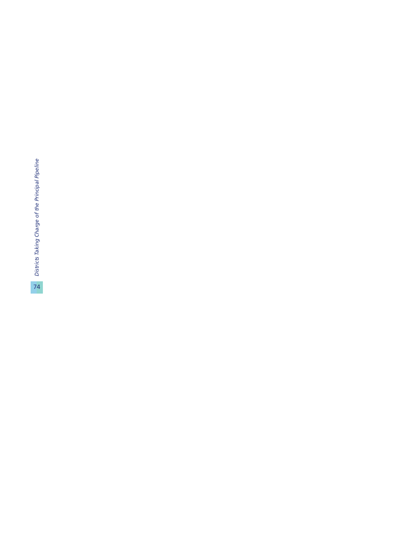*Districts Taking Charge of the Principal Pipeline* Districts Taking Charge of the Principal Pipeline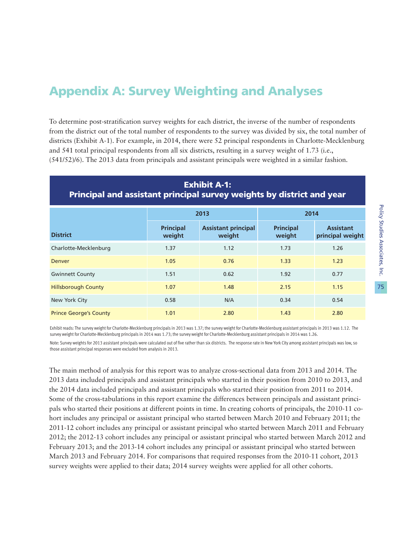# **Appendix A: Survey Weighting and Analyses**

To determine post-stratification survey weights for each district, the inverse of the number of respondents from the district out of the total number of respondents to the survey was divided by six, the total number of districts (Exhibit A-1). For example, in 2014, there were 52 principal respondents in Charlotte-Mecklenburg and 541 total principal respondents from all six districts, resulting in a survey weight of 1.73 (i.e., (541/52)/6). The 2013 data from principals and assistant principals were weighted in a similar fashion.

|                               |                            | 2013                                 | 2014                       |                                      |  |  |  |
|-------------------------------|----------------------------|--------------------------------------|----------------------------|--------------------------------------|--|--|--|
| <b>District</b>               | <b>Principal</b><br>weight | <b>Assistant principal</b><br>weight | <b>Principal</b><br>weight | <b>Assistant</b><br>principal weight |  |  |  |
| Charlotte-Mecklenburg         | 1.37                       | 1.12                                 | 1.73                       | 1.26                                 |  |  |  |
| Denver                        | 1.05                       | 0.76                                 | 1.33                       | 1.23                                 |  |  |  |
| <b>Gwinnett County</b>        | 1.51                       | 0.62                                 | 1.92                       | 0.77                                 |  |  |  |
| <b>Hillsborough County</b>    | 1.07                       | 1.48                                 | 2.15                       | 1.15                                 |  |  |  |
| New York City                 | 0.58                       | N/A                                  | 0.34                       | 0.54                                 |  |  |  |
| <b>Prince George's County</b> | 1.01                       | 2.80                                 | 1.43                       | 2.80                                 |  |  |  |

### **Exhibit A-1: Principal and assistant principal survey weights by district and year**

Exhibit reads: The survey weight for Charlotte-Mecklenburg principals in 2013 was 1.37; the survey weight for Charlotte-Mecklenburg assistant principals in 2013 was 1.12. The survey weight for Charlotte-Mecklenburg principals in 2014 was 1.73; the survey weight for Charlotte-Mecklenburg assistant principals in 2014 was 1.26. Note: Survey weights for 2013 assistant principals were calculated out of five rather than six districts. The response rate in New York City among assistant principals was low, so those assistant principal responses were excluded from analysis in 2013.

The main method of analysis for this report was to analyze cross-sectional data from 2013 and 2014. The 2013 data included principals and assistant principals who started in their position from 2010 to 2013, and the 2014 data included principals and assistant principals who started their position from 2011 to 2014. Some of the cross-tabulations in this report examine the differences between principals and assistant principals who started their positions at different points in time. In creating cohorts of principals, the 2010-11 cohort includes any principal or assistant principal who started between March 2010 and February 2011; the 2011-12 cohort includes any principal or assistant principal who started between March 2011 and February 2012; the 2012-13 cohort includes any principal or assistant principal who started between March 2012 and February 2013; and the 2013-14 cohort includes any principal or assistant principal who started between March 2013 and February 2014. For comparisons that required responses from the 2010-11 cohort, 2013 survey weights were applied to their data; 2014 survey weights were applied for all other cohorts.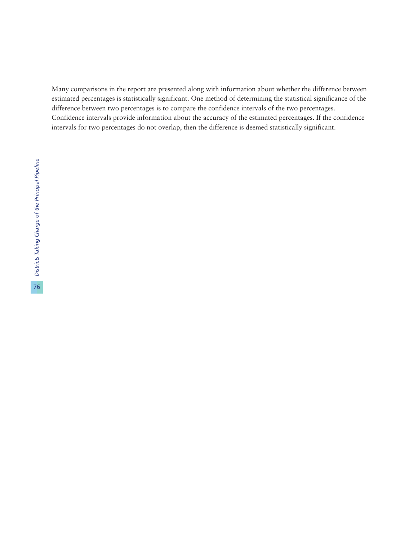Many comparisons in the report are presented along with information about whether the difference between estimated percentages is statistically significant. One method of determining the statistical significance of the difference between two percentages is to compare the confidence intervals of the two percentages. Confidence intervals provide information about the accuracy of the estimated percentages. If the confidence intervals for two percentages do not overlap, then the difference is deemed statistically significant.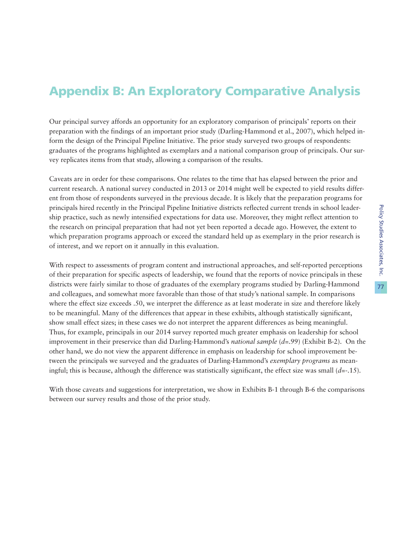# **Appendix B: An Exploratory Comparative Analysis**

Our principal survey affords an opportunity for an exploratory comparison of principals' reports on their preparation with the findings of an important prior study (Darling-Hammond et al., 2007), which helped inform the design of the Principal Pipeline Initiative. The prior study surveyed two groups of respondents: graduates of the programs highlighted as exemplars and a national comparison group of principals. Our survey replicates items from that study, allowing a comparison of the results.

Caveats are in order for these comparisons. One relates to the time that has elapsed between the prior and current research. A national survey conducted in 2013 or 2014 might well be expected to yield results different from those of respondents surveyed in the previous decade. It is likely that the preparation programs for principals hired recently in the Principal Pipeline Initiative districts reflected current trends in school leadership practice, such as newly intensified expectations for data use. Moreover, they might reflect attention to the research on principal preparation that had not yet been reported a decade ago. However, the extent to which preparation programs approach or exceed the standard held up as exemplary in the prior research is of interest, and we report on it annually in this evaluation.

With respect to assessments of program content and instructional approaches, and self-reported perceptions of their preparation for specific aspects of leadership, we found that the reports of novice principals in these districts were fairly similar to those of graduates of the exemplary programs studied by Darling-Hammond and colleagues, and somewhat more favorable than those of that study's national sample. In comparisons where the effect size exceeds .50, we interpret the difference as at least moderate in size and therefore likely to be meaningful. Many of the differences that appear in these exhibits, although statistically significant, show small effect sizes; in these cases we do not interpret the apparent differences as being meaningful. Thus, for example, principals in our 2014 survey reported much greater emphasis on leadership for school improvement in their preservice than did Darling-Hammond's *national sample* (*d*=.99) (Exhibit B-2). On the other hand, we do not view the apparent difference in emphasis on leadership for school improvement between the principals we surveyed and the graduates of Darling-Hammond's *exemplary programs* as meaningful; this is because, although the difference was statistically significant, the effect size was small (*d*=-.15).

With those caveats and suggestions for interpretation, we show in Exhibits B-1 through B-6 the comparisons between our survey results and those of the prior study.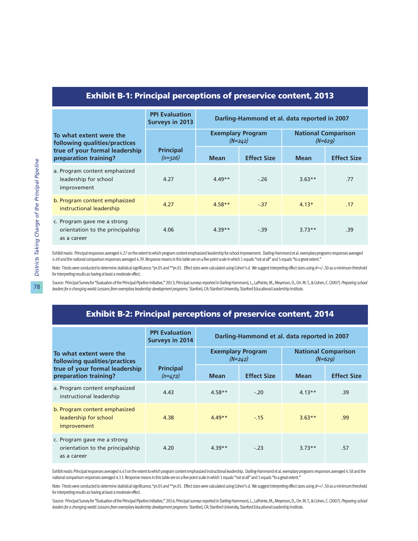## **Exhibit B-1: Principal perceptions of preservice content, 2013**

|                                                                                | <b>PPI Evaluation</b><br><b>Surveys in 2013</b> | Darling-Hammond et al. data reported in 2007 |                    |                                         |                    |  |
|--------------------------------------------------------------------------------|-------------------------------------------------|----------------------------------------------|--------------------|-----------------------------------------|--------------------|--|
| To what extent were the<br>following qualities/practices                       |                                                 | <b>Exemplary Program</b><br>$(N=242)$        |                    | <b>National Comparison</b><br>$(N=629)$ |                    |  |
| true of your formal leadership<br>preparation training?                        | <b>Principal</b><br>$(n=326)$                   | <b>Mean</b>                                  | <b>Effect Size</b> | <b>Mean</b>                             | <b>Effect Size</b> |  |
| a. Program content emphasized<br>leadership for school<br>improvement          | 4.27                                            | $4.49**$                                     | $-26$              | $3.63**$                                | .77                |  |
| b. Program content emphasized<br>instructional leadership                      | 4.27                                            | $4.58**$                                     | $-.37$             | $4.13*$                                 | .17                |  |
| c. Program gave me a strong<br>orientation to the principalship<br>as a career | 4.06                                            | $4.39**$                                     | $-.39$             | $3.73**$                                | .39                |  |

Exhibit reads: Principal responses averaged 4.27 on the extent to which program content emphasized leadership for school improvement. Darling-Hammond et al. exemplary programs responses averaged 4.49 and the national comparison responses averaged 4.39. Response means in this table are on a five-point scale in which 1 equals "not at all" and 5 equals "to a great extent."

Note: T-tests were conducted to determine statistical significance; \*p<.05 and \*\*p<.01. Effect sizes were calculated using Cohen's *d.* We suggest interpreting effect sizes using *d*=+/-.50 as a minimum threshold for interpreting results as having at least a moderate effect.

Source: Principal Survey for "Evaluation of the Principal Pipeline Initiative," 2013; Principal surveys reported in Darling-Hammond, L., LaPointe, M., Meyerson, D., Orr. M. T., & Cohen, C. (2007). Preparing school *leaders* for a *changing world: Lessons from exemplary leadership development programs. Stanford, CA: Stanford University, Stanford Educational Leadership Institute.* 

### **Exhibit B-2: Principal perceptions of preservice content, 2014**

|                                                                                | <b>PPI Evaluation</b><br>Surveys in 2014 | Darling-Hammond et al. data reported in 2007 |                    |                                         |                    |
|--------------------------------------------------------------------------------|------------------------------------------|----------------------------------------------|--------------------|-----------------------------------------|--------------------|
| To what extent were the<br>following qualities/practices                       |                                          | <b>Exemplary Program</b>                     | $(N=242)$          | <b>National Comparison</b><br>$(N=629)$ |                    |
| true of your formal leadership<br>preparation training?                        | <b>Principal</b><br>$(n=472)$            | <b>Mean</b>                                  | <b>Effect Size</b> | <b>Mean</b>                             | <b>Effect Size</b> |
| a. Program content emphasized<br>instructional leadership                      | 4.43                                     | $4.58**$                                     | $-20$              | $4.13**$                                | .39                |
| b. Program content emphasized<br>leadership for school<br>improvement          | 4.38                                     | $4.49**$                                     | $-.15$             | $3.63**$                                | .99                |
| c. Program gave me a strong<br>orientation to the principalship<br>as a career | 4.20                                     | $4.39**$                                     | $-.23$             | $3.73**$                                | .57                |

Exhibit reads: Principal responses averaged 4.43 on the extent to which program content emphasized instructional leadership. Darling-Hammond et al. exemplary programs responses averaged 4.58 and the national comparison responses averaged 4.13. Response means in this table are on a five-point scale in which 1 equals "not at all" and 5 equals "to a great extent."

Note: T-tests were conducted to determine statistical significance; \*p<05 and \*\*p<01. Effect sizes were calculated using Cohen's *d.* We suggest interpreting effect sizes using  $d=+/-50$  as a minimum threshold for interpreting results as having at least a moderate effect.

Source: Principal Survey for "Evaluation of the Principal Pipeline Initiative," 2014; Principal surveys reported in Darling-Hammond, L., LaPointe, M., Meyerson, D., Orr. M. T., & Cohen, C. (2007). Preparing school leaders for a changing world: Lessons from exemplary leadership development programs. Stanford, CA: Stanford University, Stanford Educational Leadership Institute.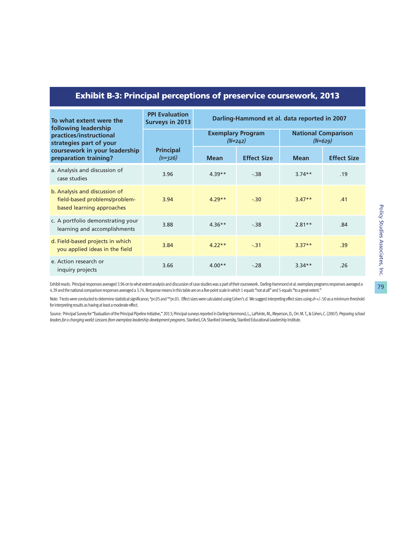## **Exhibit B-3: Principal perceptions of preservice coursework, 2013**

| To what extent were the<br>following leadership                                             | <b>PPI Evaluation</b><br><b>Surveys in 2013</b> | Darling-Hammond et al. data reported in 2007 |                                       |                                         |                    |  |
|---------------------------------------------------------------------------------------------|-------------------------------------------------|----------------------------------------------|---------------------------------------|-----------------------------------------|--------------------|--|
| practices/instructional<br>strategies part of your                                          |                                                 |                                              | <b>Exemplary Program</b><br>$(N=242)$ | <b>National Comparison</b><br>$(N=629)$ |                    |  |
| coursework in your leadership<br>preparation training?                                      | <b>Principal</b><br>$(n=326)$                   | <b>Mean</b>                                  | <b>Effect Size</b>                    | <b>Mean</b>                             | <b>Effect Size</b> |  |
| a. Analysis and discussion of<br>case studies                                               | 3.96                                            | $4.39**$                                     | $-.38$                                | $3.74**$                                | .19                |  |
| b. Analysis and discussion of<br>field-based problems/problem-<br>based learning approaches | 3.94                                            | $4.29**$                                     | $-.30$                                | $3.47**$                                | .41                |  |
| c. A portfolio demonstrating your<br>learning and accomplishments                           | 3.88                                            | $4.36**$                                     | $-.38$                                | $2.81**$                                | .84                |  |
| d. Field-based projects in which<br>you applied ideas in the field                          | 3.84                                            | $4.22**$                                     | $-.31$                                | $3.37**$                                | .39                |  |
| e. Action research or<br>inquiry projects                                                   | 3.66                                            | $4.00**$                                     | $-28$                                 | $3.34**$                                | .26                |  |

Exhibit reads: Principal responses averaged 3.96 on to what extent analysis and discussion of case studies was a part of their coursework. Darling-Hammond et al. exemplary programs responses averaged a 4.39 and the national comparison responses averaged a 3.74. Response means in this table are on a five-point scale in which 1 equals "not at all" and 5 equals "to a great extent."

Note: T-tests were conducted to determine statistical significance; \*p<.05 and \*\*p<.01. Effect sizes were calculated using Cohen's d. We suggest interpreting effect sizes using d=+/-.50 as a minimum threshold for interpreting results as having at least a moderate effect.

Source: Principal Survey for "Evaluation of the Principal Pipeline Initiative," 2013; Principal surveys reported in Darling-Hammond, L., LaPointe, M., Meyerson, D., Orr. M. T., & Cohen, C. (2007). Preparing school leaders for a changing world: Lessons from exemplary leadership development programs. Stanford, CA: Stanford University, Stanford Educational Leadership Institute.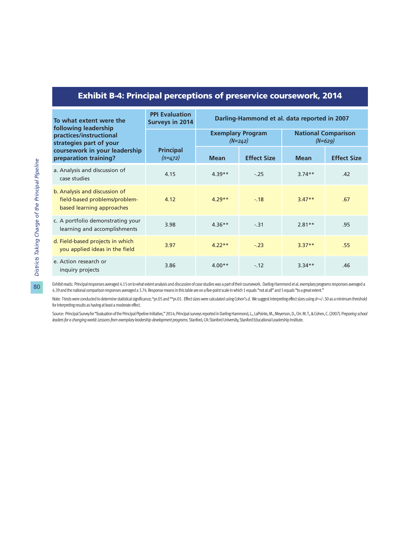## **Exhibit B-4: Principal perceptions of preservice coursework, 2014**

| To what extent were the<br>following leadership                                             | <b>PPI Evaluation</b><br><b>Surveys in 2014</b> |             | Darling-Hammond et al. data reported in 2007 |                                         |                    |  |
|---------------------------------------------------------------------------------------------|-------------------------------------------------|-------------|----------------------------------------------|-----------------------------------------|--------------------|--|
| practices/instructional<br>strategies part of your                                          |                                                 |             | <b>Exemplary Program</b><br>$(N=242)$        | <b>National Comparison</b><br>$(N=629)$ |                    |  |
| coursework in your leadership<br>preparation training?                                      | <b>Principal</b><br>$(n=472)$                   | <b>Mean</b> | <b>Effect Size</b>                           | <b>Mean</b>                             | <b>Effect Size</b> |  |
| a. Analysis and discussion of<br>case studies                                               | 4.15                                            | $4.39**$    | $-.25$                                       | $3.74**$                                | .42                |  |
| b. Analysis and discussion of<br>field-based problems/problem-<br>based learning approaches | 4.12                                            | $4.29**$    | $-18$                                        | $3.47**$                                | .67                |  |
| c. A portfolio demonstrating your<br>learning and accomplishments                           | 3.98                                            | $4.36**$    | $-.31$                                       | $2.81**$                                | .95                |  |
| d. Field-based projects in which<br>you applied ideas in the field                          | 3.97                                            | $4.22**$    | $-23$                                        | $3.37**$                                | .55                |  |
| e. Action research or<br>inquiry projects                                                   | 3.86                                            | $4.00**$    | $-.12$                                       | $3.34**$                                | .46                |  |

Exhibit reads: Principal responses averaged 4.15 on to what extent analysis and discussion of case studies was a part of their coursework. Darling-Hammond et al. exemplary programs responses averaged a 4.39 and the national comparison responses averaged a 3.74. Response means in this table are on a five-point scale in which 1 equals "not at all" and 5 equals "to a great extent."

Note: T-tests were conducted to determine statistical significance; \*p<05 and \*\*p<01. Effect sizes were calculated using Cohen's d. We suggest interpreting effect sizes using  $d=+/-50$  as a minimum threshold for interpreting results as having at least a moderate effect.

Source: Principal Surveyfor "Evaluation of the Principal Pipeline Initiative," 2014; Principal surveys reported in Darling-Hammond, L., LaPointe, M., Meyerson, D., Orr. M. T., & Cohen, C. (2007). Preparing school leaders for a changing world: Lessons from exemplary leadership development programs. Stanford, CA: Stanford University, Stanford Educational Leadership Institute.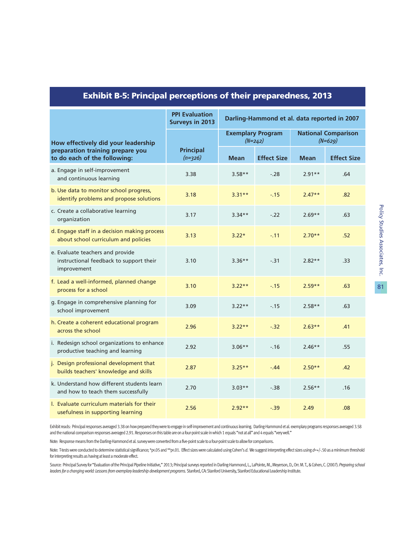|                                                                                            | <b>PPI Evaluation</b><br><b>Surveys in 2013</b> | Darling-Hammond et al. data reported in 2007 |                                                                                  |             |                    |
|--------------------------------------------------------------------------------------------|-------------------------------------------------|----------------------------------------------|----------------------------------------------------------------------------------|-------------|--------------------|
| How effectively did your leadership                                                        |                                                 |                                              | <b>Exemplary Program</b><br><b>National Comparison</b><br>$(N=242)$<br>$(N=629)$ |             |                    |
| preparation training prepare you<br>to do each of the following:                           | <b>Principal</b><br>$(n=326)$                   | <b>Mean</b>                                  | <b>Effect Size</b>                                                               | <b>Mean</b> | <b>Effect Size</b> |
| a. Engage in self-improvement<br>and continuous learning                                   | 3.38                                            | $3.58**$                                     | $-.28$                                                                           | $2.91**$    | .64                |
| b. Use data to monitor school progress,<br>identify problems and propose solutions         | 3.18                                            | $3.31**$                                     | $-.15$                                                                           | $2.47**$    | .82                |
| c. Create a collaborative learning<br>organization                                         | 3.17                                            | $3.34**$                                     | $-.22$                                                                           | $2.69**$    | .63                |
| d. Engage staff in a decision making process<br>about school curriculum and policies       | 3.13                                            | $3.22*$                                      | $-.11$                                                                           | $2.70**$    | .52                |
| e. Evaluate teachers and provide<br>instructional feedback to support their<br>improvement | 3.10                                            | $3.36**$                                     | $-.31$                                                                           | $2.82**$    | .33                |
| f. Lead a well-informed, planned change<br>process for a school                            | 3.10                                            | $3.22**$                                     | $-.15$                                                                           | $2.59**$    | .63                |
| g. Engage in comprehensive planning for<br>school improvement                              | 3.09                                            | $3.22**$                                     | $-.15$                                                                           | $2.58**$    | .63                |
| h. Create a coherent educational program<br>across the school                              | 2.96                                            | $3.22**$                                     | $-0.32$                                                                          | $2.63**$    | .41                |
| i. Redesign school organizations to enhance<br>productive teaching and learning            | 2.92                                            | $3.06**$                                     | $-.16$                                                                           | $2.46**$    | .55                |
| j. Design professional development that<br>builds teachers' knowledge and skills           | 2.87                                            | $3.25**$                                     | $-.44$                                                                           | $2.50**$    | .42                |
| k. Understand how different students learn<br>and how to teach them successfully           | 2.70                                            | $3.03**$                                     | $-.38$                                                                           | $2.56**$    | .16                |
| I. Evaluate curriculum materials for their<br>usefulness in supporting learning            | 2.56                                            | $2.92**$                                     | $-.39$                                                                           | 2.49        | .08                |

## **Exhibit B-5: Principal perceptions of their preparedness, 2013**

Exhibit reads: Principal responses averaged 3.38 on how prepared they were to engage in self-improvement and continuous learning. Darling-Hammond et al. exemplary programs responses averaged 3.58 and the national comparison responses averaged 2.91. Responses on this table are on a four-point scale in which 1 equals "not at all" and 4 equals "very well."

Note: Response means from the Darling-Hammond et al. survey were converted from a five-point scale to a four-point scale to allow for comparisons.

Note: T-tests were conducted to determine statistical significance; \*p<.05 and \*\*p<.01. Effect sizes were calculated using Cohen's d. We suggest interpreting effect sizes using d=+/-.50 as a minimum threshold for interpreting results as having at least a moderate effect.

Source: Principal Survey for "Evaluation of the Principal Pipeline Initiative," 2013; Principal surveys reported in Darling-Hammond, L., LaPointe, M., Meyerson, D., Orr. M. T., & Cohen, C. (2007). Preparing school leaders for a changing world: Lessons from exemplary leadership development programs. Stanford, CA: Stanford University, Stanford Educational Leadership Institute.

81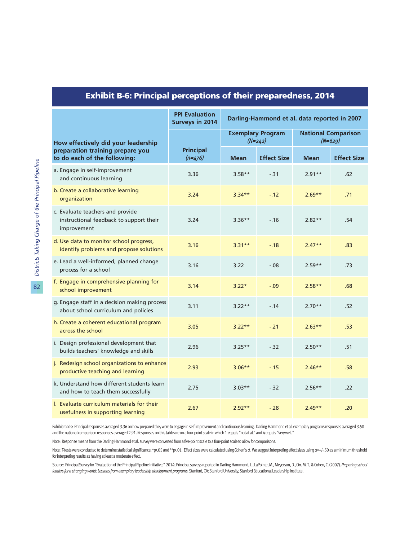| <b>Exhibit B-6: Principal perceptions of their preparedness, 2014</b> |  |  |  |
|-----------------------------------------------------------------------|--|--|--|
|                                                                       |  |  |  |

|                                                                                            | <b>PPI Evaluation</b><br><b>Surveys in 2014</b> | Darling-Hammond et al. data reported in 2007 |                    |                                         |                    |
|--------------------------------------------------------------------------------------------|-------------------------------------------------|----------------------------------------------|--------------------|-----------------------------------------|--------------------|
| How effectively did your leadership                                                        |                                                 | <b>Exemplary Program</b><br>$(N=242)$        |                    | <b>National Comparison</b><br>$(N=629)$ |                    |
| preparation training prepare you<br>to do each of the following:                           | <b>Principal</b><br>$(n=476)$                   | <b>Mean</b>                                  | <b>Effect Size</b> | <b>Mean</b>                             | <b>Effect Size</b> |
| a. Engage in self-improvement<br>and continuous learning                                   | 3.36                                            | $3.58**$                                     | $-.31$             | $2.91**$                                | .62                |
| b. Create a collaborative learning<br>organization                                         | 3.24                                            | $3.34**$                                     | $-.12$             | $2.69**$                                | .71                |
| c. Evaluate teachers and provide<br>instructional feedback to support their<br>improvement | 3.24                                            | $3.36**$                                     | $-.16$             | $2.82**$                                | .54                |
| d. Use data to monitor school progress,<br>identify problems and propose solutions         | 3.16                                            | $3.31**$                                     | $-.18$             | $2.47**$                                | .83                |
| e. Lead a well-informed, planned change<br>process for a school                            | 3.16                                            | 3.22                                         | $-.08$             | $2.59**$                                | .73                |
| f. Engage in comprehensive planning for<br>school improvement                              | 3.14                                            | $3.22*$                                      | $-.09$             | $2.58**$                                | .68                |
| g. Engage staff in a decision making process<br>about school curriculum and policies       | 3.11                                            | $3.22**$                                     | $-.14$             | $2.70**$                                | .52                |
| h. Create a coherent educational program<br>across the school                              | 3.05                                            | $3.22**$                                     | $-.21$             | $2.63**$                                | .53                |
| i. Design professional development that<br>builds teachers' knowledge and skills           | 2.96                                            | $3.25**$                                     | $-32$              | $2.50**$                                | .51                |
| j. Redesign school organizations to enhance<br>productive teaching and learning            | 2.93                                            | $3.06***$                                    | $-.15$             | $2.46**$                                | .58                |
| k. Understand how different students learn<br>and how to teach them successfully           | 2.75                                            | $3.03**$                                     | $-.32$             | $2.56**$                                | .22                |
| I. Evaluate curriculum materials for their<br>usefulness in supporting learning            | 2.67                                            | $2.92**$                                     | $-.28$             | $2.49**$                                | .20                |

Exhibit reads: Principal responses averaged 3.36 on how prepared they were to engage in self-improvement and continuous learning. Darling-Hammond et al. exemplary programs responses averaged 3.58 and the national comparison responses averaged 2.91. Responses on this table are on a four-point scale in which 1 equals "not at all" and 4 equals "very well."

Note: Response means from the Darling-Hammond et al. survey were converted from a five-point scale to a four-point scale to allow for comparisons.

Note: T-tests were conducted to determine statistical significance; \*p<.05 and \*\*p<.01. Effect sizes were calculated using Cohen's d. We suggest interpreting effect sizes using d=+/-.50 as a minimum threshold for interpreting results as having at least a moderate effect.

Source: Principal Survey for "Evaluation of the Principal Pipeline Initiative," 2014; Principal surveys reported in Darling-Hammond, L., LaPointe, M., Meyerson, D., Orr. M. T., & Cohen, C. (2007). Preparing school leaders for a changing world: Lessons from exemplary leadership development programs. Stanford, CA: Stanford University, Stanford Educational Leadership Institute.